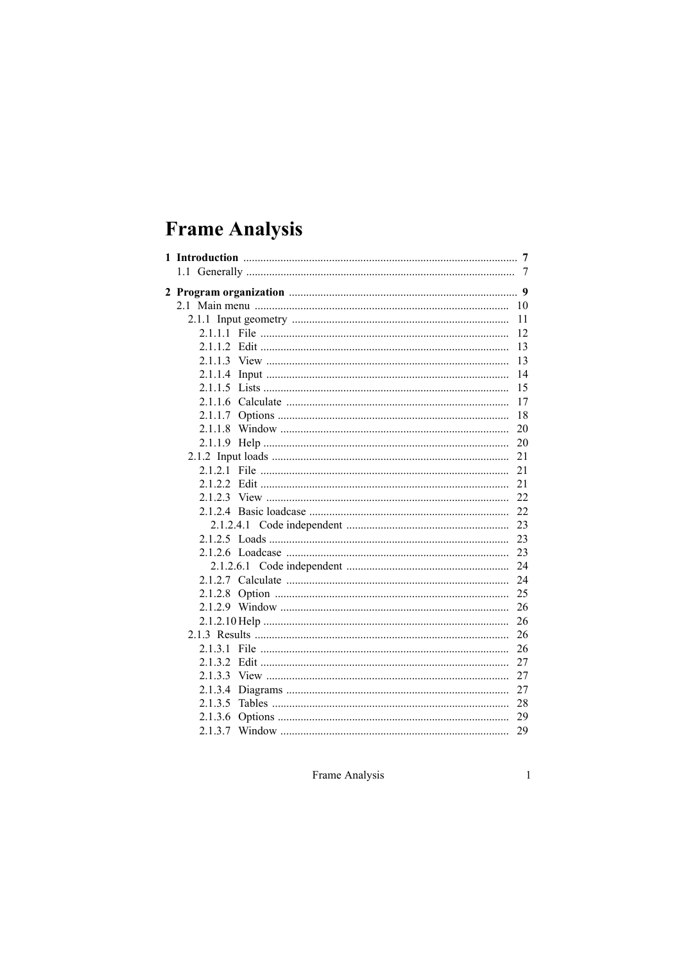# **Frame Analysis**

|         | -7 |
|---------|----|
|         | 7  |
|         | -9 |
|         | 10 |
|         | 11 |
|         | 12 |
|         | 13 |
|         | 13 |
| 2.1.1.4 | 14 |
| 2.1.1.5 | 15 |
|         | 17 |
|         | 18 |
|         | 20 |
|         | 20 |
|         | 21 |
|         | 21 |
|         | 21 |
| 2.1.2.3 | 22 |
|         | 22 |
|         | 23 |
|         | 23 |
|         | 23 |
|         | 24 |
|         | 24 |
|         | 25 |
|         | 26 |
|         | 26 |
|         | 26 |
| 2.1.3.1 | 26 |
| 2.1.3.2 | 27 |
|         | 27 |
|         | 27 |
|         | 28 |
|         |    |
|         | 29 |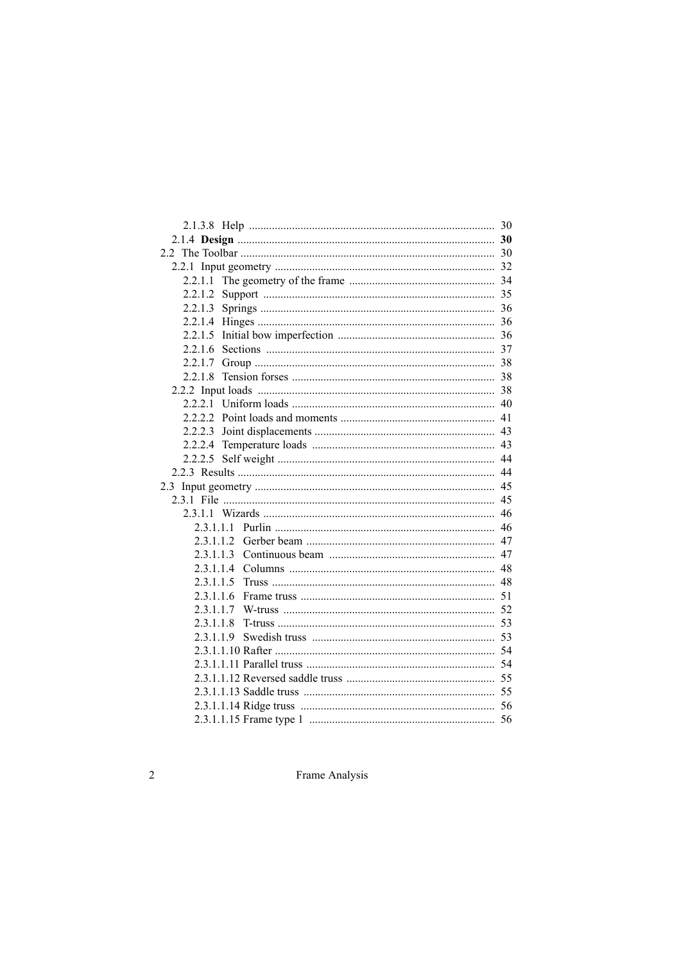|           | 30  |
|-----------|-----|
|           |     |
|           |     |
|           |     |
| 2.2.1.1   |     |
| 2.2.1.2   |     |
| 2.2.1.3   | -36 |
|           | 36  |
|           |     |
| 2.2.1.6   |     |
| 2.2.1.7   |     |
| 2.2.1.8   |     |
|           |     |
| 2221      | 40  |
|           | 41  |
| 2.2.2.3   | 43  |
| 2.2.2.4   | 43  |
| 2.2.2.5   | 44  |
|           | 44  |
|           | 45  |
|           | 45  |
|           | 46  |
| 2.3.1.1.1 | 46  |
| 2.3.1.1.2 |     |
| 2.3.1.1.3 |     |
| 2.3.1.1.4 |     |
| 2.3.1.1.5 |     |
| 2.3.1.1.6 |     |
| 2.3.1.1.7 |     |
| 2.3.1.1.8 |     |
| 2.3.1.1.9 |     |
|           |     |
|           |     |
|           |     |
|           |     |
|           |     |
|           |     |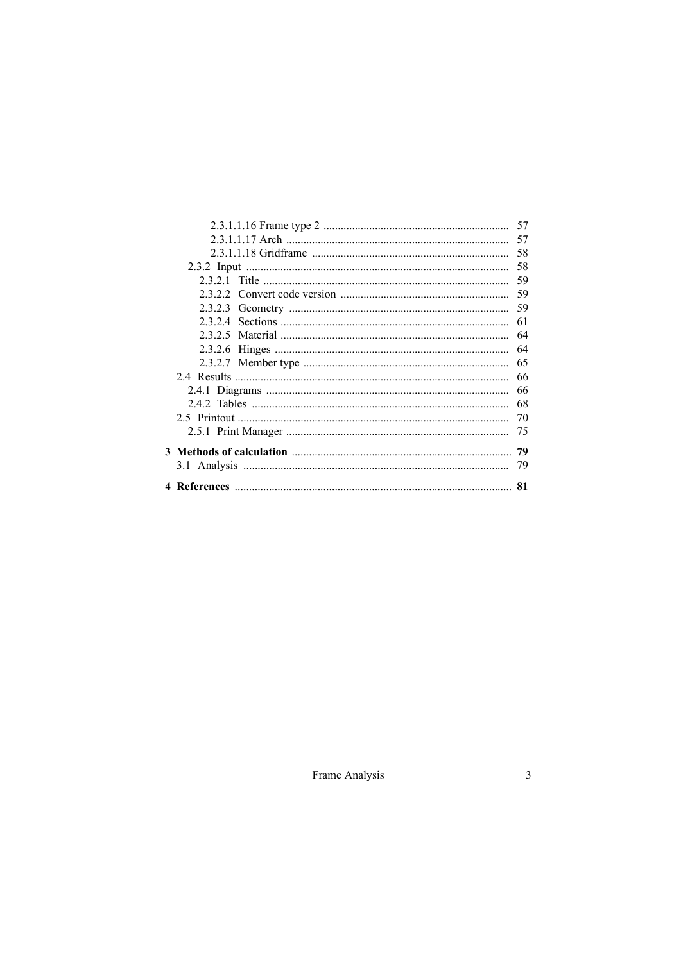| 57 |
|----|
| 57 |
| 58 |
| 58 |
| 59 |
| 59 |
| 59 |
| 61 |
| 64 |
| 64 |
| 65 |
| 66 |
| 66 |
| 68 |
| 70 |
| 75 |
|    |
| 79 |
| 81 |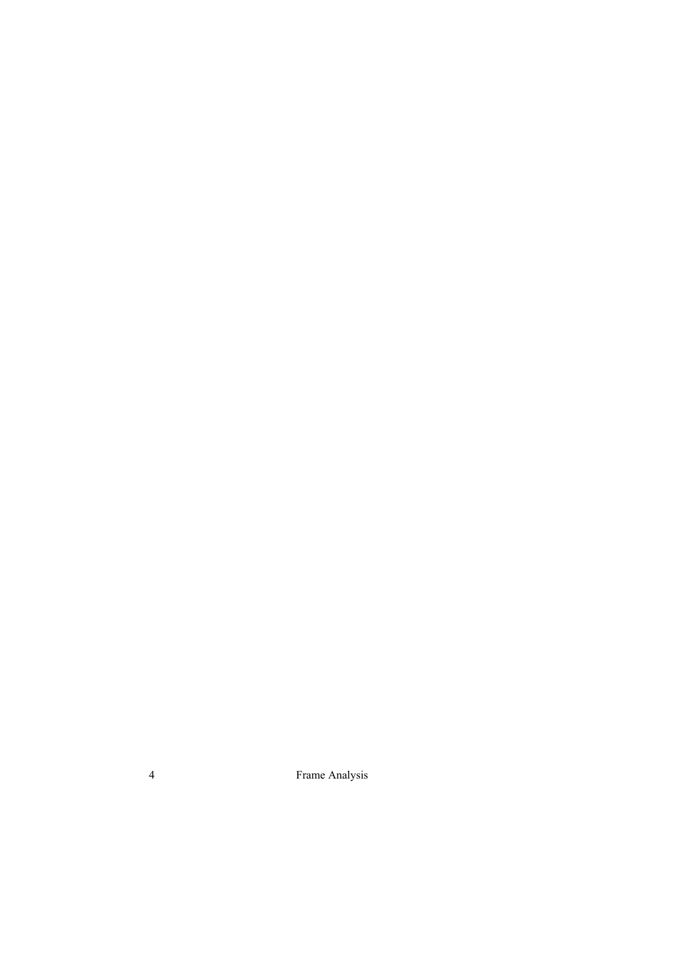4 Frame Analysis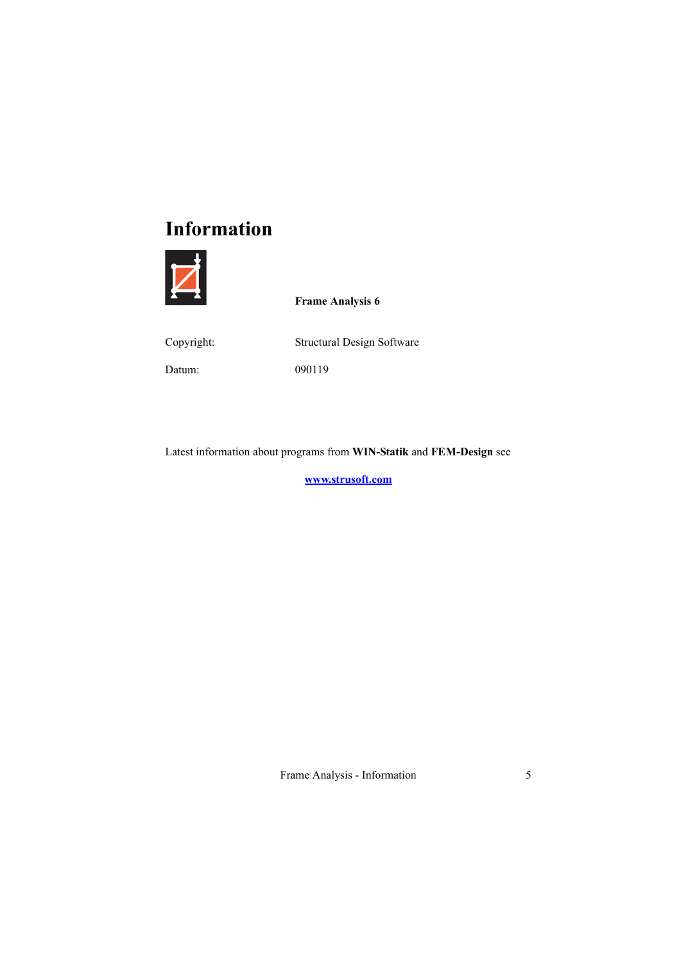# **Information**



**Frame Analysis 6**

Copyright: Structural Design Software

Datum: 090119

Latest information about programs from **WIN-Statik** and **FEM-Design** see

**www.strusoft.com**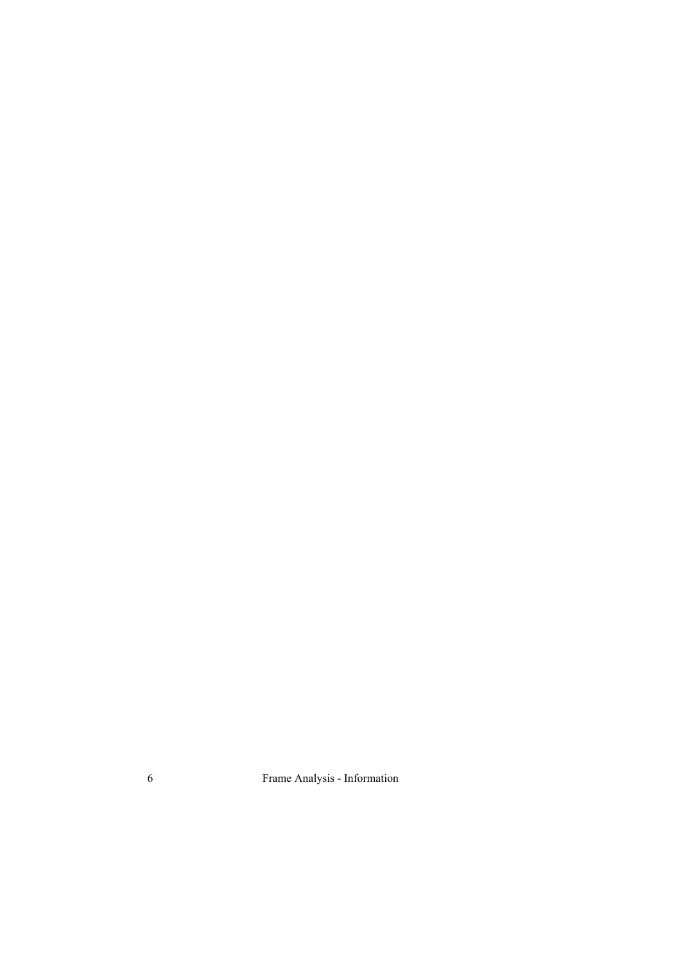6 Frame Analysis - Information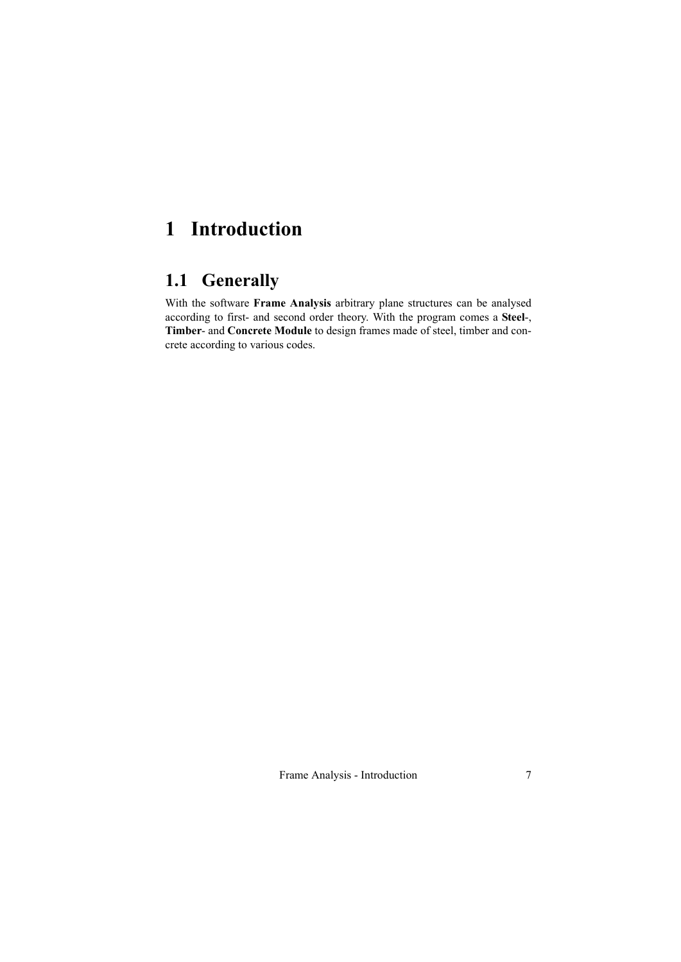# <span id="page-6-0"></span>**1 Introduction**

# **1.1 Generally**

With the software **Frame Analysis** arbitrary plane structures can be analysed according to first- and second order theory. With the program comes a **Steel**-, **Timber**- and **Concrete Module** to design frames made of steel, timber and concrete according to various codes.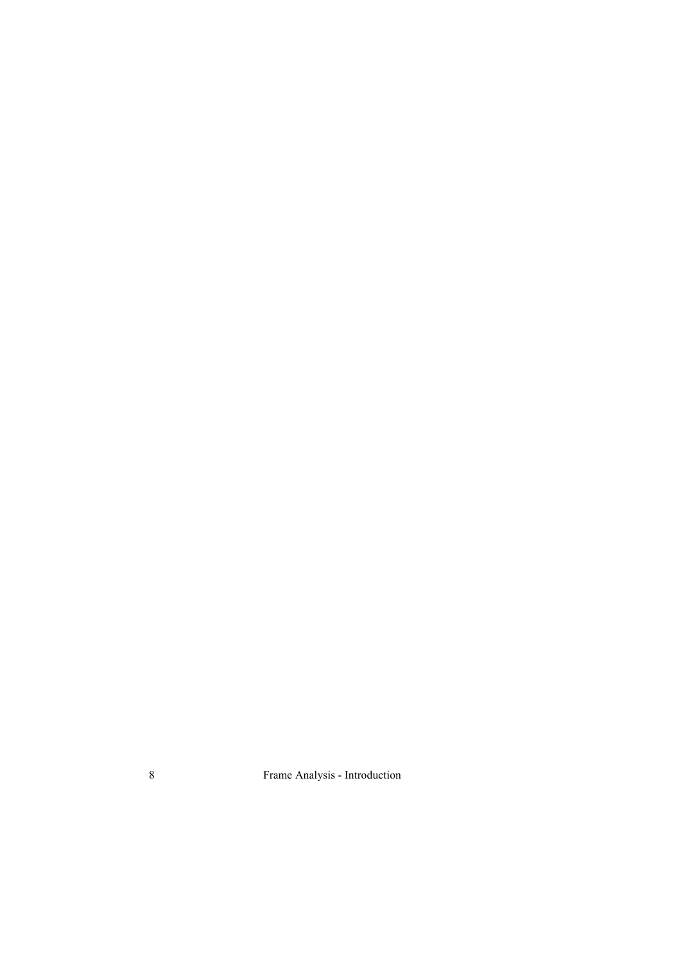8 Frame Analysis - Introduction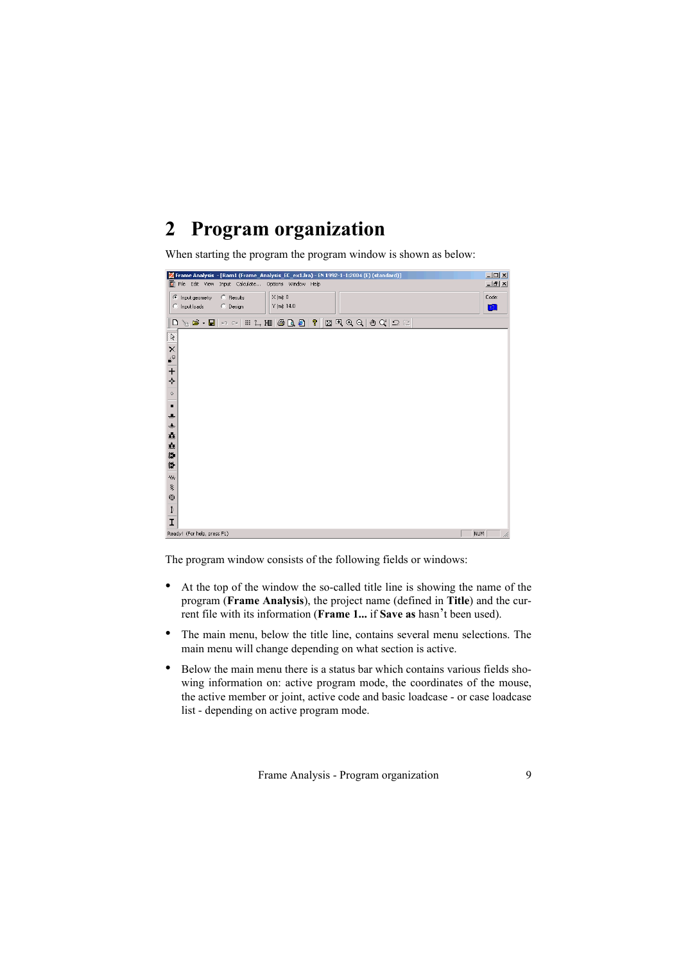# <span id="page-8-0"></span>**2 Program organization**

When starting the program the program window is shown as below:



The program window consists of the following fields or windows:

- At the top of the window the so-called title line is showing the name of the program (**Frame Analysis**), the project name (defined in **Title**) and the current file with its information (**Frame 1...** if **Save as** hasn't been used).
- The main menu, below the title line, contains several menu selections. The main menu will change depending on what section is active.
- Below the main menu there is a status bar which contains various fields showing information on: active program mode, the coordinates of the mouse, the active member or joint, active code and basic loadcase - or case loadcase list - depending on active program mode.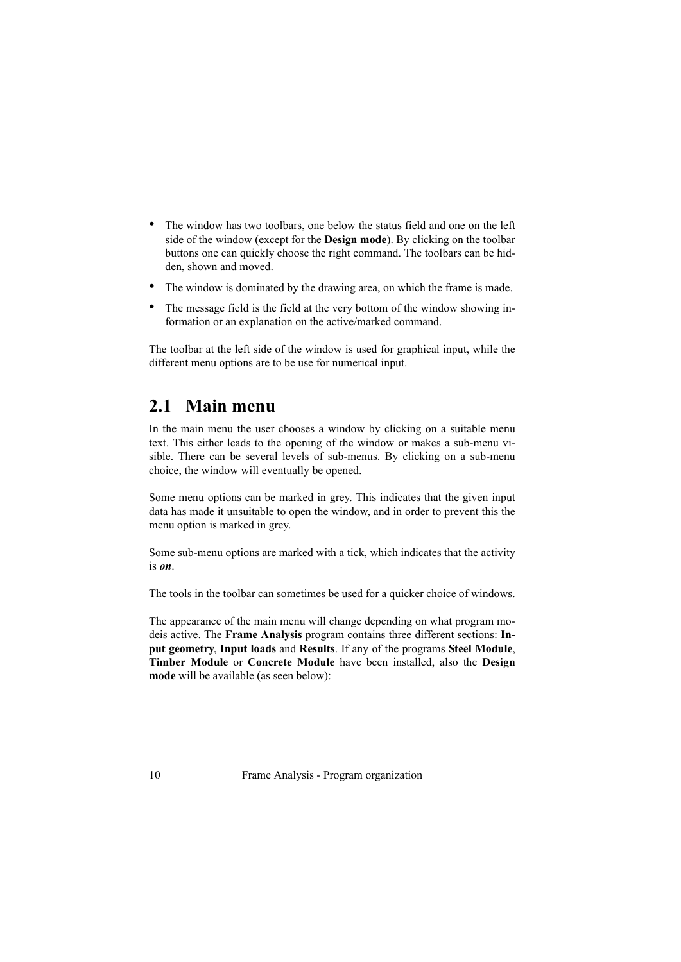- <span id="page-9-0"></span>• The window has two toolbars, one below the status field and one on the left side of the window (except for the **Design mode**). By clicking on the toolbar buttons one can quickly choose the right command. The toolbars can be hidden, shown and moved.
- The window is dominated by the drawing area, on which the frame is made.
- The message field is the field at the very bottom of the window showing information or an explanation on the active/marked command.

The toolbar at the left side of the window is used for graphical input, while the different menu options are to be use for numerical input.

## **2.1 Main menu**

In the main menu the user chooses a window by clicking on a suitable menu text. This either leads to the opening of the window or makes a sub-menu visible. There can be several levels of sub-menus. By clicking on a sub-menu choice, the window will eventually be opened.

Some menu options can be marked in grey. This indicates that the given input data has made it unsuitable to open the window, and in order to prevent this the menu option is marked in grey.

Some sub-menu options are marked with a tick, which indicates that the activity is *on*.

The tools in the toolbar can sometimes be used for a quicker choice of windows.

The appearance of the main menu will change depending on what program modeis active. The **Frame Analysis** program contains three different sections: **Input geometry**, **Input loads** and **Results**. If any of the programs **Steel Module**, **Timber Module** or **Concrete Module** have been installed, also the **Design mode** will be available (as seen below):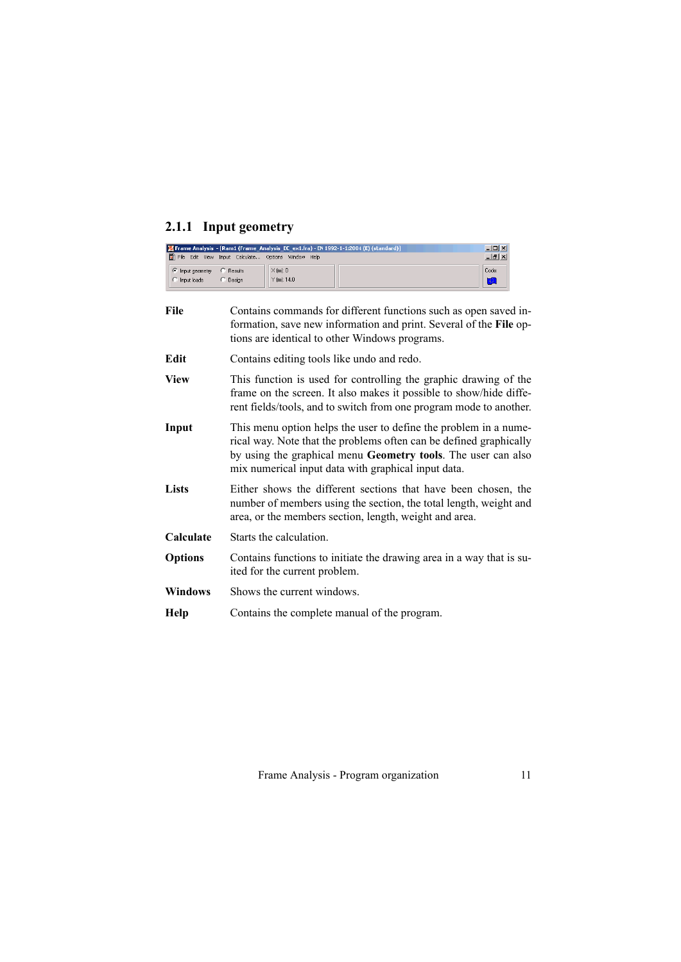## <span id="page-10-0"></span>**2.1.1 Input geometry**

|                                                                         | Trame Analysis - [Ram1 (Frame_Analysis_EC_ex1.fra) - EN 1992-1-1:2004 (E) (standard)] |                    |
|-------------------------------------------------------------------------|---------------------------------------------------------------------------------------|--------------------|
| File Edit View Input Calculate Options Window Help                      |                                                                                       | $    \times$ $-$   |
| $\mathbf{C}$ Input geometry<br>$C$ Results<br>Input loads<br>$C$ Design | $\times$ [m]: 0<br>$Y(m)$ : 14.0                                                      | Code:<br><b>ID</b> |

- File **Contains commands for different functions such as open saved in**formation, save new information and print. Several of the **File** options are identical to other Windows programs.
- **Edit** Contains editing tools like undo and redo.
- **View** This function is used for controlling the graphic drawing of the frame on the screen. It also makes it possible to show/hide different fields/tools, and to switch from one program mode to another.
- **Input** This menu option helps the user to define the problem in a numerical way. Note that the problems often can be defined graphically by using the graphical menu **Geometry tools**. The user can also mix numerical input data with graphical input data.
- **Lists** Either shows the different sections that have been chosen, the number of members using the section, the total length, weight and area, or the members section, length, weight and area.
- **Calculate** Starts the calculation.
- **Options** Contains functions to initiate the drawing area in a way that is suited for the current problem.
- **Windows** Shows the current windows.
- **Help** Contains the complete manual of the program.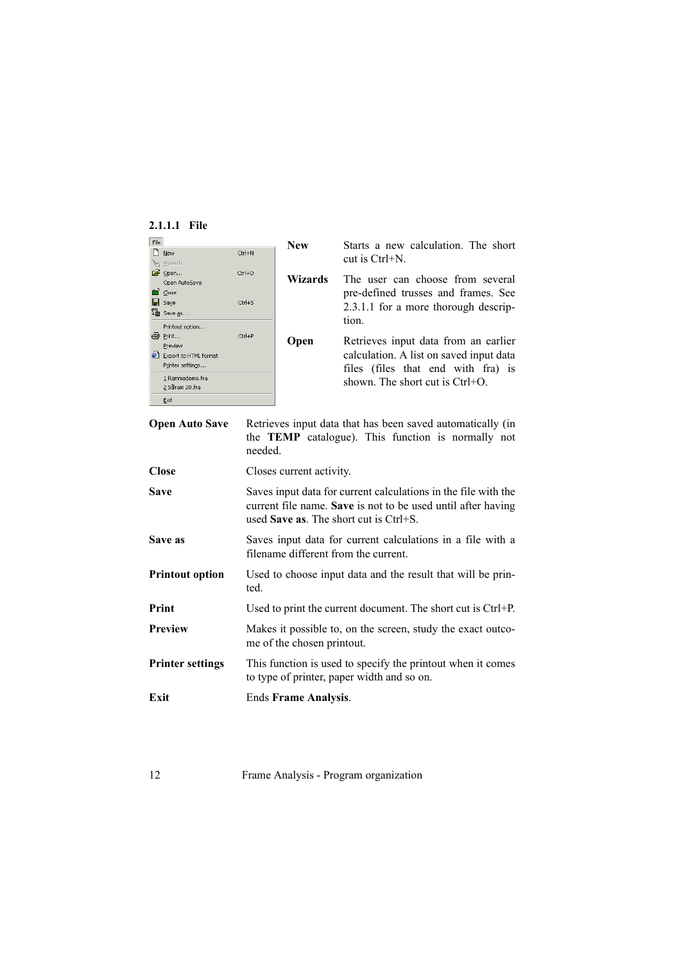#### <span id="page-11-0"></span>**2.1.1.1 File**



| <b>New</b> | Starts a new calculation. The short<br>cut is Ctrl+N.                                                                                                       |
|------------|-------------------------------------------------------------------------------------------------------------------------------------------------------------|
| Wizards    | The user can choose from several<br>pre-defined trusses and frames. See<br>2.3.1.1 for a more thorough descrip-<br>tion.                                    |
| Open       | Retrieves input data from an earlier<br>calculation. A list on saved input data<br>files (files that end with fra) is<br>shown. The short cut is $Ctrl+O$ . |

**Open Auto Save** Retrieves input data that has been saved automatically (in the **TEMP** catalogue). This function is normally not needed.

**Close** Closes current activity.

**Save** Saves input data for current calculations in the file with the current file name. **Save** is not to be used until after having used **Save as**. The short cut is Ctrl+S.

- **Save as** Saves input data for current calculations in a file with a filename different from the current.
- **Printout option** Used to choose input data and the result that will be printed.
- **Print** Used to print the current document. The short cut is Ctrl+P.
- **Preview** Makes it possible to, on the screen, study the exact outcome of the chosen printout.
- **Printer settings** This function is used to specify the printout when it comes to type of printer, paper width and so on.
- **Exit** Ends **Frame Analysis**.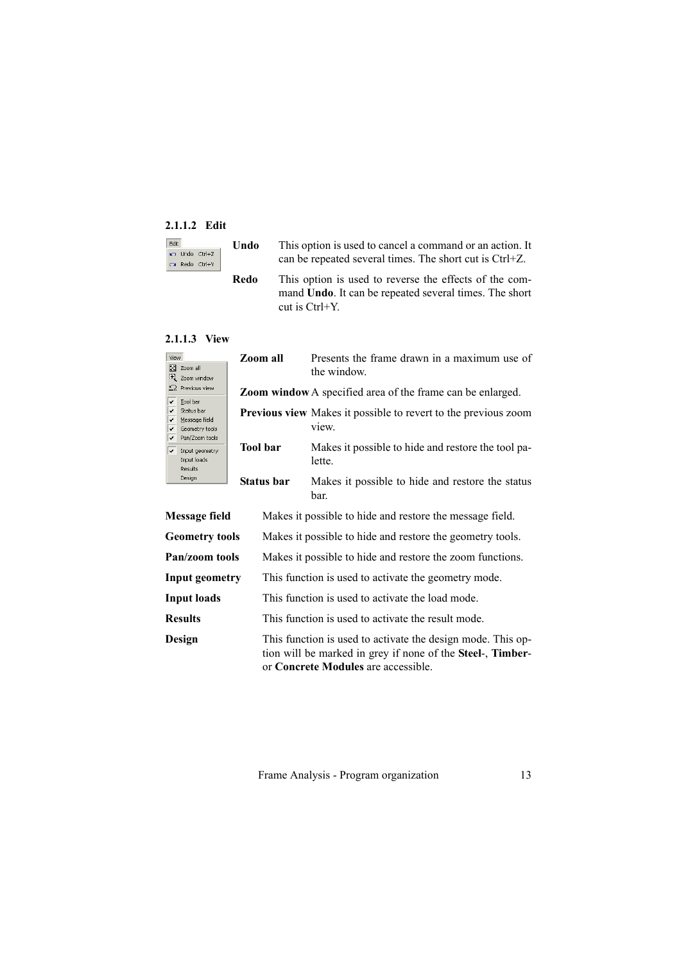#### <span id="page-12-0"></span>**2.1.1.2 Edit**

| Edit<br>$\sqrt{ }$ Undo Ctrl+Z<br>Ca Redo Ctrl+Y | Undo | This option is used to cancel a command or an action. It<br>can be repeated several times. The short cut is Ctrl+Z. |
|--------------------------------------------------|------|---------------------------------------------------------------------------------------------------------------------|
|                                                  | Redo | This option is used to reverse the effects of the com-<br>mand Undo. It can be repeated several times. The short    |

cut is Ctrl+Y.

#### **2.1.1.3 View**

| View |                |
|------|----------------|
| ⊠    | Zoom all       |
| ш    | Zoom window    |
|      | Previous view  |
|      | Tool bar       |
|      | Status bar     |
|      | Message field  |
|      | Geometry tools |
|      | Pan/Zoom tools |
|      | Input geometry |
|      | Input loads    |
|      | Results        |
|      | Design         |

| View<br>⊠      | Zoom all<br>Zoom all<br>Zoom window                             |                 |                                                                                                                                                                         | Presents the frame drawn in a maximum use of<br>the window.                    |  |  |  |  |
|----------------|-----------------------------------------------------------------|-----------------|-------------------------------------------------------------------------------------------------------------------------------------------------------------------------|--------------------------------------------------------------------------------|--|--|--|--|
| v              | Previous view<br>Tool bar                                       |                 |                                                                                                                                                                         | <b>Zoom window</b> A specified area of the frame can be enlarged.              |  |  |  |  |
|                | Status bar<br>Message field<br>Geometry tools<br>Pan/Zoom tools | <b>Tool bar</b> |                                                                                                                                                                         | <b>Previous view</b> Makes it possible to revert to the previous zoom<br>view. |  |  |  |  |
| $\checkmark$   | Input geometry<br>Input loads<br>Results                        |                 |                                                                                                                                                                         | Makes it possible to hide and restore the tool pa-<br>lette.                   |  |  |  |  |
| Design         |                                                                 |                 | <b>Status bar</b>                                                                                                                                                       | Makes it possible to hide and restore the status<br>bar.                       |  |  |  |  |
|                | <b>Message field</b>                                            |                 |                                                                                                                                                                         | Makes it possible to hide and restore the message field.                       |  |  |  |  |
|                | <b>Geometry tools</b>                                           |                 |                                                                                                                                                                         | Makes it possible to hide and restore the geometry tools.                      |  |  |  |  |
|                | Pan/zoom tools                                                  |                 | Makes it possible to hide and restore the zoom functions.                                                                                                               |                                                                                |  |  |  |  |
|                | Input geometry                                                  |                 | This function is used to activate the geometry mode.                                                                                                                    |                                                                                |  |  |  |  |
|                | <b>Input loads</b>                                              |                 |                                                                                                                                                                         | This function is used to activate the load mode.                               |  |  |  |  |
| <b>Results</b> |                                                                 |                 | This function is used to activate the result mode.                                                                                                                      |                                                                                |  |  |  |  |
| Design         |                                                                 |                 | This function is used to activate the design mode. This op-<br>tion will be marked in grey if none of the Steel-, Timber-<br>or <b>Concrete Modules</b> are accessible. |                                                                                |  |  |  |  |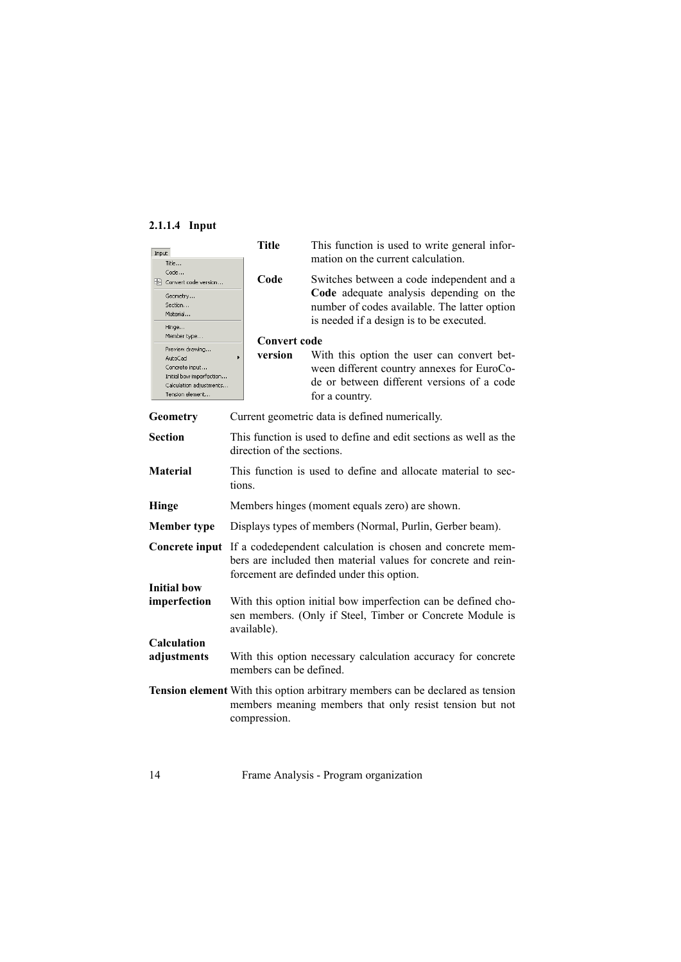### <span id="page-13-0"></span>**2.1.1.4 Input**

| <b>Input</b><br>Title                                                                                                                 | <b>Title</b>                                                                                                                                                             | This function is used to write general infor-<br>mation on the current calculation                                                                                               |  |  |  |  |
|---------------------------------------------------------------------------------------------------------------------------------------|--------------------------------------------------------------------------------------------------------------------------------------------------------------------------|----------------------------------------------------------------------------------------------------------------------------------------------------------------------------------|--|--|--|--|
| Code<br>Convert code version<br>Geometry<br>Section<br>Material<br>Hinge                                                              | Code                                                                                                                                                                     | Switches between a code independent and a<br>Code adequate analysis depending on the<br>number of codes available. The latter option<br>is needed if a design is to be executed. |  |  |  |  |
| Member type<br>Preview drawing<br>AutoCad<br>Concrete input<br>Initial bow imperfection<br>Calculation adjustments<br>Tension element | Convert code<br>version                                                                                                                                                  | With this option the user can convert bet-<br>ween different country annexes for EuroCo-<br>de or between different versions of a code<br>for a country.                         |  |  |  |  |
| Geometry                                                                                                                              | Current geometric data is defined numerically.                                                                                                                           |                                                                                                                                                                                  |  |  |  |  |
| <b>Section</b>                                                                                                                        |                                                                                                                                                                          | This function is used to define and edit sections as well as the<br>direction of the sections                                                                                    |  |  |  |  |
| <b>Material</b>                                                                                                                       | This function is used to define and allocate material to sec-<br>tions.                                                                                                  |                                                                                                                                                                                  |  |  |  |  |
| Hinge                                                                                                                                 |                                                                                                                                                                          | Members hinges (moment equals zero) are shown.                                                                                                                                   |  |  |  |  |
| Member type                                                                                                                           |                                                                                                                                                                          | Displays types of members (Normal, Purlin, Gerber beam).                                                                                                                         |  |  |  |  |
| Concrete input                                                                                                                        | If a codedependent calculation is chosen and concrete mem-<br>bers are included then material values for concrete and rein-<br>forcement are definded under this option. |                                                                                                                                                                                  |  |  |  |  |
| <b>Initial bow</b>                                                                                                                    |                                                                                                                                                                          |                                                                                                                                                                                  |  |  |  |  |

**imperfection** With this option initial bow imperfection can be defined chosen members. (Only if Steel, Timber or Concrete Module is available).

**Calculation adjustments** With this option necessary calculation accuracy for concrete members can be defined.

**Tension element** With this option arbitrary members can be declared as tension members meaning members that only resist tension but not compression.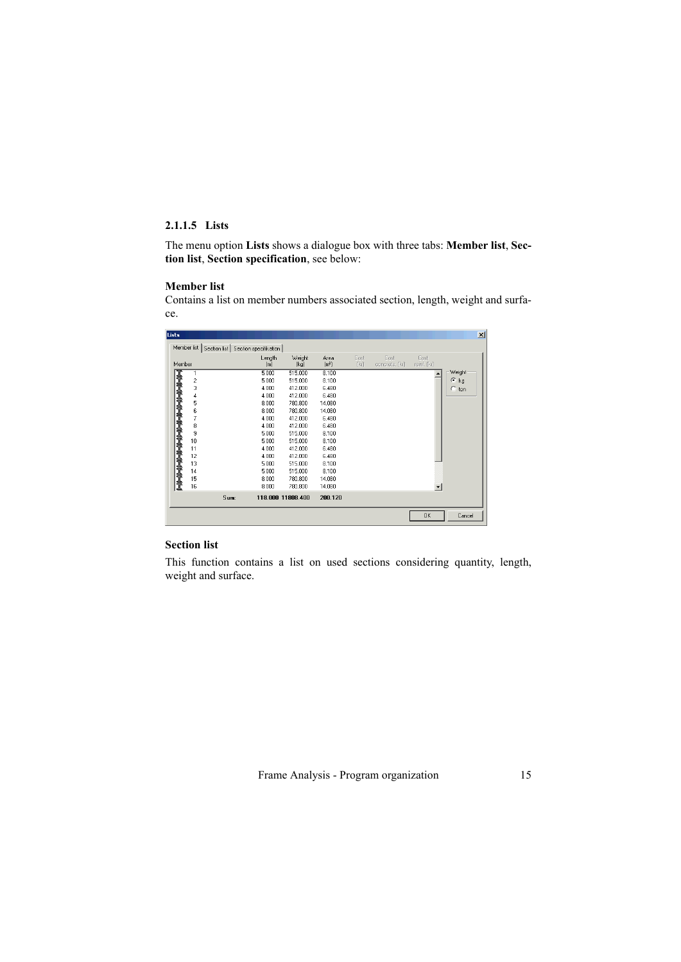#### <span id="page-14-0"></span>**2.1.1.5 Lists**

The menu option **Lists** shows a dialogue box with three tabs: **Member list**, **Section list**, **Section specification**, see below:

#### **Member list**

Contains a list on member numbers associated section, length, weight and surface.

| Lists                                                                                                                        |                                      |               |                   |                           |             |                        |                     |           | $\vert x \vert$ |
|------------------------------------------------------------------------------------------------------------------------------|--------------------------------------|---------------|-------------------|---------------------------|-------------|------------------------|---------------------|-----------|-----------------|
| Member list                                                                                                                  | Section list   Section specifikation |               |                   |                           |             |                        |                     |           |                 |
| Member                                                                                                                       |                                      | Length<br>[m] | Weight<br>[kg]    | Area<br>[m <sup>2</sup> ] | Cost<br>[k] | Cost<br>concrete. (kr) | Cost<br>reinf. (kr) |           |                 |
| 1                                                                                                                            |                                      | 5.000         | 515.000           | 8.100                     |             |                        |                     | Weight    |                 |
|                                                                                                                              |                                      | 5.000         | 515.000           | 8.100                     |             |                        |                     | Œ<br>kg   |                 |
|                                                                                                                              |                                      | 4.000         | 412.000           | 6.480                     |             |                        |                     | C.<br>ton |                 |
|                                                                                                                              |                                      | 4.000         | 412.000           | 6.480                     |             |                        |                     |           |                 |
|                                                                                                                              |                                      | 8.000         | 780.800           | 14.080                    |             |                        |                     |           |                 |
| 234567                                                                                                                       |                                      | 8.000         | 780.800           | 14.080                    |             |                        |                     |           |                 |
|                                                                                                                              |                                      | 4.000         | 412.000           | 6.480                     |             |                        |                     |           |                 |
| $\frac{8}{9}$                                                                                                                |                                      | 4.000         | 412.000           | 6.480                     |             |                        |                     |           |                 |
|                                                                                                                              |                                      | 5.000         | 515.000           | 8.100                     |             |                        |                     |           |                 |
| 10                                                                                                                           |                                      | 5.000         | 515.000           | 8.100                     |             |                        |                     |           |                 |
| 11                                                                                                                           |                                      | 4.000         | 412.000           | 6.480                     |             |                        |                     |           |                 |
| 12                                                                                                                           |                                      | 4.000         | 412.000           | 6.480                     |             |                        |                     |           |                 |
| 13                                                                                                                           |                                      | 5.000         | 515.000           | 8.100                     |             |                        |                     |           |                 |
| 14                                                                                                                           |                                      | 5.000         | 515,000           | 8.100                     |             |                        |                     |           |                 |
| 15                                                                                                                           |                                      | 8.000         | 780.800           | 14.080                    |             |                        |                     |           |                 |
| <b>Advisor Advisor Advisor Advisor Advisor Advisor Advisor Advisor Advisor Advisor Advisor Advisor Advisor Advisor</b><br>16 |                                      | 8.000         | 780.800           | 14.080                    |             |                        |                     |           |                 |
|                                                                                                                              | Sum:                                 |               | 118.000 11808.400 | 200.120                   |             |                        |                     |           |                 |
|                                                                                                                              |                                      |               |                   |                           |             |                        | 0K                  | Cancel    |                 |

#### **Section list**

This function contains a list on used sections considering quantity, length, weight and surface.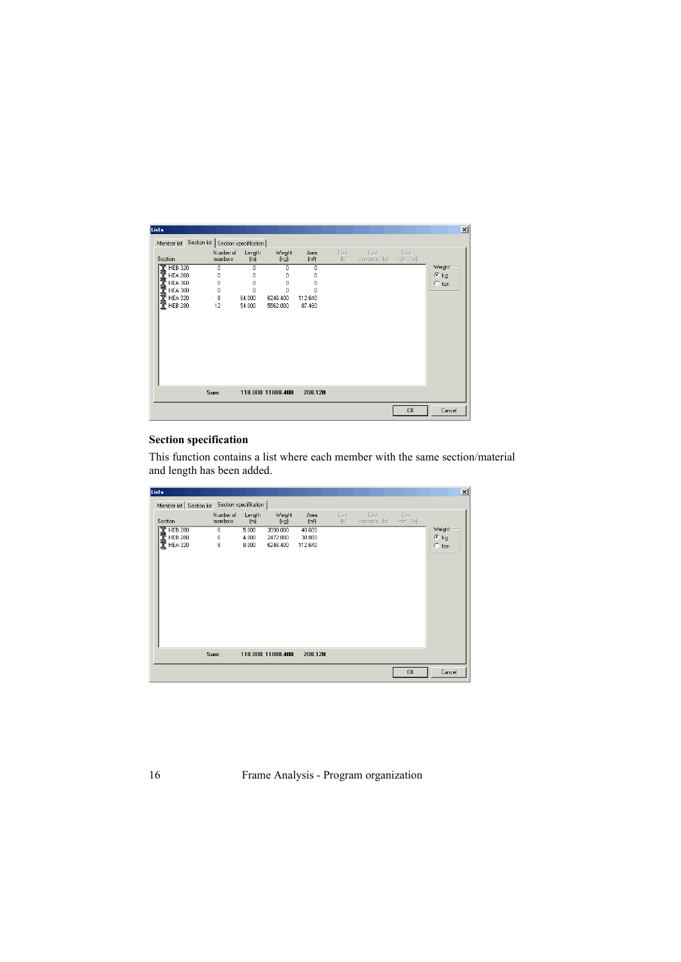| Lists<br>Member list             | Section list   Section specifikation |                  |                   |                           |              |                        |                     |           | $\vert x \vert$ |
|----------------------------------|--------------------------------------|------------------|-------------------|---------------------------|--------------|------------------------|---------------------|-----------|-----------------|
| Section                          | Number of<br>members                 | Length<br>[m]    | Weight<br>[kg]    | Area<br>[m <sup>2</sup> ] | Cost<br>(kr) | Cost<br>concrete. (kr) | Cost<br>reinf. (kr) |           |                 |
| T HEB 320                        | 0                                    | $\theta$         | 0                 | 0                         |              |                        |                     | Weight    |                 |
| <b>HEA 260</b>                   | 0                                    | 0                | 0                 | 0                         |              |                        |                     | $C$ kg    |                 |
| 류<br><b>HEA 360</b>              | 0                                    | 0                | 0                 | 0                         |              |                        |                     | C.<br>ton |                 |
| ᄛ<br><b>HEA 300</b>              | 0                                    | $\Omega$         | 0                 | n                         |              |                        |                     |           |                 |
| Ī<br><b>HEA 320</b><br>了 HEB 280 | 8<br>12                              | 64.000<br>54.000 | 6246.400          | 112.640<br>87,480         |              |                        |                     |           |                 |
|                                  |                                      |                  |                   |                           |              |                        |                     |           |                 |
|                                  | Sum:                                 |                  | 118.000 11808.400 | 200.120                   |              |                        |                     |           |                 |
|                                  |                                      |                  |                   |                           |              |                        | 0K                  | Cancel    |                 |

#### **Section specification**

This function contains a list where each member with the same section/material and length has been added.

| Lists                                              |                          |                         |                                  |                             |              |                         |                      |                             | $\vert x \vert$ |
|----------------------------------------------------|--------------------------|-------------------------|----------------------------------|-----------------------------|--------------|-------------------------|----------------------|-----------------------------|-----------------|
| Member list   Section list   Section specifikation |                          |                         |                                  |                             |              |                         |                      |                             |                 |
| Section                                            | Number of<br>members     | Length<br>[m]           | Weight<br>[kg]                   | Area<br>[m <sup>2</sup> ]   | Cost<br>(kr) | Cost.<br>concrete. (kr) | Cost.<br>reinf. (kr) |                             |                 |
| THEB 280<br>THEB 280<br>THEA 320                   | $\overline{6}$<br>6<br>8 | 5.000<br>4.000<br>8.000 | 3090.000<br>2472.000<br>6246.400 | 48,600<br>38.880<br>112.640 |              |                         |                      | Weight<br>$C$ kg<br>$C$ ton |                 |
|                                                    | Sum:                     |                         | 118.000 11808.400                | 200.120                     |              |                         |                      |                             |                 |
|                                                    |                          |                         |                                  |                             |              |                         | 0K                   | Cancel                      |                 |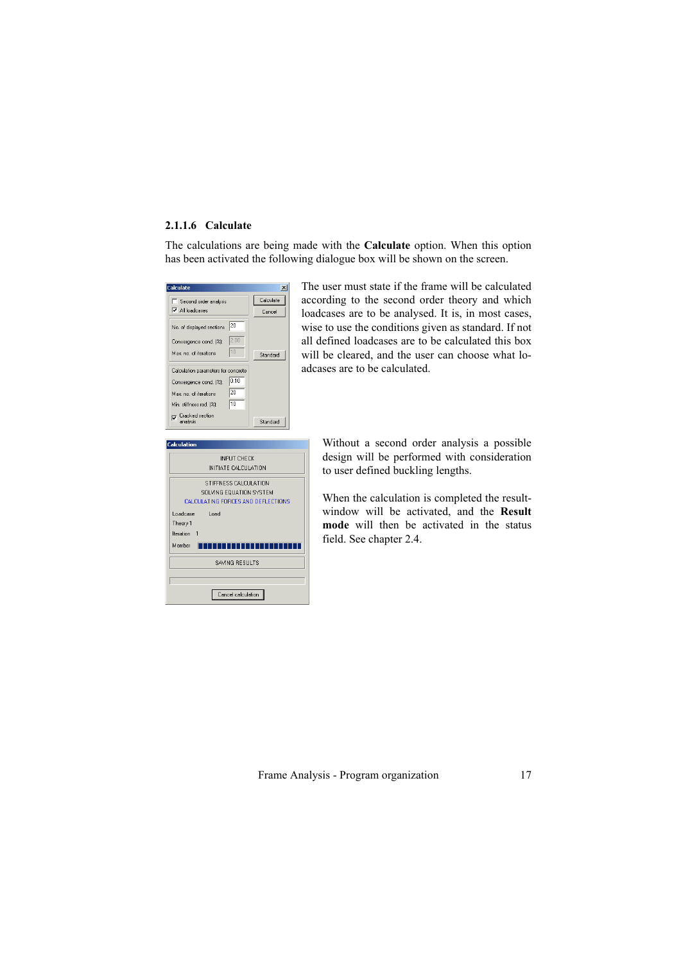#### <span id="page-16-0"></span>**2.1.1.6 Calculate**

The calculations are being made with the **Calculate** option. When this option has been activated the following dialogue box will be shown on the screen.

| Calculate                           |           |
|-------------------------------------|-----------|
| Second order analysis               | Calculate |
| $\nabla$ All loadcases              | Cancel    |
| 20<br>No. of displayed sections     |           |
| 2.00<br>Convergence cond. [%]:      |           |
| m<br>Max. no. of iterations         | Standard  |
| Calculation parameters for concrete |           |
| 0.10<br>Convergence cond. [%]:      |           |
| 20<br>Max. no. of iterations        |           |
| 10<br>Min. stiffness red. [%]:      |           |
| Cracked section<br>⊽.<br>analusis   | Standard  |

The user must state if the frame will be calculated according to the second order theory and which loadcases are to be analysed. It is, in most cases, wise to use the conditions given as standard. If not all defined loadcases are to be calculated this box will be cleared, and the user can choose what loadcases are to be calculated.

| <b>Calculation</b>                 |
|------------------------------------|
| <b>INPUT CHECK</b>                 |
| INITIATE CALCULATION               |
| STIFFNESS CALCULATION              |
| SOLVING EQUATION SYSTEM            |
| CALCULATING FORCES AND DEFLECTIONS |
| Loadcase<br>Load                   |
| Theory 1                           |
| Iteration 1                        |
| Member<br>- 11<br>ı                |
| SAVING BESHLTS                     |
|                                    |
|                                    |
| Cancel calculation                 |

Without a second order analysis a possible design will be performed with consideration to user defined buckling lengths.

When the calculation is completed the resultwindow will be activated, and the **Result mode** will then be activated in the status field. See chapter [2.4.](#page-65-0)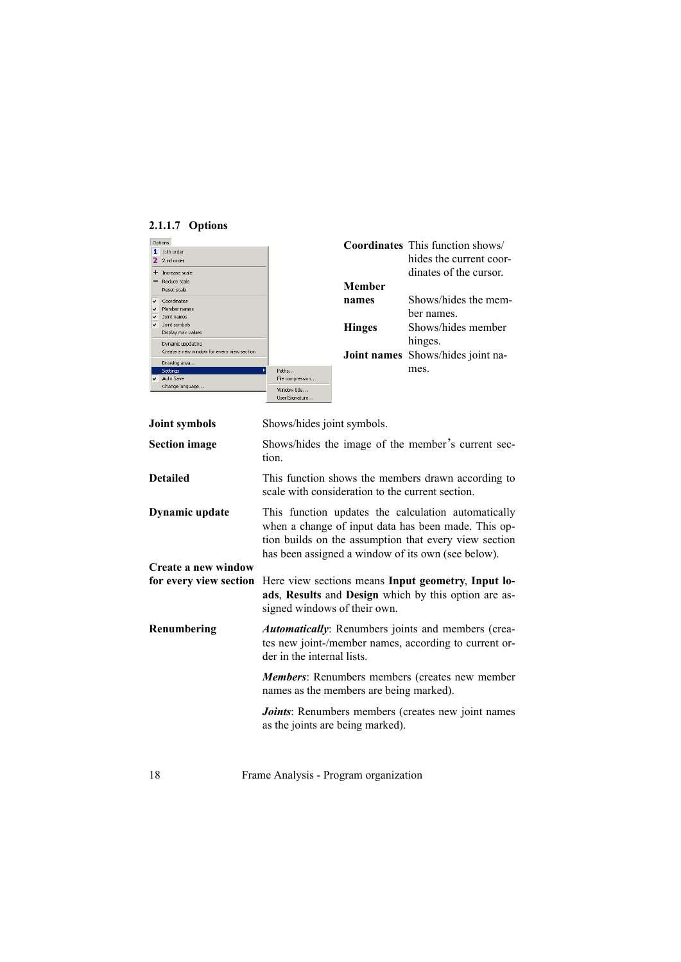## <span id="page-17-0"></span>**2.1.1.7 Options**

| Options<br>1:th order                       |                                |               | <b>Coordinates</b> This function shows/ |
|---------------------------------------------|--------------------------------|---------------|-----------------------------------------|
| 2:nd order                                  |                                |               | hides the current coor-                 |
| Increase scale                              |                                |               | dinates of the cursor.                  |
| Reduce scale<br>Reset scale                 |                                | Member        |                                         |
| Coordinates<br>$\checkmark$                 |                                | names         | Shows/hides the mem-                    |
| Member names<br>Joint names<br>$\checkmark$ |                                |               | ber names.                              |
| Joint symbols<br>$\checkmark$               |                                |               | Shows/hides member                      |
| Display max values                          |                                | <b>Hinges</b> |                                         |
| Dynamic uppdating                           |                                |               | hinges.                                 |
| Create a new window for every view section  |                                |               | Joint names Shows/hides joint na-       |
| Drawing area                                |                                |               |                                         |
| <b>Settings</b><br>Auto Save                | Paths<br>File compression      |               | mes.                                    |
| Change language                             |                                |               |                                         |
|                                             | Window title<br>User/Signature |               |                                         |

| Joint symbols                                 | Shows/hides joint symbols.                                                                                                                                                                                                |
|-----------------------------------------------|---------------------------------------------------------------------------------------------------------------------------------------------------------------------------------------------------------------------------|
| <b>Section image</b>                          | Shows/hides the image of the member's current sec-<br>tion.                                                                                                                                                               |
| <b>Detailed</b>                               | This function shows the members drawn according to<br>scale with consideration to the current section.                                                                                                                    |
| Dynamic update                                | This function updates the calculation automatically<br>when a change of input data has been made. This op-<br>tion builds on the assumption that every view section<br>has been assigned a window of its own (see below). |
| Create a new window<br>for every view section | Here view sections means Input geometry, Input lo-<br>ads, Results and Design which by this option are as-<br>signed windows of their own.                                                                                |
| Renumbering                                   | <b>Automatically:</b> Renumbers joints and members (crea-<br>tes new joint-/member names, according to current or-<br>der in the internal lists.                                                                          |
|                                               | <b>Members:</b> Renumbers members (creates new member<br>names as the members are being marked).                                                                                                                          |
|                                               | <b>Joints:</b> Renumbers members (creates new joint names<br>as the joints are being marked).                                                                                                                             |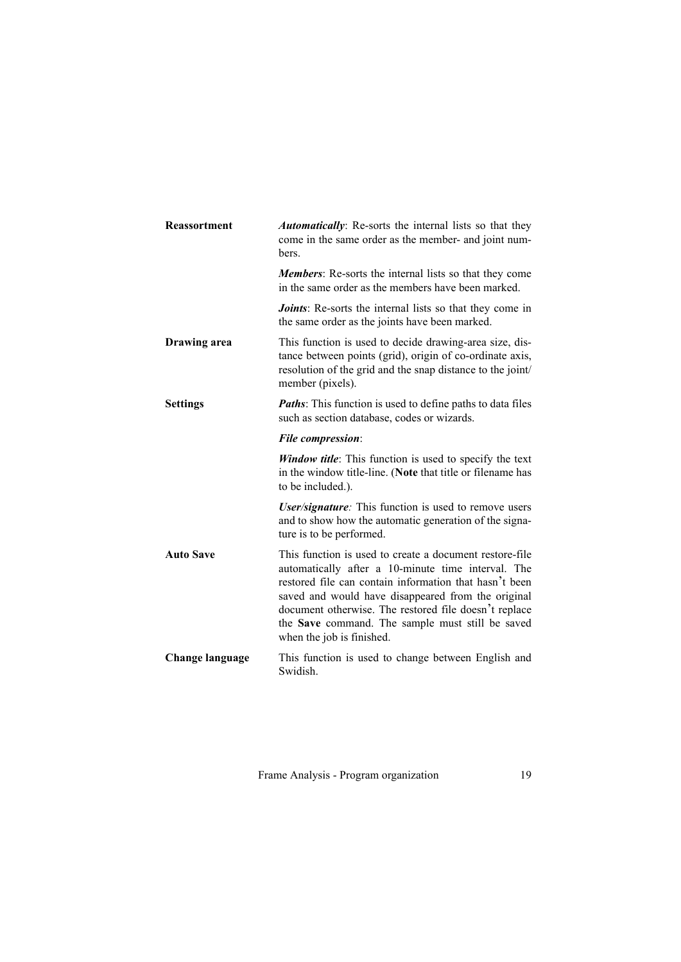| <b>Reassortment</b>    | <b>Automatically:</b> Re-sorts the internal lists so that they<br>come in the same order as the member- and joint num-<br>bers.                                                                                                                                                                                                                                         |
|------------------------|-------------------------------------------------------------------------------------------------------------------------------------------------------------------------------------------------------------------------------------------------------------------------------------------------------------------------------------------------------------------------|
|                        | <b>Members:</b> Re-sorts the internal lists so that they come<br>in the same order as the members have been marked.                                                                                                                                                                                                                                                     |
|                        | <b>Joints:</b> Re-sorts the internal lists so that they come in<br>the same order as the joints have been marked.                                                                                                                                                                                                                                                       |
| <b>Drawing</b> area    | This function is used to decide drawing-area size, dis-<br>tance between points (grid), origin of co-ordinate axis,<br>resolution of the grid and the snap distance to the joint/<br>member (pixels).                                                                                                                                                                   |
| <b>Settings</b>        | <b>Paths:</b> This function is used to define paths to data files<br>such as section database, codes or wizards.                                                                                                                                                                                                                                                        |
|                        | <b>File compression:</b>                                                                                                                                                                                                                                                                                                                                                |
|                        | <b>Window title:</b> This function is used to specify the text<br>in the window title-line. (Note that title or filename has<br>to be included.).                                                                                                                                                                                                                       |
|                        | <b>User/signature</b> : This function is used to remove users<br>and to show how the automatic generation of the signa-<br>ture is to be performed.                                                                                                                                                                                                                     |
| <b>Auto Save</b>       | This function is used to create a document restore-file<br>automatically after a 10-minute time interval. The<br>restored file can contain information that hasn't been<br>saved and would have disappeared from the original<br>document otherwise. The restored file doesn't replace<br>the Save command. The sample must still be saved<br>when the job is finished. |
| <b>Change language</b> |                                                                                                                                                                                                                                                                                                                                                                         |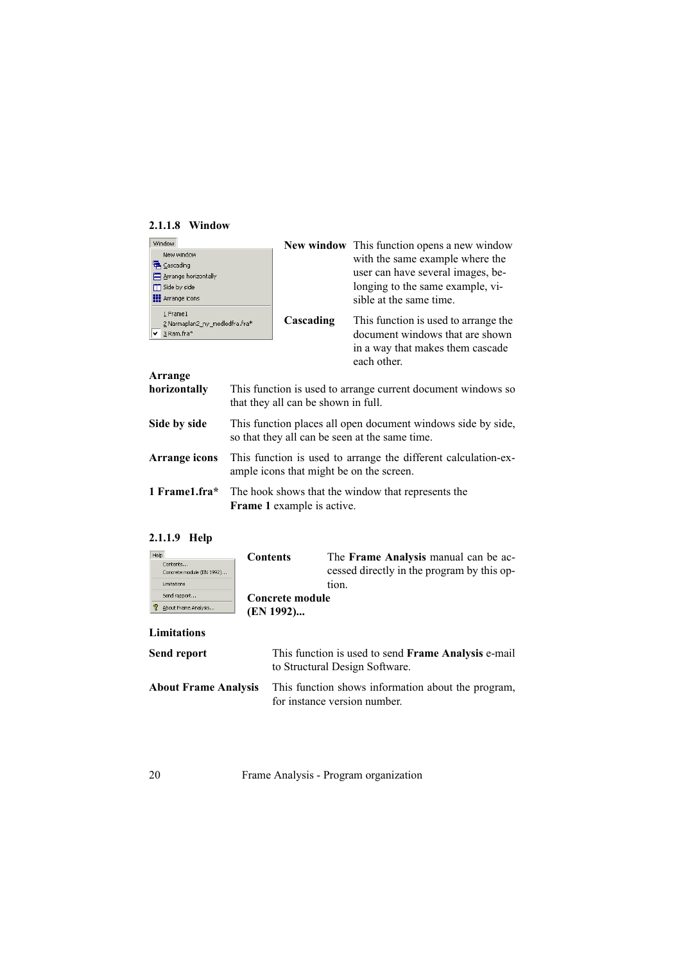## <span id="page-19-0"></span>**2.1.1.8 Window**

| Window<br>New window<br><b>异</b> Cascading<br>Arrange horizontally<br>TT Side by side<br><b>III</b> Arrange icons |           | New window This function opens a new window<br>with the same example where the<br>user can have several images, be-<br>longing to the same example, vi-<br>sible at the same time. |
|-------------------------------------------------------------------------------------------------------------------|-----------|------------------------------------------------------------------------------------------------------------------------------------------------------------------------------------|
| 1 Frame1<br>2 Narmaplan2_ny_medledfra.fra*<br>$\vee$ 3 Ram.fra*                                                   | Cascading | This function is used to arrange the<br>document windows that are shown<br>in a way that makes them cascade<br>each other.                                                         |

| Arrange              |                                                                                                                |
|----------------------|----------------------------------------------------------------------------------------------------------------|
| horizontally         | This function is used to arrange current document windows so<br>that they all can be shown in full.            |
| Side by side         | This function places all open document windows side by side,<br>so that they all can be seen at the same time. |
| <b>Arrange icons</b> | This function is used to arrange the different calculation-ex-<br>ample icons that might be on the screen.     |
| 1 Frame1.fra*        | The hook shows that the window that represents the<br><b>Frame 1</b> example is active.                        |

## **2.1.1.9 Help**

| Help                      | <b>Contents</b> | The <b>Frame Analysis</b> manual can be ac- |
|---------------------------|-----------------|---------------------------------------------|
| Contents                  |                 |                                             |
| Concrete module (EN 1992) |                 | cessed directly in the program by this op-  |
| Limitations               |                 | tion.                                       |
| Send rapport              | Concrete module |                                             |
| About Frame Analysis      | (EN 1992)       |                                             |

## **Limitations**

| Send report                 | This function is used to send Frame Analysis e-mail<br>to Structural Design Software. |
|-----------------------------|---------------------------------------------------------------------------------------|
| <b>About Frame Analysis</b> | This function shows information about the program,<br>for instance version number.    |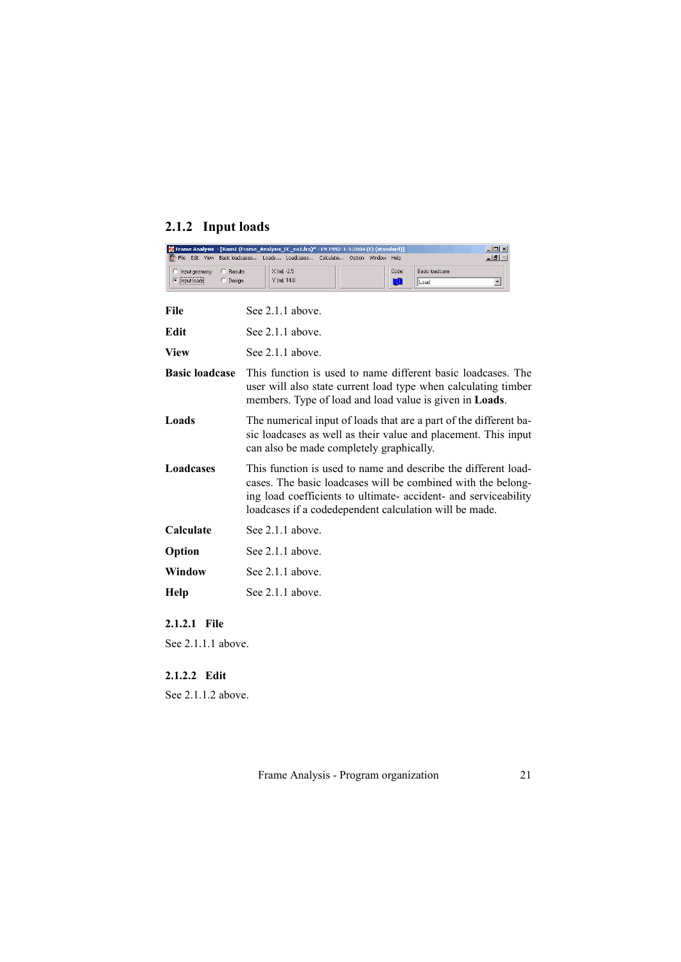## <span id="page-20-0"></span>**2.1.2 Input loads**

|                                                      |                                | Trame Analysis - [Ram1 (Frame_Analysis_EC_ex1.fra)* - EN 1992-1-1:2004 (E) (standard)] | $  D  \times  $                |
|------------------------------------------------------|--------------------------------|----------------------------------------------------------------------------------------|--------------------------------|
| $\blacksquare$ File                                  |                                | Edit View Basic-loadcases Loads Loadcases Calculate Option Window Help                 |                                |
| Input geometry<br>Results<br>C Input loads<br>Design | $X$ (m): -2.5<br>$Y$ (m): 14.0 |                                                                                        | Basic loadcase<br>Code<br>Load |

| File                  | See $2.1.1$ above.                                                                                                                                                                                |
|-----------------------|---------------------------------------------------------------------------------------------------------------------------------------------------------------------------------------------------|
| Edit                  | See $2.1.1$ above.                                                                                                                                                                                |
| View                  | See $2.1.1$ above.                                                                                                                                                                                |
| <b>Basic loadcase</b> | This function is used to name different basic loadcases. The<br>user will also state current load type when calculating timber<br>members. Type of load and load value is given in <b>Loads</b> . |
| Loads                 | The numerical input of loads that are a part of the different ba-<br>sic loadcases as well as their value and placement. This input<br>can also be made completely graphically.                   |
| Loadcases             | This function is used to name and describe the different load-<br>cases. The basic loadcases will be combined with the belong-<br>ing load coefficients to ultimate accident and serviceability   |

|           | loadcases if a codedependent calculation will be made. |
|-----------|--------------------------------------------------------|
| Calculate | See $2.1.1$ above.                                     |
| Option    | See $2.1.1$ above.                                     |
| Window    | See $2.1.1$ above.                                     |
| Help      | See 2.1.1 above.                                       |

#### **2.1.2.1 File**

See [2.1.1.1](#page-11-0) above.

### **2.1.2.2 Edit**

See [2.1.1.2](#page-12-0) above.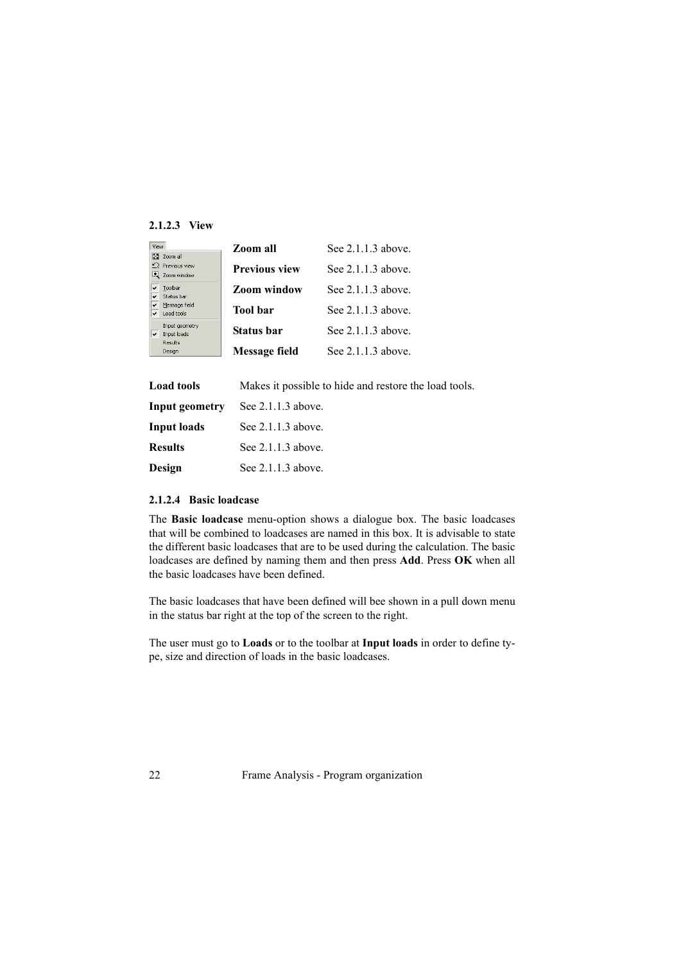#### <span id="page-21-0"></span>**2.1.2.3 View**

Γvi

| <b>View</b> | Zoom all                       | Zoom all             | See $2.1.1.3$ above. |
|-------------|--------------------------------|----------------------|----------------------|
| ∽           | Previous view<br>E Zoom window | <b>Previous view</b> | See $2.1.1.3$ above. |
|             | Toolbar<br>Status bar          | <b>Zoom window</b>   | See $2.1.1.3$ above. |
|             | Message field<br>Load tools    | <b>Tool</b> bar      | See $2.1.1.3$ above. |
|             | Input geometry<br>Input loads  | <b>Status bar</b>    | See $2.1.1.3$ above. |
|             | Results<br>Design              | <b>Message field</b> | See 2.1.1.3 above.   |

| <b>Load tools</b> | Makes it possible to hide and restore the load tools. |
|-------------------|-------------------------------------------------------|
| Input geometry    | See $2.1.1.3$ above.                                  |
| Input loads       | See $2.1.1.3$ above.                                  |
| <b>Results</b>    | See $2.1.1.3$ above.                                  |
| Design            | See 2.1.1.3 above.                                    |

#### **2.1.2.4 Basic loadcase**

The **Basic loadcase** menu-option shows a dialogue box. The basic loadcases that will be combined to loadcases are named in this box. It is advisable to state the different basic loadcases that are to be used during the calculation. The basic loadcases are defined by naming them and then press **Add**. Press **OK** when all the basic loadcases have been defined.

The basic loadcases that have been defined will bee shown in a pull down menu in the status bar right at the top of the screen to the right.

The user must go to **Loads** or to the toolbar at **Input loads** in order to define type, size and direction of loads in the basic loadcases.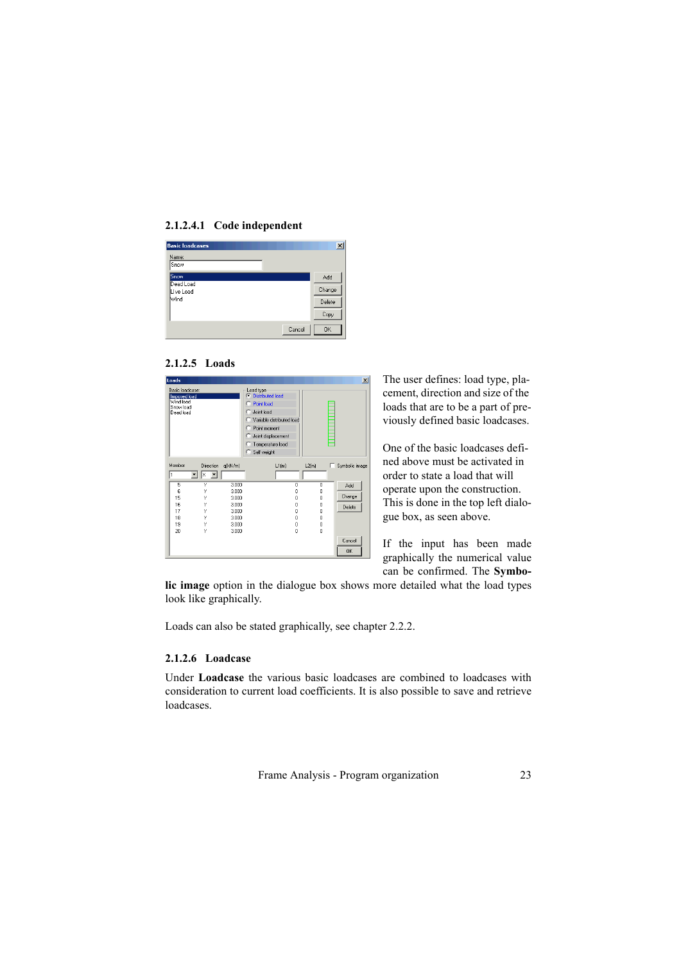<span id="page-22-0"></span>**2.1.2.4.1 Code independent**

| <b>Basic loadcases</b> |        | $\vert x \vert$ |
|------------------------|--------|-----------------|
| Name:<br>Snow          |        |                 |
| Snow                   |        | Add             |
| Dead Load<br>Live Load |        | Change          |
| Wind                   |        | Delete          |
|                        |        | Copy            |
|                        | Cancel | <b>OK</b>       |

## **2.1.2.5 Loads**

| Loads                                                                                                                |                                                                                                                                                                                          |                                                         | $\vert x \vert$       |
|----------------------------------------------------------------------------------------------------------------------|------------------------------------------------------------------------------------------------------------------------------------------------------------------------------------------|---------------------------------------------------------|-----------------------|
| Basic loadcase:<br>Imposed load<br>Wind load<br>Snow load<br>Dead load                                               | Load type<br>C Distributed load<br>Point load<br>n.<br>Joint load<br>n<br>C Variable distributed load<br>Point moment<br>o<br>Joint displacement<br>n<br>Temperature load<br>Self weight |                                                         |                       |
| Member<br>Direction<br>q(kN/m)<br>Ι×<br>1<br>▼∣<br>3.000<br>$\overline{5}$<br>Ÿ<br>6<br>3.000<br>Y                   | L1(m)<br>0<br>0                                                                                                                                                                          | L2(m)<br>г<br>$\overline{0}$<br>0                       | Symbolic image<br>Add |
| 15<br>Y<br>3.000<br>16<br>3.000<br>Y<br>17<br>Y<br>3.000<br>18<br>Ÿ<br>3.000<br>19<br>Y<br>3.000<br>Ÿ<br>20<br>3.000 | n<br>n<br>n<br>n<br>O<br>n                                                                                                                                                               | n<br>n<br>$\mathbf{0}$<br>0<br>$\mathbf{0}$<br>$\Omega$ | Change<br>Delete      |
|                                                                                                                      |                                                                                                                                                                                          |                                                         | Cancel<br>OK          |

The user defines: load type, placement, direction and size of the loads that are to be a part of previously defined basic loadcases.

One of the basic loadcases defined above must be activated in order to state a load that will operate upon the construction. This is done in the top left dialogue box, as seen above.

If the input has been made graphically the numerical value can be confirmed. The **Symbo-**

**lic image** option in the dialogue box shows more detailed what the load types look like graphically.

Loads can also be stated graphically, see chapter [2.2.2.](#page-37-0)

## **2.1.2.6 Loadcase**

Under **Loadcase** the various basic loadcases are combined to loadcases with consideration to current load coefficients. It is also possible to save and retrieve loadcases.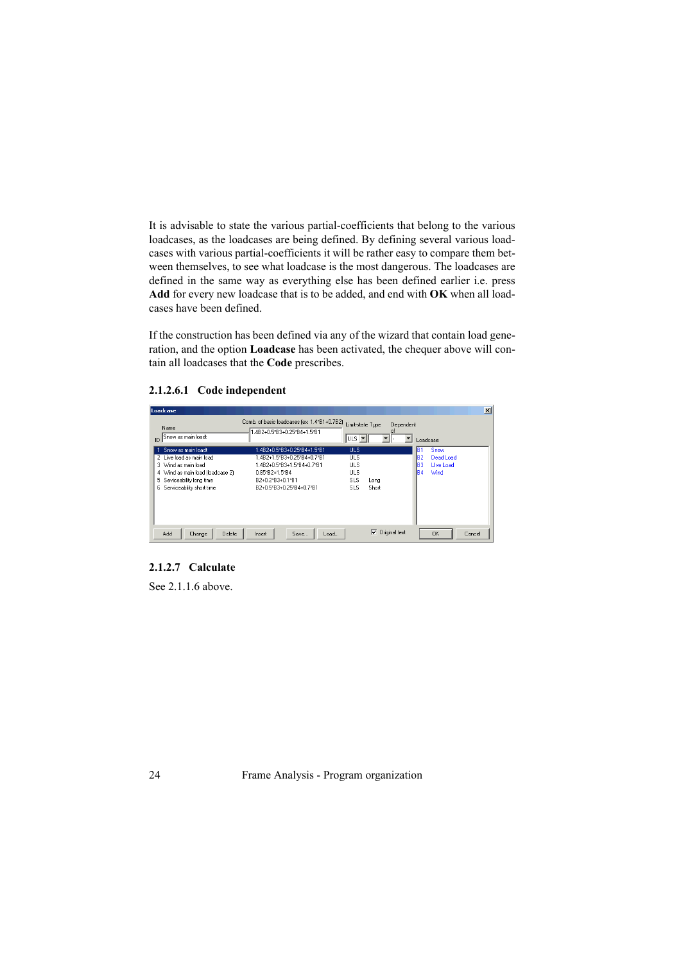<span id="page-23-0"></span>It is advisable to state the various partial-coefficients that belong to the various loadcases, as the loadcases are being defined. By defining several various loadcases with various partial-coefficients it will be rather easy to compare them between themselves, to see what loadcase is the most dangerous. The loadcases are defined in the same way as everything else has been defined earlier i.e. press **Add** for every new loadcase that is to be added, and end with **OK** when all loadcases have been defined.

If the construction has been defined via any of the wizard that contain load generation, and the option **Loadcase** has been activated, the chequer above will contain all loadcases that the **Code** prescribes.

|    | Loadcase                                                                                                                                                              |                                                                                                                                                            |                                                                                                   |                                                                    | $\vert x \vert$ |
|----|-----------------------------------------------------------------------------------------------------------------------------------------------------------------------|------------------------------------------------------------------------------------------------------------------------------------------------------------|---------------------------------------------------------------------------------------------------|--------------------------------------------------------------------|-----------------|
| ID | Name<br>Snow as main loadt                                                                                                                                            | Comb. of basic loadcases (ex. 1.4*B1+0.7B2)<br>.4B2+0.5°B3+0.25°B4+1.5°B1                                                                                  | Limit-state Type<br>of<br>ULS -                                                                   | Dependent<br>Loadcase:                                             |                 |
|    | Snow as main loadt<br>2 Live load as main load<br>3 Wind as main load<br>4 Wind as main load floadcase 21<br>5 Seviceability long time<br>6 Serviceability short time | 1.4B2+0.5*B3+0.25*B4+1.5*B1<br>1.4B2+1.5*B3+0.25*B4+0.7*B1<br>1.4B2+0.5*B3+1.5*B4+0.7*B1<br>0.85*B2+1.5*B4<br>B2+0.2*B3+0.1*B1<br>B2+0.5*B3+0.25*B4+0.7*B1 | <b>ULS</b><br><b>ULS</b><br><b>ULS</b><br><b>ULS</b><br><b>SLS</b><br>Long<br><b>SLS</b><br>Short | Snow<br>181<br>lB2<br>Dead Load<br>lB3<br>Live Load<br>IB4<br>Wind |                 |
|    | Add<br>Delete<br>Change                                                                                                                                               | Save<br>Load<br>Insert                                                                                                                                     | Original text<br>⊽                                                                                | <b>OK</b><br>Cancel                                                |                 |

#### **2.1.2.6.1 Code independent**

## **2.1.2.7 Calculate**

See [2.1.1.6](#page-16-0) above.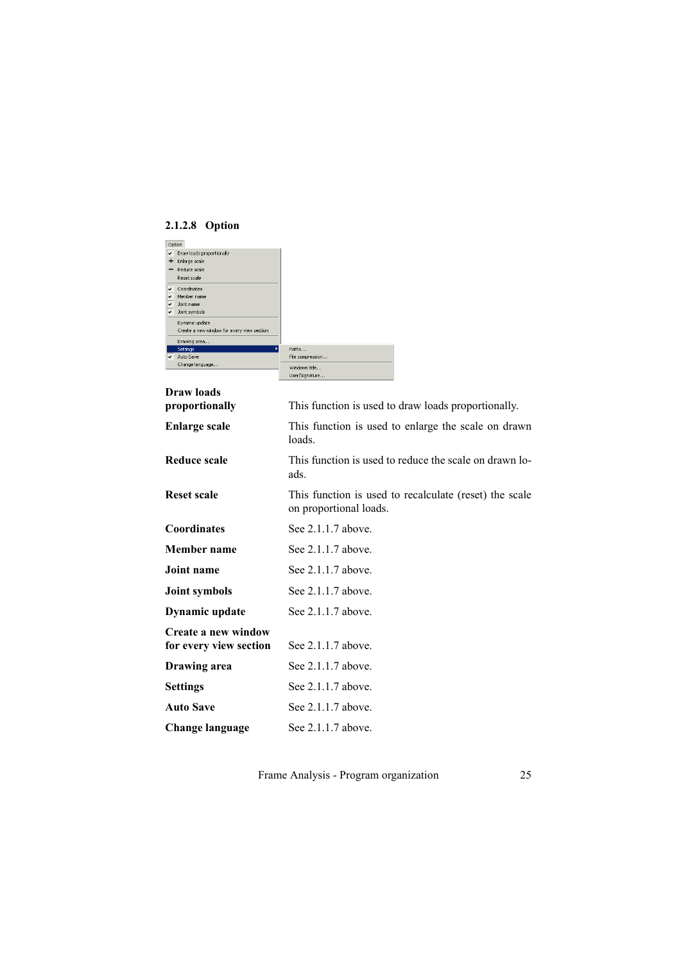### <span id="page-24-0"></span>**2.1.2.8 Option**



| <b>Draw loads</b><br>proportionally | This function is used to draw loads proportionally.                              |
|-------------------------------------|----------------------------------------------------------------------------------|
| <b>Enlarge scale</b>                | This function is used to enlarge the scale on drawn<br>loads.                    |
| Reduce scale                        | This function is used to reduce the scale on drawn lo-<br>ads.                   |
| <b>Reset scale</b>                  | This function is used to recalculate (reset) the scale<br>on proportional loads. |
| <b>Coordinates</b>                  | See 2.1.1.7 above.                                                               |
| Member name                         | See 2.1.1.7 above.                                                               |
| Joint name                          | See 2.1.1.7 above.                                                               |
| Joint symbols                       | See 2.1.1.7 above.                                                               |
| Dynamic update                      | See 2.1.1.7 above.                                                               |
| Create a new window                 |                                                                                  |
| for every view section              | See 2.1.1.7 above.                                                               |
| <b>Drawing</b> area                 | See 2.1.1.7 above.                                                               |
| <b>Settings</b>                     | See 2.1.1.7 above.                                                               |
| <b>Auto Save</b>                    | See 2.1.1.7 above.                                                               |
| <b>Change language</b>              | See 2.1.1.7 above.                                                               |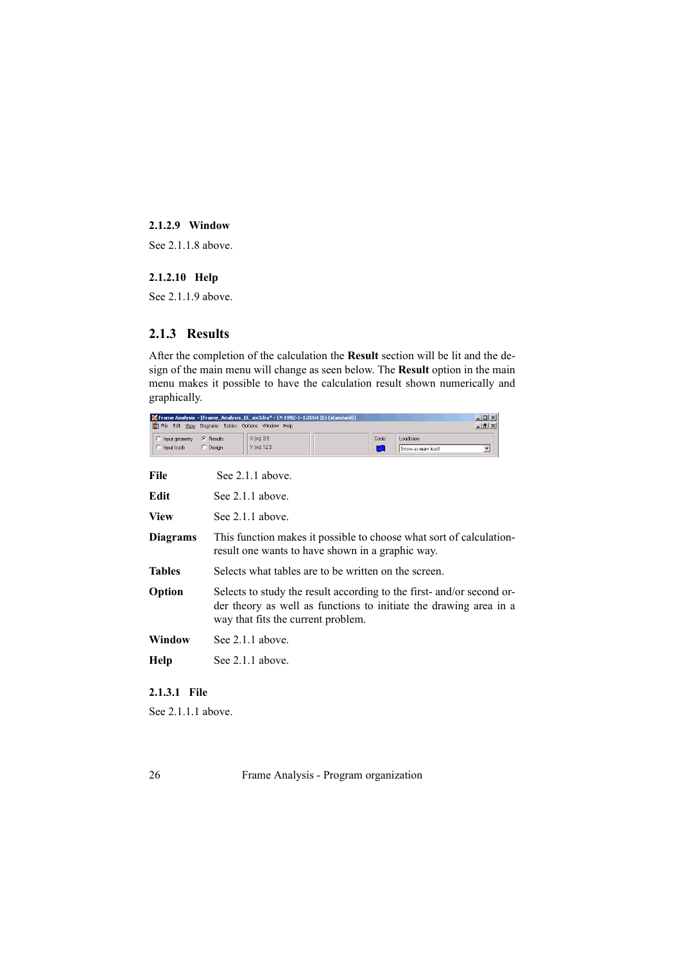#### <span id="page-25-0"></span>**2.1.2.9 Window**

See [2.1.1.8](#page-19-0) above.

## **2.1.2.10 Help**

See [2.1.1.9](#page-19-0) above.

## **2.1.3 Results**

After the completion of the calculation the **Result** section will be lit and the design of the main menu will change as seen below. The **Result** option in the main menu makes it possible to have the calculation result shown numerically and graphically.

| Z Frame Analysis - [Frame_Analysis_EC_ex3.fra* - EN 1992-1-1:2004 (E) (standard)] |                  |                                                    |  |       |                      |                |
|-----------------------------------------------------------------------------------|------------------|----------------------------------------------------|--|-------|----------------------|----------------|
|                                                                                   |                  | File Edit View Diagrams Tables Options Window Help |  |       |                      | $-10$ $\times$ |
| Input geometry                                                                    | <b>C</b> Results | $\times$ [m]: 3.5                                  |  | Code: | Loadcase             |                |
| Input loads                                                                       | Design           | Y (m): 12.5                                        |  | 隐     | l Snow as main loadt |                |

| File            | See $2.1.1$ above.                                                                                                                                                               |  |
|-----------------|----------------------------------------------------------------------------------------------------------------------------------------------------------------------------------|--|
| Edit            | See $2.1.1$ above.                                                                                                                                                               |  |
| <b>View</b>     | See $2.1.1$ above.                                                                                                                                                               |  |
| <b>Diagrams</b> | This function makes it possible to choose what sort of calculation-<br>result one wants to have shown in a graphic way.                                                          |  |
| <b>Tables</b>   | Selects what tables are to be written on the screen.                                                                                                                             |  |
| Option          | Selects to study the result according to the first- and/or second or-<br>der theory as well as functions to initiate the drawing area in a<br>way that fits the current problem. |  |
| Window          | See $2.1.1$ above.                                                                                                                                                               |  |
| <b>Help</b>     | See $2.1.1$ above.                                                                                                                                                               |  |

## **2.1.3.1 File**

See [2.1.1.1](#page-11-0) above.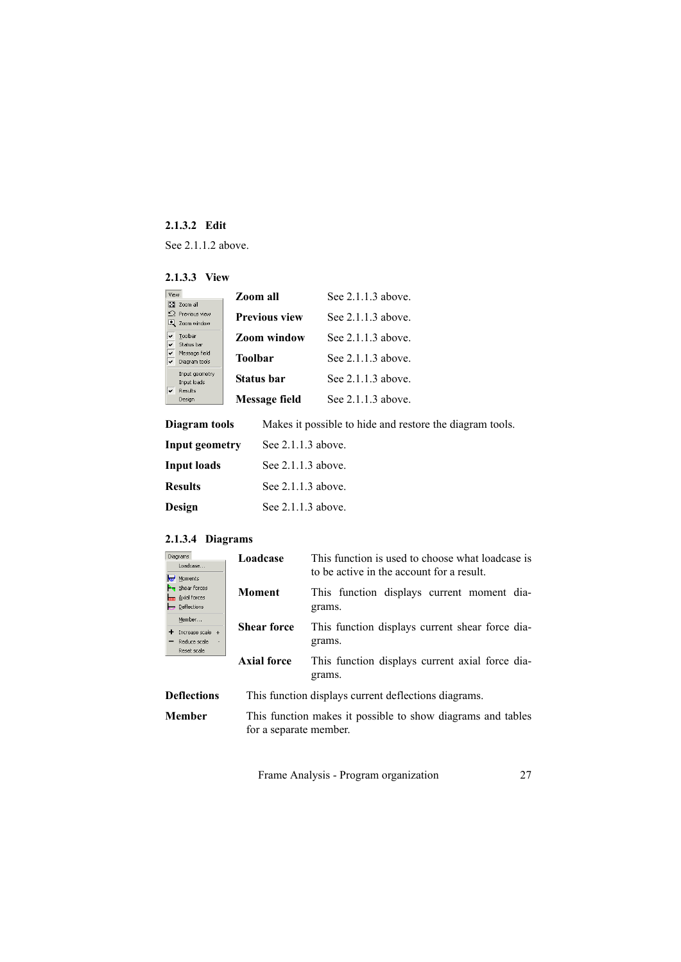#### <span id="page-26-0"></span>**2.1.3.2 Edit**

See [2.1.1.2](#page-12-0) above.

#### **2.1.3.3 View**

| View<br>⊠<br>Zoom all                                     | Zoom all             | See $2.1.1.3$ above. |
|-----------------------------------------------------------|----------------------|----------------------|
| $\Omega$ Previous view<br>E Zoom window                   | <b>Previous view</b> | See $2.1.1.3$ above. |
| Toolbar<br>$\checkmark$<br>Status bar<br>٠                | <b>Zoom window</b>   | See $2.1.1.3$ above. |
| $\overline{\mathbf{v}}$<br>Message field<br>Diagram tools | <b>Toolbar</b>       | See $2.1.1.3$ above. |
| Input geometry<br>Input loads                             | Status bar           | See $2.1.1.3$ above. |
| $\checkmark$<br>Results<br>Design                         | Message field        | See $2.1.1.3$ above. |

**Diagram tools** Makes it possible to hide and restore the diagram tools. **Input geometry** See [2.1.1.3](#page-12-0) above.

| Input loads    | See $2.1.1.3$ above. |
|----------------|----------------------|
| <b>Results</b> | See $2.1.1.3$ above. |
| Design         | See $2.1.1.3$ above. |

### **2.1.3.4 Diagrams**

| <b>Diagrams</b><br>Loadcase                                                            | Loadcase           | This function is used to choose what loadcase is            |  |  |
|----------------------------------------------------------------------------------------|--------------------|-------------------------------------------------------------|--|--|
| Moments                                                                                |                    | to be active in the account for a result.                   |  |  |
| $\mathbf{A}_{\mathbf{u}}$ Shear forces<br><b>mm</b> Axial forces<br><b>Deflections</b> | Moment             | This function displays current moment dia-<br>grams.        |  |  |
| Member<br>$+$ Increase scale $+$<br>Reduce scale<br>Reset scale                        | <b>Shear force</b> | This function displays current shear force dia-<br>grams.   |  |  |
|                                                                                        | <b>Axial force</b> | This function displays current axial force dia-<br>grams.   |  |  |
| Deflections                                                                            |                    | This function displays current deflections diagrams.        |  |  |
| Member                                                                                 |                    | This function makes it possible to show diagrams and tables |  |  |

for a separate member.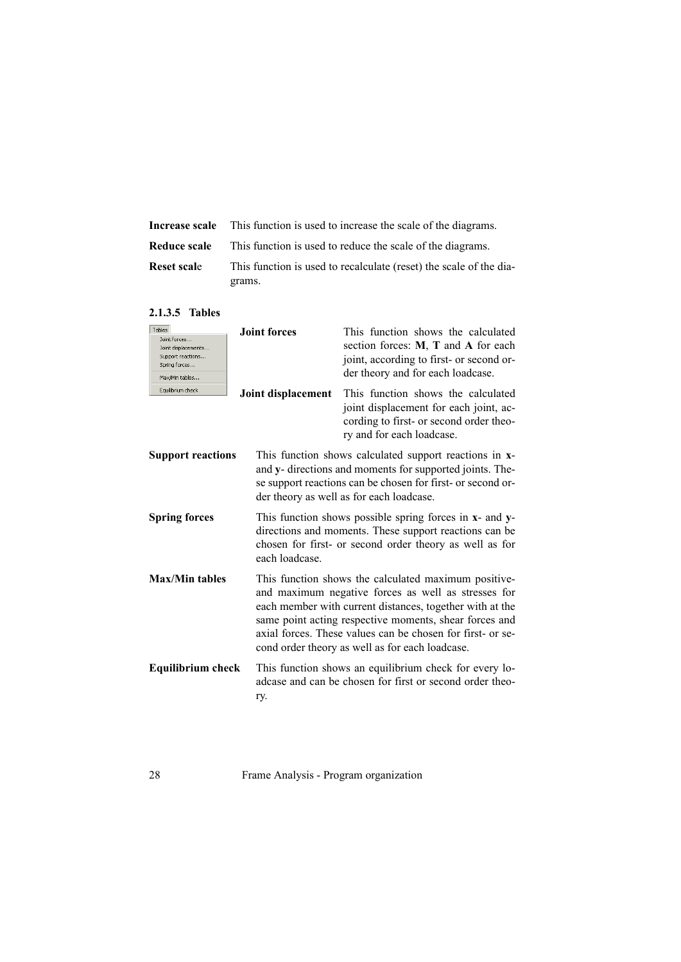<span id="page-27-0"></span>

| This function is used to increase the scale of the diagrams.                 |
|------------------------------------------------------------------------------|
| This function is used to reduce the scale of the diagrams.                   |
| This function is used to recalculate (reset) the scale of the dia-<br>grams. |
|                                                                              |

### **2.1.3.5 Tables**

| Tables<br>Joint forces<br>Joint displacements<br>Support reactions<br>Spring forces<br>Max/Min tables | <b>Joint forces</b> | This function shows the calculated<br>section forces: M, T and A for each<br>joint, according to first- or second or-<br>der theory and for each loadcase.                                                                                                                                                                                         |
|-------------------------------------------------------------------------------------------------------|---------------------|----------------------------------------------------------------------------------------------------------------------------------------------------------------------------------------------------------------------------------------------------------------------------------------------------------------------------------------------------|
| Equilibrium check                                                                                     | Joint displacement  | This function shows the calculated<br>joint displacement for each joint, ac-<br>cording to first- or second order theo-<br>ry and for each loadcase.                                                                                                                                                                                               |
| <b>Support reactions</b>                                                                              |                     | This function shows calculated support reactions in x-<br>and y-directions and moments for supported joints. The-<br>se support reactions can be chosen for first- or second or-<br>der theory as well as for each loadcase.                                                                                                                       |
| <b>Spring forces</b>                                                                                  | each loadcase       | This function shows possible spring forces in x- and y-<br>directions and moments. These support reactions can be<br>chosen for first- or second order theory as well as for                                                                                                                                                                       |
| Max/Min tables                                                                                        |                     | This function shows the calculated maximum positive-<br>and maximum negative forces as well as stresses for<br>each member with current distances, together with at the<br>same point acting respective moments, shear forces and<br>axial forces. These values can be chosen for first- or se-<br>cond order theory as well as for each loadcase. |
| Equilibrium check                                                                                     | ry.                 | This function shows an equilibrium check for every lo-<br>adcase and can be chosen for first or second order theo-                                                                                                                                                                                                                                 |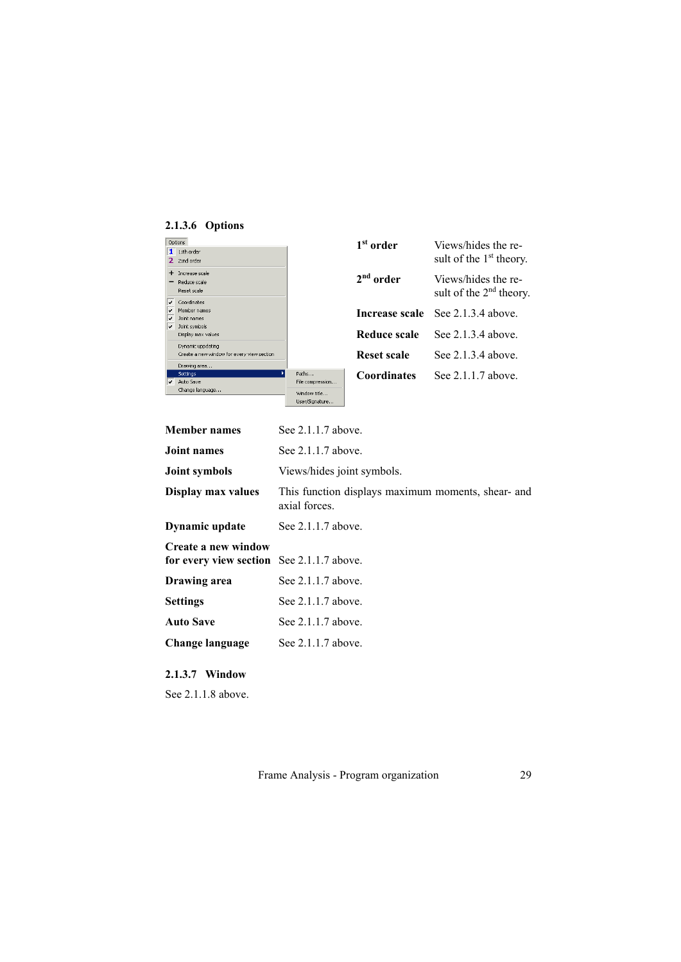## <span id="page-28-0"></span>**2.1.3.6 Options**

|                          | Options                                    |                  |
|--------------------------|--------------------------------------------|------------------|
|                          | 1:th order                                 |                  |
|                          | 2 2:nd order                               |                  |
| +                        | Increase scale                             |                  |
|                          | Reduce scale                               |                  |
|                          | Reset scale                                |                  |
| ✓                        | Coordinates                                |                  |
| $\overline{\phantom{0}}$ | Member names                               |                  |
| $\overline{\mathbf{v}}$  | Joint names                                |                  |
| $\overline{\phantom{0}}$ | Joint symbols                              |                  |
|                          | Display max values                         |                  |
|                          | Dynamic uppdating                          |                  |
|                          | Create a new window for every view section |                  |
|                          | Drawing area                               |                  |
|                          | Settings                                   | Paths            |
| $\checkmark$             | Auto Save                                  | File compression |
|                          | Change language                            | Window title     |
|                          |                                            | User/Signature   |

| 1 <sup>st</sup> order | Views/hides the re-<br>sult of the 1 <sup>st</sup> theory. |
|-----------------------|------------------------------------------------------------|
| $2nd$ order           | Views/hides the re-<br>sult of the 2 <sup>nd</sup> theory. |
| Increase scale        | See $2\ 1\ 3\ 4$ above                                     |
| <b>Reduce scale</b>   | See $2\ 1\ 3\ 4$ above                                     |
| Reset scale           | See $2.1.3.4$ above.                                       |
| Coordinates           | See 2 1 1 7 above                                          |

| <b>Member names</b>                                              | See 2.1.1.7 above.                                                  |
|------------------------------------------------------------------|---------------------------------------------------------------------|
| <b>Joint names</b>                                               | See $2.1.1.7$ above.                                                |
| <b>Joint symbols</b>                                             | Views/hides joint symbols.                                          |
| Display max values                                               | This function displays maximum moments, shear- and<br>axial forces. |
| Dynamic update                                                   | See 2.1.1.7 above.                                                  |
| Create a new window<br>for every view section See 2.1.1.7 above. |                                                                     |
| Drawing area                                                     | See $2.1.1.7$ above.                                                |
| <b>Settings</b>                                                  | See $2.1.1.7$ above.                                                |
| Auto Save                                                        | See $2.1.1.7$ above.                                                |
| Change language                                                  | See $2.1.1.7$ above.                                                |
|                                                                  |                                                                     |

### **2.1.3.7 Window**

See [2.1.1.8](#page-19-0) above.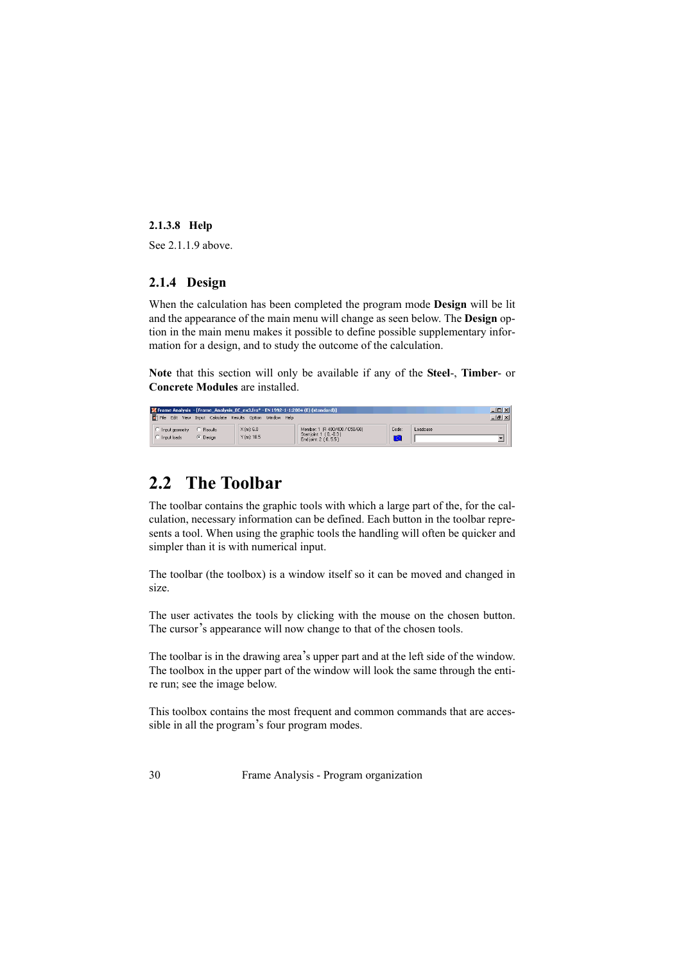### <span id="page-29-0"></span>**2.1.3.8 Help**

See [2.1.1.9](#page-19-0) above.

## **2.1.4 Design**

When the calculation has been completed the program mode **Design** will be lit and the appearance of the main menu will change as seen below. The **Design** option in the main menu makes it possible to define possible supplementary information for a design, and to study the outcome of the calculation.

**Note** that this section will only be available if any of the **Steel**-, **Timber**- or **Concrete Modules** are installed.

| Z Frame Analysis - [Frame_Analysis_EC_ex3.fra* - EN 1992-1-1:2004 (E) (standard)] |                                  |                                                                                      |       |          | $ \vert \Box \vert \times \vert \vert$ |
|-----------------------------------------------------------------------------------|----------------------------------|--------------------------------------------------------------------------------------|-------|----------|----------------------------------------|
| File Edit View Input Calculate Results Option Window Help                         |                                  |                                                                                      |       |          | $-12$ $\times$                         |
| Results<br>Input geometry<br>C Design<br>Input loads                              | $\times$ fml: 6.0<br>Y [m]: 18.5 | Member: 1 (R 400/400 / C50/60)<br>Start joint 1   0, -0.3  <br>End joint: 2 (0, 5.5) | Code: | Loadcase |                                        |

# **2.2 The Toolbar**

The toolbar contains the graphic tools with which a large part of the, for the calculation, necessary information can be defined. Each button in the toolbar represents a tool. When using the graphic tools the handling will often be quicker and simpler than it is with numerical input.

The toolbar (the toolbox) is a window itself so it can be moved and changed in size.

The user activates the tools by clicking with the mouse on the chosen button. The cursor's appearance will now change to that of the chosen tools.

The toolbar is in the drawing area's upper part and at the left side of the window. The toolbox in the upper part of the window will look the same through the entire run; see the image below.

This toolbox contains the most frequent and common commands that are accessible in all the program's four program modes.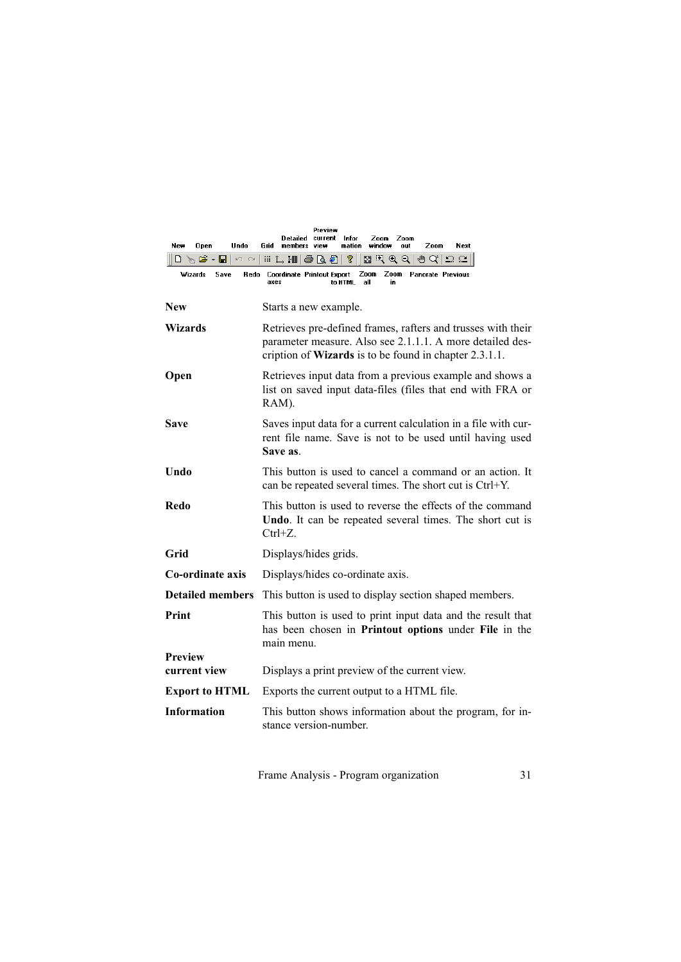| Undo<br>New<br>Open                                                                           | Preview<br>Detailed current<br>Infor<br>Zoom<br>Zoom<br>Grid members view<br>Zoom<br>Next<br>mation<br>window<br>out                                                                       |
|-----------------------------------------------------------------------------------------------|--------------------------------------------------------------------------------------------------------------------------------------------------------------------------------------------|
| $\triangleright$ $\beta$ $\cdot$ $\blacksquare$<br>D<br>$\mathbb{R}^m\mathbb{J}=\mathbb{C}^m$ | P<br>図<br>$H \circledcirc$<br>⊕ Q:∣<br>⊇ 2<br>⊞ L H<br>69 Q & I                                                                                                                            |
| Wizards<br>Save<br>Redo                                                                       | <b>Coordinate Printout Export</b><br>Zoom<br>Zoom<br><b>Panorate Previous</b><br>axes<br>to HTML<br>all<br>in                                                                              |
| <b>New</b>                                                                                    | Starts a new example.                                                                                                                                                                      |
| Wizards                                                                                       | Retrieves pre-defined frames, rafters and trusses with their<br>parameter measure. Also see 2.1.1.1. A more detailed des-<br>cription of <b>Wizards</b> is to be found in chapter 2.3.1.1. |
| Open                                                                                          | Retrieves input data from a previous example and shows a<br>list on saved input data-files (files that end with FRA or<br>RAM).                                                            |
| Save                                                                                          | Saves input data for a current calculation in a file with cur-<br>rent file name. Save is not to be used until having used<br>Save as.                                                     |
| Undo                                                                                          | This button is used to cancel a command or an action. It<br>can be repeated several times. The short cut is Ctrl+Y.                                                                        |
| Redo                                                                                          | This button is used to reverse the effects of the command<br>Undo. It can be repeated several times. The short cut is<br>$Ctrl+Z.$                                                         |
| Grid                                                                                          | Displays/hides grids.                                                                                                                                                                      |
| Co-ordinate axis                                                                              | Displays/hides co-ordinate axis.                                                                                                                                                           |
| <b>Detailed members</b>                                                                       | This button is used to display section shaped members.                                                                                                                                     |
| Print                                                                                         | This button is used to print input data and the result that<br>has been chosen in Printout options under File in the<br>main menu.                                                         |
| Preview                                                                                       |                                                                                                                                                                                            |
| current view                                                                                  | Displays a print preview of the current view.                                                                                                                                              |
| <b>Export to HTML</b>                                                                         | Exports the current output to a HTML file.                                                                                                                                                 |
| <b>Information</b>                                                                            | This button shows information about the program, for in-<br>stance version-number.                                                                                                         |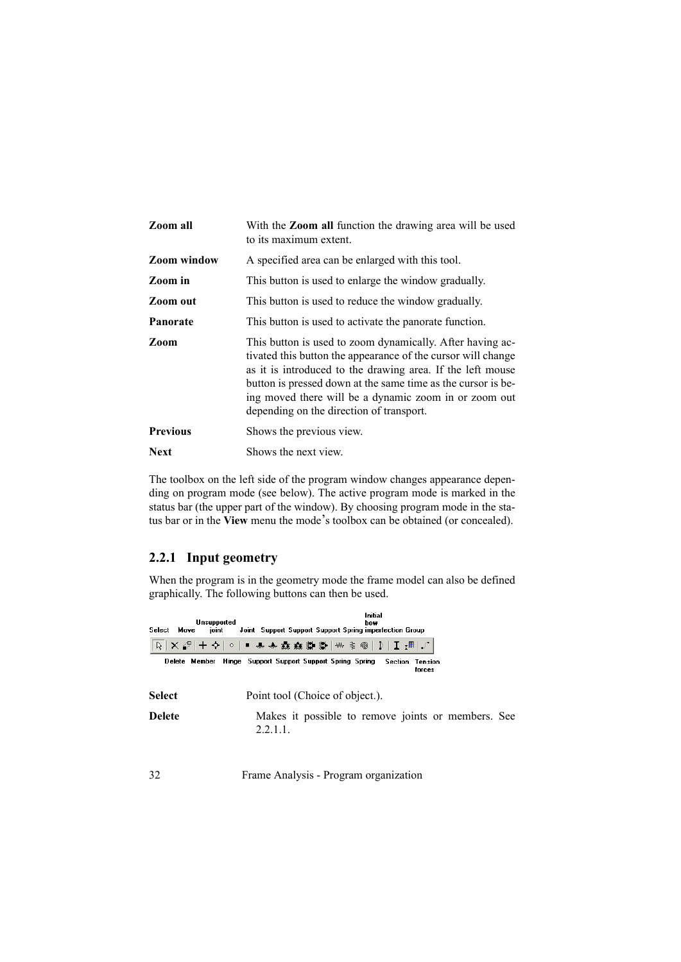<span id="page-31-0"></span>

| Zoom all           | With the <b>Zoom all</b> function the drawing area will be used<br>to its maximum extent.                                                                                                                                                                                                                                                                    |
|--------------------|--------------------------------------------------------------------------------------------------------------------------------------------------------------------------------------------------------------------------------------------------------------------------------------------------------------------------------------------------------------|
| <b>Zoom window</b> | A specified area can be enlarged with this tool.                                                                                                                                                                                                                                                                                                             |
| Zoom in            | This button is used to enlarge the window gradually.                                                                                                                                                                                                                                                                                                         |
| Zoom out           | This button is used to reduce the window gradually.                                                                                                                                                                                                                                                                                                          |
| Panorate           | This button is used to activate the panorate function.                                                                                                                                                                                                                                                                                                       |
| Zoom               | This button is used to zoom dynamically. After having ac-<br>tivated this button the appearance of the cursor will change<br>as it is introduced to the drawing area. If the left mouse<br>button is pressed down at the same time as the cursor is be-<br>ing moved there will be a dynamic zoom in or zoom out<br>depending on the direction of transport. |
| <b>Previous</b>    | Shows the previous view.                                                                                                                                                                                                                                                                                                                                     |
| <b>Next</b>        | Shows the next view.                                                                                                                                                                                                                                                                                                                                         |

The toolbox on the left side of the program window changes appearance depending on program mode (see below). The active program mode is marked in the status bar (the upper part of the window). By choosing program mode in the status bar or in the **View** menu the mode's toolbox can be obtained (or concealed).

## **2.2.1 Input geometry**

When the program is in the geometry mode the frame model can also be defined graphically. The following buttons can then be used.

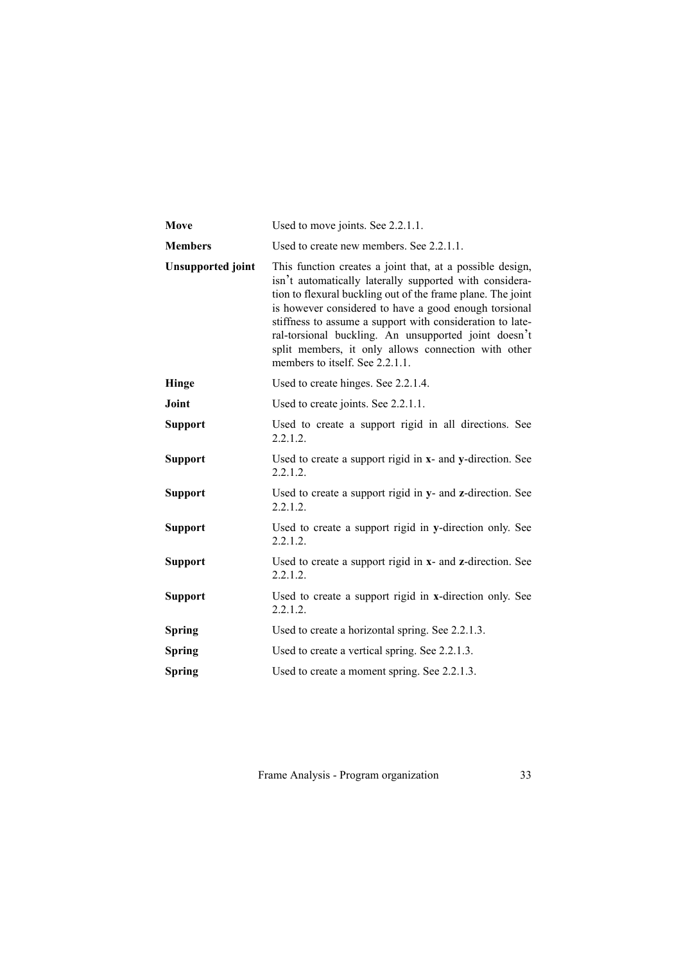| Move                     | Used to move joints. See 2.2.1.1.                                                                                                                                                                                                                                                                                                                                                                                                                           |
|--------------------------|-------------------------------------------------------------------------------------------------------------------------------------------------------------------------------------------------------------------------------------------------------------------------------------------------------------------------------------------------------------------------------------------------------------------------------------------------------------|
| <b>Members</b>           | Used to create new members. See 2.2.1.1.                                                                                                                                                                                                                                                                                                                                                                                                                    |
| <b>Unsupported joint</b> | This function creates a joint that, at a possible design,<br>isn't automatically laterally supported with considera-<br>tion to flexural buckling out of the frame plane. The joint<br>is however considered to have a good enough torsional<br>stiffness to assume a support with consideration to late-<br>ral-torsional buckling. An unsupported joint doesn't<br>split members, it only allows connection with other<br>members to itself. See 2.2.1.1. |
| Hinge                    | Used to create hinges. See 2.2.1.4.                                                                                                                                                                                                                                                                                                                                                                                                                         |
| Joint                    | Used to create joints. See 2.2.1.1.                                                                                                                                                                                                                                                                                                                                                                                                                         |
| <b>Support</b>           | Used to create a support rigid in all directions. See<br>2.2.1.2.                                                                                                                                                                                                                                                                                                                                                                                           |
| <b>Support</b>           | Used to create a support rigid in x- and y-direction. See<br>2.2.1.2.                                                                                                                                                                                                                                                                                                                                                                                       |
| <b>Support</b>           | Used to create a support rigid in y- and z-direction. See<br>2.2.1.2.                                                                                                                                                                                                                                                                                                                                                                                       |
| <b>Support</b>           | Used to create a support rigid in y-direction only. See<br>2.2.1.2.                                                                                                                                                                                                                                                                                                                                                                                         |
| <b>Support</b>           | Used to create a support rigid in x- and z-direction. See<br>2.2.1.2.                                                                                                                                                                                                                                                                                                                                                                                       |
| <b>Support</b>           | Used to create a support rigid in x-direction only. See<br>2.2.1.2.                                                                                                                                                                                                                                                                                                                                                                                         |
| <b>Spring</b>            | Used to create a horizontal spring. See 2.2.1.3.                                                                                                                                                                                                                                                                                                                                                                                                            |
| <b>Spring</b>            | Used to create a vertical spring. See 2.2.1.3.                                                                                                                                                                                                                                                                                                                                                                                                              |
| Spring                   | Used to create a moment spring. See 2.2.1.3.                                                                                                                                                                                                                                                                                                                                                                                                                |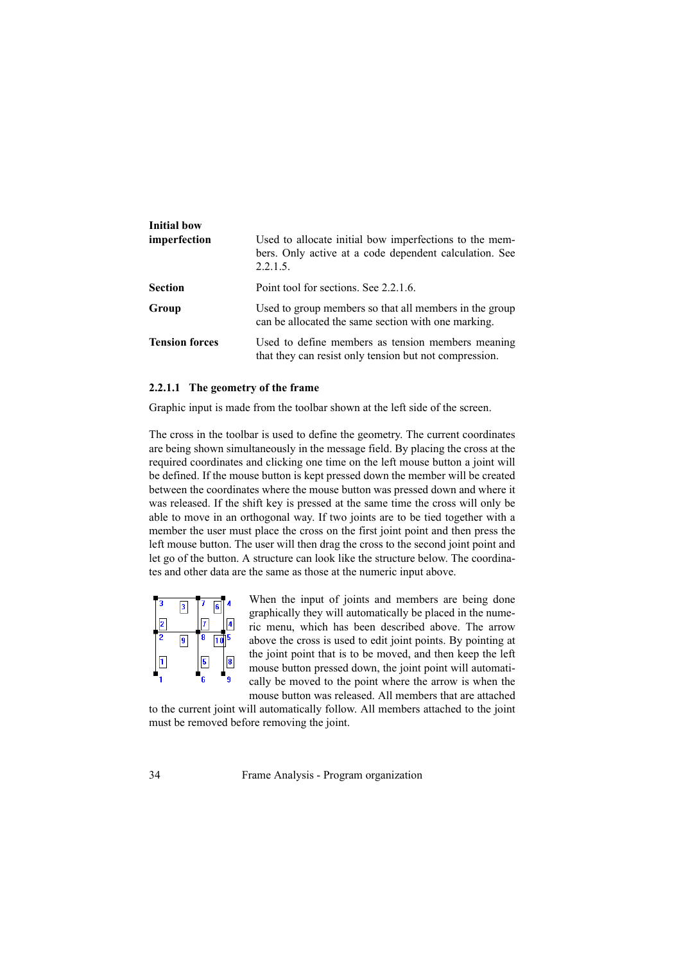<span id="page-33-0"></span>

| <b>Initial bow</b>    |                                                                                                                                 |
|-----------------------|---------------------------------------------------------------------------------------------------------------------------------|
| imperfection          | Used to allocate initial bow imperfections to the mem-<br>bers. Only active at a code dependent calculation. See<br>$2.2.1.5$ . |
| <b>Section</b>        | Point tool for sections. See 2.2.1.6.                                                                                           |
| Group                 | Used to group members so that all members in the group<br>can be allocated the same section with one marking.                   |
| <b>Tension forces</b> | Used to define members as tension members meaning<br>that they can resist only tension but not compression.                     |

#### **2.2.1.1 The geometry of the frame**

Graphic input is made from the toolbar shown at the left side of the screen.

The cross in the toolbar is used to define the geometry. The current coordinates are being shown simultaneously in the message field. By placing the cross at the required coordinates and clicking one time on the left mouse button a joint will be defined. If the mouse button is kept pressed down the member will be created between the coordinates where the mouse button was pressed down and where it was released. If the shift key is pressed at the same time the cross will only be able to move in an orthogonal way. If two joints are to be tied together with a member the user must place the cross on the first joint point and then press the left mouse button. The user will then drag the cross to the second joint point and let go of the button. A structure can look like the structure below. The coordinates and other data are the same as those at the numeric input above.



When the input of joints and members are being done graphically they will automatically be placed in the numeric menu, which has been described above. The arrow above the cross is used to edit joint points. By pointing at the joint point that is to be moved, and then keep the left mouse button pressed down, the joint point will automatically be moved to the point where the arrow is when the mouse button was released. All members that are attached

to the current joint will automatically follow. All members attached to the joint must be removed before removing the joint.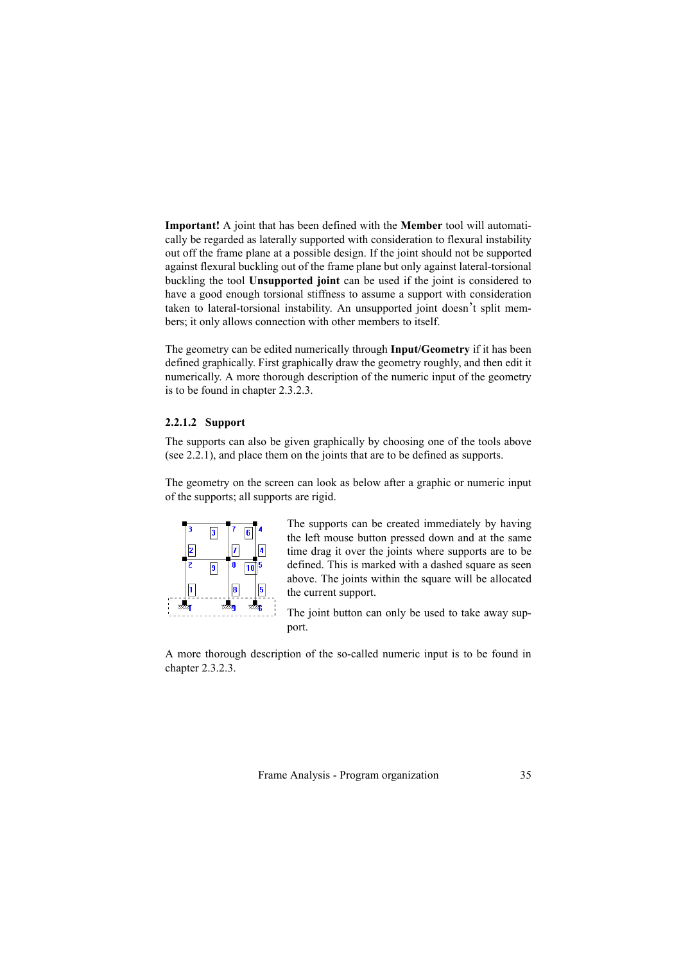<span id="page-34-0"></span>**Important!** A joint that has been defined with the **Member** tool will automatically be regarded as laterally supported with consideration to flexural instability out off the frame plane at a possible design. If the joint should not be supported against flexural buckling out of the frame plane but only against lateral-torsional buckling the tool **Unsupported joint** can be used if the joint is considered to have a good enough torsional stiffness to assume a support with consideration taken to lateral-torsional instability. An unsupported joint doesn't split members; it only allows connection with other members to itself.

The geometry can be edited numerically through **Input/Geometry** if it has been defined graphically. First graphically draw the geometry roughly, and then edit it numerically. A more thorough description of the numeric input of the geometry is to be found in chapter [2.3.2.3](#page-58-0).

### **2.2.1.2 Support**

The supports can also be given graphically by choosing one of the tools above (see [2.2.1](#page-31-0)), and place them on the joints that are to be defined as supports.

The geometry on the screen can look as below after a graphic or numeric input of the supports; all supports are rigid.



The supports can be created immediately by having the left mouse button pressed down and at the same time drag it over the joints where supports are to be defined. This is marked with a dashed square as seen above. The joints within the square will be allocated the current support.

The joint button can only be used to take away support.

A more thorough description of the so-called numeric input is to be found in chapter [2.3.2.3](#page-58-0).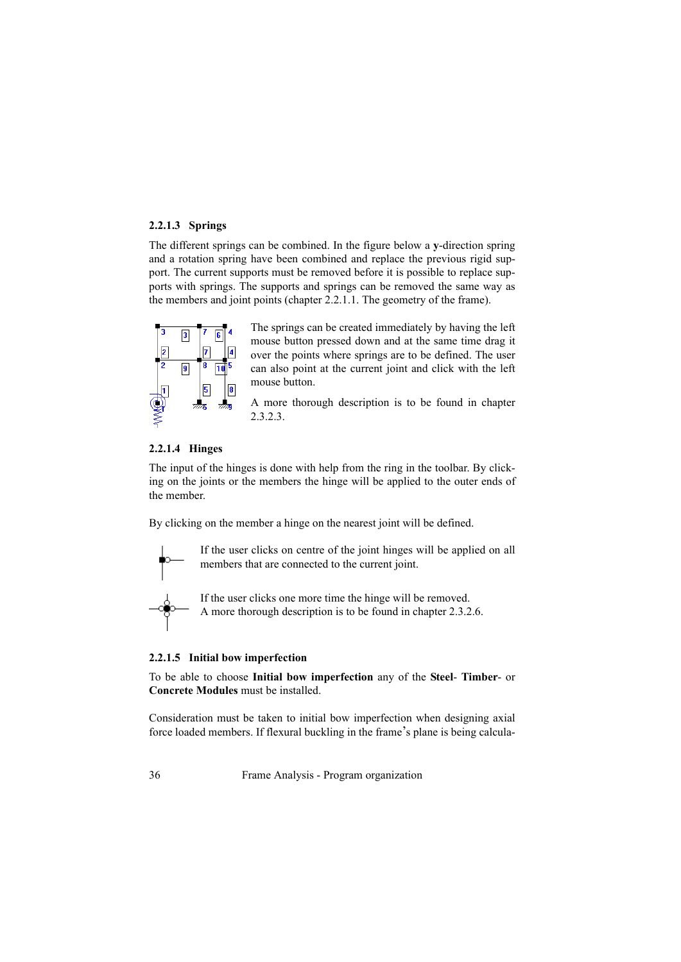### <span id="page-35-0"></span>**2.2.1.3 Springs**

The different springs can be combined. In the figure below a **y**-direction spring and a rotation spring have been combined and replace the previous rigid support. The current supports must be removed before it is possible to replace supports with springs. The supports and springs can be removed the same way as the members and joint points (chapter [2.2.1.1](#page-33-0). The geometry of the frame).



The springs can be created immediately by having the left mouse button pressed down and at the same time drag it over the points where springs are to be defined. The user can also point at the current joint and click with the left mouse button.

A more thorough description is to be found in chapter [2.3.2.3.](#page-58-0)

### **2.2.1.4 Hinges**

The input of the hinges is done with help from the ring in the toolbar. By clicking on the joints or the members the hinge will be applied to the outer ends of the member.

By clicking on the member a hinge on the nearest joint will be defined.



If the user clicks on centre of the joint hinges will be applied on all members that are connected to the current joint.



If the user clicks one more time the hinge will be removed. A more thorough description is to be found in chapter [2.3.2.6](#page-63-0).

## **2.2.1.5 Initial bow imperfection**

To be able to choose **Initial bow imperfection** any of the **Steel**- **Timber**- or **Concrete Modules** must be installed.

Consideration must be taken to initial bow imperfection when designing axial force loaded members. If flexural buckling in the frame's plane is being calcula-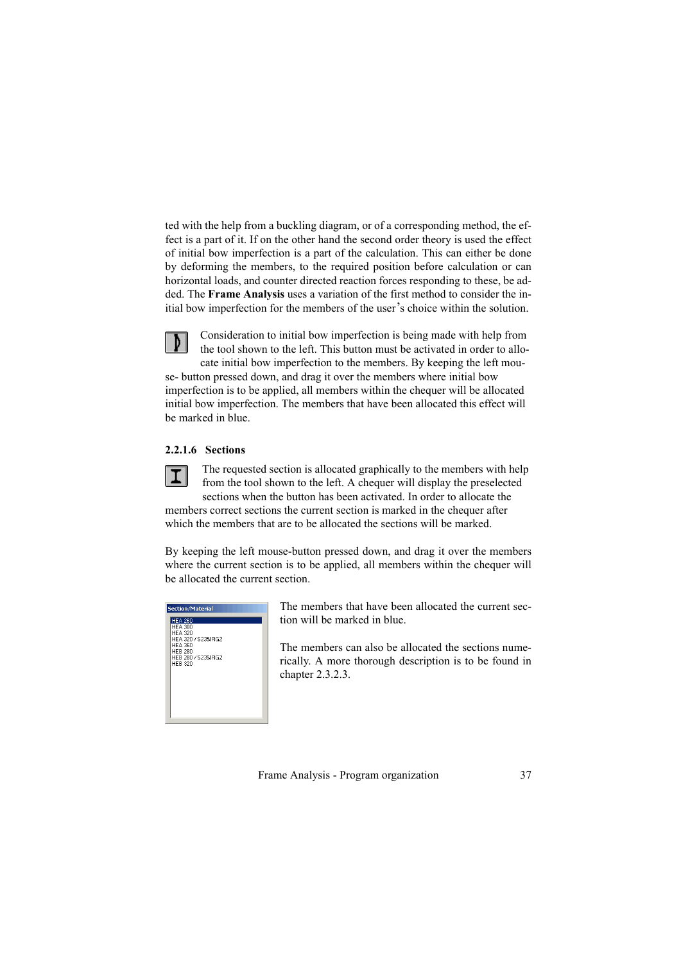ted with the help from a buckling diagram, or of a corresponding method, the effect is a part of it. If on the other hand the second order theory is used the effect of initial bow imperfection is a part of the calculation. This can either be done by deforming the members, to the required position before calculation or can horizontal loads, and counter directed reaction forces responding to these, be added. The **Frame Analysis** uses a variation of the first method to consider the initial bow imperfection for the members of the user's choice within the solution.



Consideration to initial bow imperfection is being made with help from the tool shown to the left. This button must be activated in order to allocate initial bow imperfection to the members. By keeping the left mouse- button pressed down, and drag it over the members where initial bow

imperfection is to be applied, all members within the chequer will be allocated initial bow imperfection. The members that have been allocated this effect will be marked in blue.

## **2.2.1.6 Sections**



The requested section is allocated graphically to the members with help from the tool shown to the left. A chequer will display the preselected sections when the button has been activated. In order to allocate the

members correct sections the current section is marked in the chequer after which the members that are to be allocated the sections will be marked.

By keeping the left mouse-button pressed down, and drag it over the members where the current section is to be applied, all members within the chequer will be allocated the current section.



The members that have been allocated the current section will be marked in blue.

The members can also be allocated the sections numerically. A more thorough description is to be found in chapter [2.3.2.3](#page-58-0).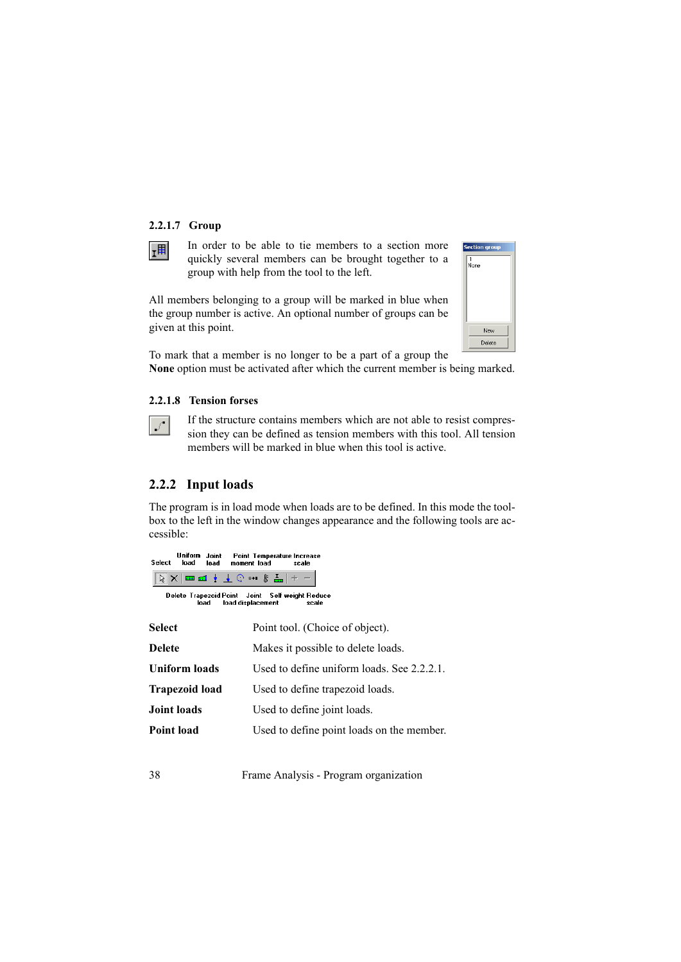## **2.2.1.7 Group**



 $\mathcal{J}$ 

In order to be able to tie members to a section more quickly several members can be brought together to a group with help from the tool to the left.

All members belonging to a group will be marked in blue when the group number is active. An optional number of groups can be given at this point.



To mark that a member is no longer to be a part of a group the

**None** option must be activated after which the current member is being marked.

## **2.2.1.8 Tension forses**

If the structure contains members which are not able to resist compression they can be defined as tension members with this tool. All tension members will be marked in blue when this tool is active.

# **2.2.2 Input loads**

The program is in load mode when loads are to be defined. In this mode the toolbox to the left in the window changes appearance and the following tools are accessible:

| Uniform Joint<br>Point Temperature Increase<br>Select<br>load<br>moment load<br>load<br>scale<br>$\sqrt{2}$ $\times$ $\vert$ $\overline{1}$ $\overline{2}$ $\overline{4}$ $\overline{1}$ $\overline{4}$ $\overline{2}$ $\overline{4}$ $\overline{3}$ $\overline{4}$ $\overline{2}$ $\overline{3}$ $\overline{4}$ $\overline{2}$ $\overline{3}$ $\overline{4}$ $\overline{2}$ $\overline{4}$ $\overline{2}$ $\overline{3}$ $\overline{4}$ $\overline{2}$ $\overline{3}$ $\overline{$<br>Delete Trapezoid Point Joint Self weight Reduce<br>load displacement<br>load<br>scale |                                            |  |
|------------------------------------------------------------------------------------------------------------------------------------------------------------------------------------------------------------------------------------------------------------------------------------------------------------------------------------------------------------------------------------------------------------------------------------------------------------------------------------------------------------------------------------------------------------------------------|--------------------------------------------|--|
| Select                                                                                                                                                                                                                                                                                                                                                                                                                                                                                                                                                                       | Point tool. (Choice of object).            |  |
| Delete                                                                                                                                                                                                                                                                                                                                                                                                                                                                                                                                                                       | Makes it possible to delete loads.         |  |
| Uniform loads                                                                                                                                                                                                                                                                                                                                                                                                                                                                                                                                                                | Used to define uniform loads. See 2.2.2.1. |  |
| Trapezoid load                                                                                                                                                                                                                                                                                                                                                                                                                                                                                                                                                               | Used to define trapezoid loads.            |  |
| Joint loads                                                                                                                                                                                                                                                                                                                                                                                                                                                                                                                                                                  | Used to define joint loads.                |  |
| Point load                                                                                                                                                                                                                                                                                                                                                                                                                                                                                                                                                                   | Used to define point loads on the member.  |  |
|                                                                                                                                                                                                                                                                                                                                                                                                                                                                                                                                                                              |                                            |  |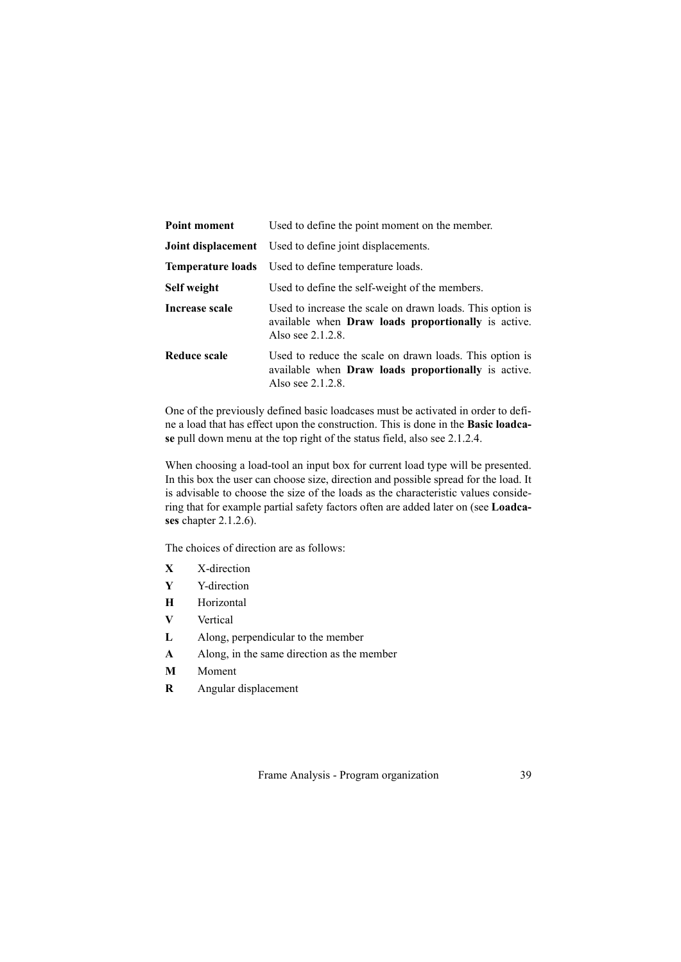| <b>Point moment</b>   | Used to define the point moment on the member.                                                                                           |
|-----------------------|------------------------------------------------------------------------------------------------------------------------------------------|
|                       | <b>Joint displacement</b> Used to define joint displacements.                                                                            |
|                       | <b>Temperature loads</b> Used to define temperature loads.                                                                               |
| Self weight           | Used to define the self-weight of the members.                                                                                           |
| <b>Increase scale</b> | Used to increase the scale on drawn loads. This option is<br>available when Draw loads proportionally is active.<br>Also see $2.1.2.8$ . |
| <b>Reduce scale</b>   | Used to reduce the scale on drawn loads. This option is<br>available when Draw loads proportionally is active.<br>Also see 2.1.2.8.      |

One of the previously defined basic loadcases must be activated in order to define a load that has effect upon the construction. This is done in the **Basic loadcase** pull down menu at the top right of the status field, also see [2.1.2.4](#page-21-0).

When choosing a load-tool an input box for current load type will be presented. In this box the user can choose size, direction and possible spread for the load. It is advisable to choose the size of the loads as the characteristic values considering that for example partial safety factors often are added later on (see **Loadcases** chapter [2.1.2.6\)](#page-22-0).

The choices of direction are as follows:

| X | X-direction |
|---|-------------|
|   |             |

- **Y** Y-direction
- **H** Horizontal
- **V** Vertical
- **L** Along, perpendicular to the member
- **A** Along, in the same direction as the member
- **M** Moment
- **R** Angular displacement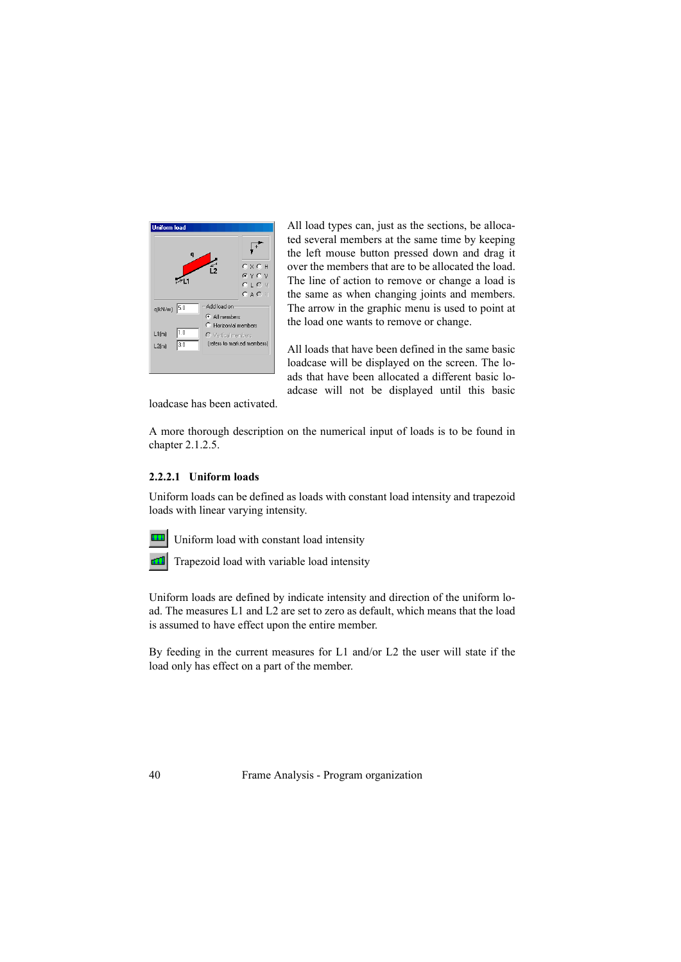<span id="page-39-0"></span>

All load types can, just as the sections, be allocated several members at the same time by keeping the left mouse button pressed down and drag it over the members that are to be allocated the load. The line of action to remove or change a load is the same as when changing joints and members. The arrow in the graphic menu is used to point at the load one wants to remove or change.

All loads that have been defined in the same basic loadcase will be displayed on the screen. The loads that have been allocated a different basic loadcase will not be displayed until this basic

loadcase has been activated.

A more thorough description on the numerical input of loads is to be found in chapter [2.1.2.5.](#page-22-0)

## **2.2.2.1 Uniform loads**

Uniform loads can be defined as loads with constant load intensity and trapezoid loads with linear varying intensity.

Uniform load with constant load intensity

Trapezoid load with variable load intensity

Uniform loads are defined by indicate intensity and direction of the uniform load. The measures L1 and L2 are set to zero as default, which means that the load is assumed to have effect upon the entire member.

By feeding in the current measures for L1 and/or L2 the user will state if the load only has effect on a part of the member.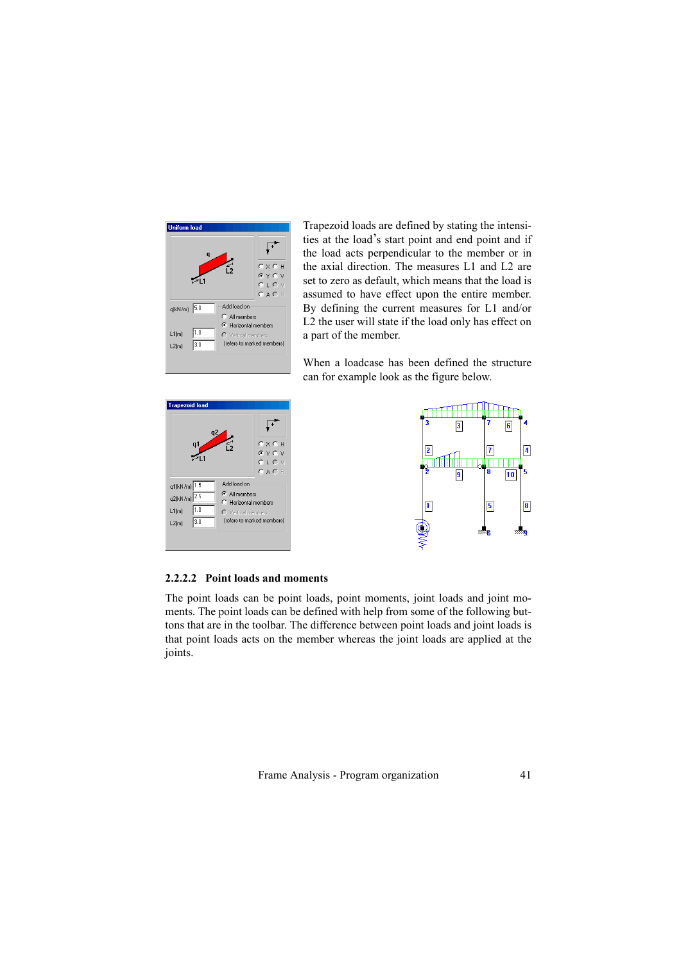

Trapezoid loads are defined by stating the intensities at the load's start point and end point and if the load acts perpendicular to the member or in the axial direction. The measures L1 and L2 are set to zero as default, which means that the load is assumed to have effect upon the entire member. By defining the current measures for L1 and/or L2 the user will state if the load only has effect on a part of the member.

When a loadcase has been defined the structure can for example look as the figure below.





### **2.2.2.2 Point loads and moments**

The point loads can be point loads, point moments, joint loads and joint moments. The point loads can be defined with help from some of the following buttons that are in the toolbar. The difference between point loads and joint loads is that point loads acts on the member whereas the joint loads are applied at the joints.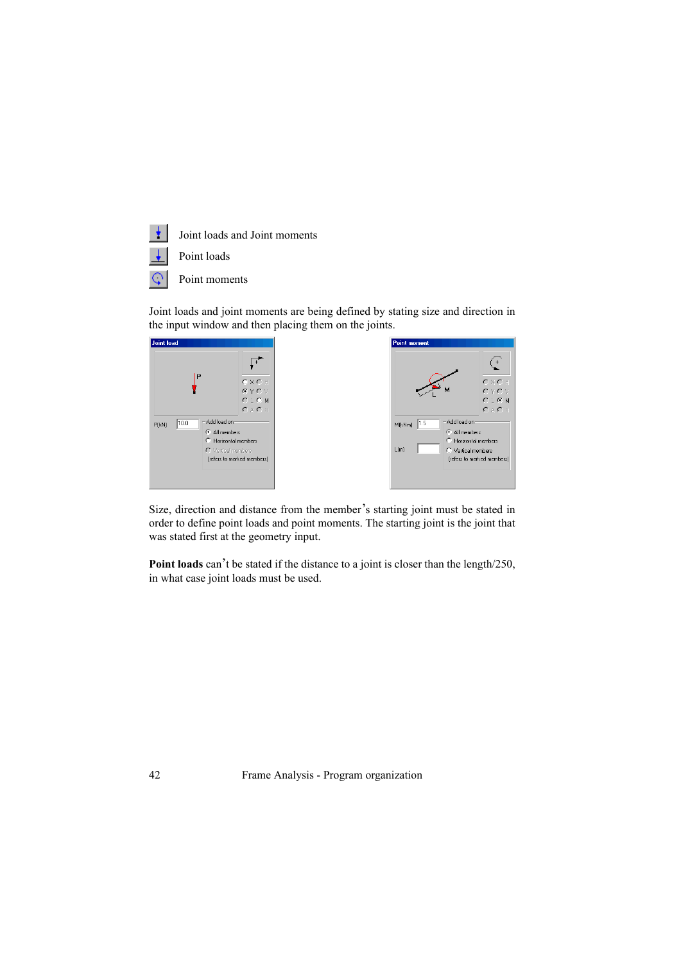

Joint loads and Joint moments

Point loads

Point moments

Joint loads and joint moments are being defined by stating size and direction in the input window and then placing them on the joints.



Size, direction and distance from the member's starting joint must be stated in order to define point loads and point moments. The starting joint is the joint that was stated first at the geometry input.

**Point loads** can't be stated if the distance to a joint is closer than the length/250, in what case joint loads must be used.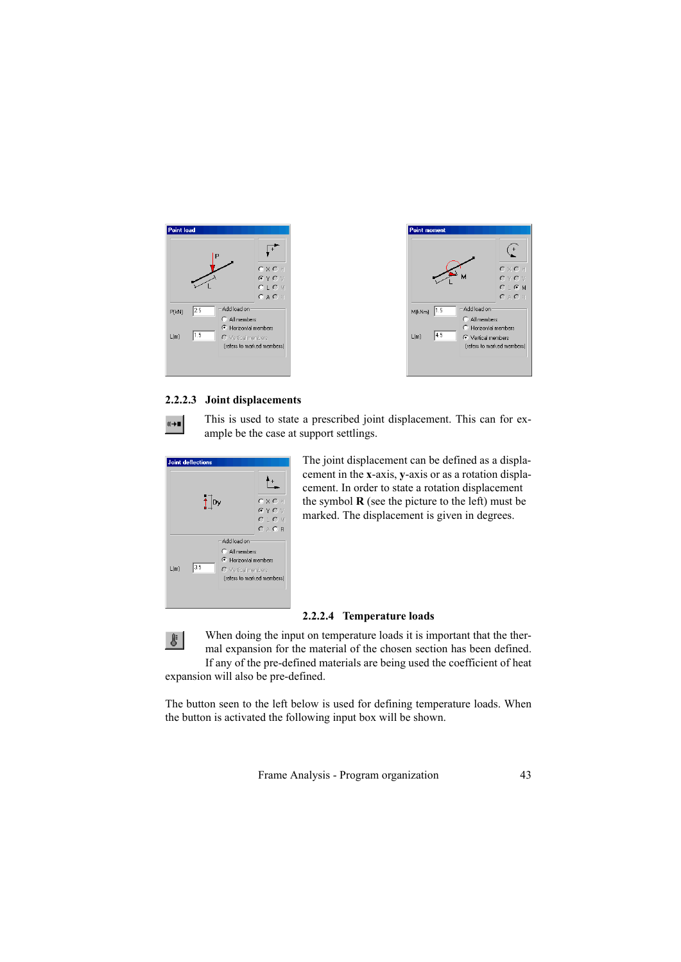<span id="page-42-0"></span>



#### **2.2.2.3 Joint displacements**

This is used to state a prescribed joint displacement. This can for example be the case at support settlings.

|      | <b>Joint deflections</b> |                                                                                                                  |
|------|--------------------------|------------------------------------------------------------------------------------------------------------------|
|      | $\frac{1}{1}$ Dy         | $O \times O H$<br>C Y C V<br><b>CLCM</b><br>$C \wedge C$ R                                                       |
| L(m) | 3.5                      | Add load on<br>C All members<br>C Horizontal members<br>$\bigcap$ Vertical members<br>(refers to marked members) |

The joint displacement can be defined as a displacement in the **x**-axis, **y**-axis or as a rotation displacement. In order to state a rotation displacement the symbol  $\bf{R}$  (see the picture to the left) must be marked. The displacement is given in degrees.

**2.2.2.4 Temperature loads**



«→∎

When doing the input on temperature loads it is important that the thermal expansion for the material of the chosen section has been defined.

If any of the pre-defined materials are being used the coefficient of heat expansion will also be pre-defined.

The button seen to the left below is used for defining temperature loads. When the button is activated the following input box will be shown.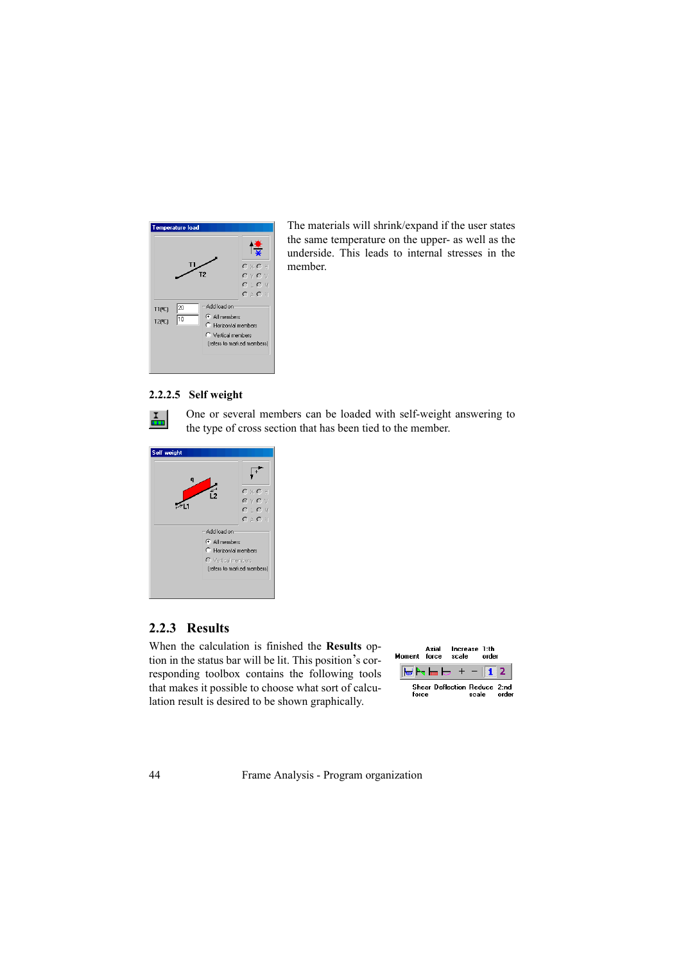<span id="page-43-0"></span>

The materials will shrink/expand if the user states the same temperature on the upper- as well as the underside. This leads to internal stresses in the member.

## **2.2.2.5 Self weight**



One or several members can be loaded with self-weight answering to the type of cross section that has been tied to the member.

| Self weight |                                                          |                                                                 |
|-------------|----------------------------------------------------------|-----------------------------------------------------------------|
| q           |                                                          | $O \times O H$<br>C Y C V<br>$O$ L $O$ M<br>$C \wedge C \wedge$ |
|             | Add load on                                              |                                                                 |
|             | C All members                                            |                                                                 |
|             | C Horizontal members                                     |                                                                 |
|             | $\bigcap$ Vertical members<br>(refers to marked members) |                                                                 |
|             |                                                          |                                                                 |

## **2.2.3 Results**

When the calculation is finished the **Results** option in the status bar will be lit. This position's corresponding toolbox contains the following tools that makes it possible to choose what sort of calculation result is desired to be shown graphically.

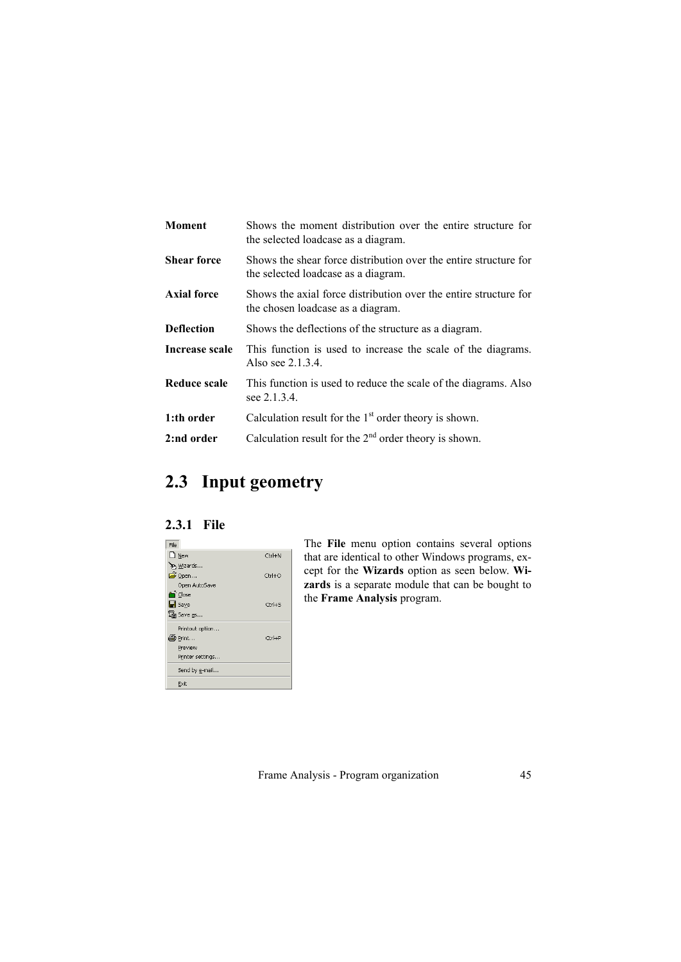| <b>Moment</b>      | Shows the moment distribution over the entire structure for<br>the selected loadcase as a diagram.      |
|--------------------|---------------------------------------------------------------------------------------------------------|
| <b>Shear force</b> | Shows the shear force distribution over the entire structure for<br>the selected loadcase as a diagram. |
| <b>Axial force</b> | Shows the axial force distribution over the entire structure for<br>the chosen loadcase as a diagram.   |
| <b>Deflection</b>  | Shows the deflections of the structure as a diagram.                                                    |
| Increase scale     | This function is used to increase the scale of the diagrams.<br>Also see 2.1.3.4.                       |
| Reduce scale       | This function is used to reduce the scale of the diagrams. Also<br>see 2.1.3.4.                         |
| 1:th order         | Calculation result for the $1st$ order theory is shown.                                                 |
| 2:nd order         | Calculation result for the $2nd$ order theory is shown.                                                 |

# **2.3 Input geometry**

## **2.3.1 File**



The **File** menu option contains several options that are identical to other Windows programs, except for the **Wizards** option as seen below. **Wizards** is a separate module that can be bought to the **Frame Analysis** program.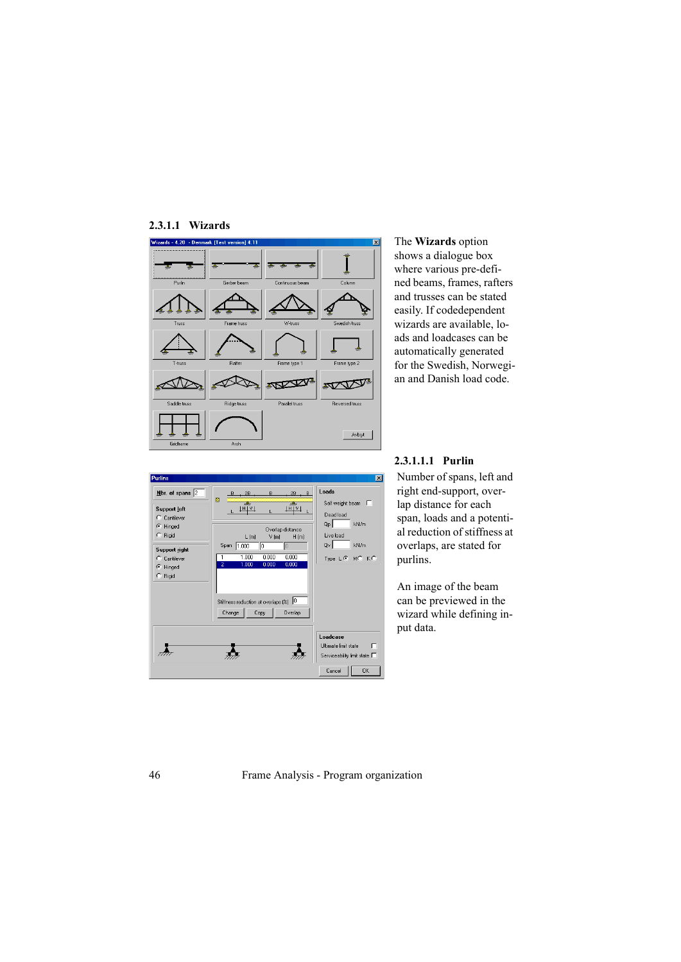#### <span id="page-45-0"></span>**2.3.1.1 Wizards**



The **Wizards** option shows a dialogue box where various pre-defined beams, frames, rafters and trusses can be stated easily. If codedependent wizards are available, loads and loadcases can be automatically generated for the Swedish, Norwegian and Danish load code.



#### **2.3.1.1.1 Purlin**

Number of spans, left and right end-support, overlap distance for each span, loads and a potential reduction of stiffness at overlaps, are stated for purlins.

An image of the beam can be previewed in the wizard while defining input data.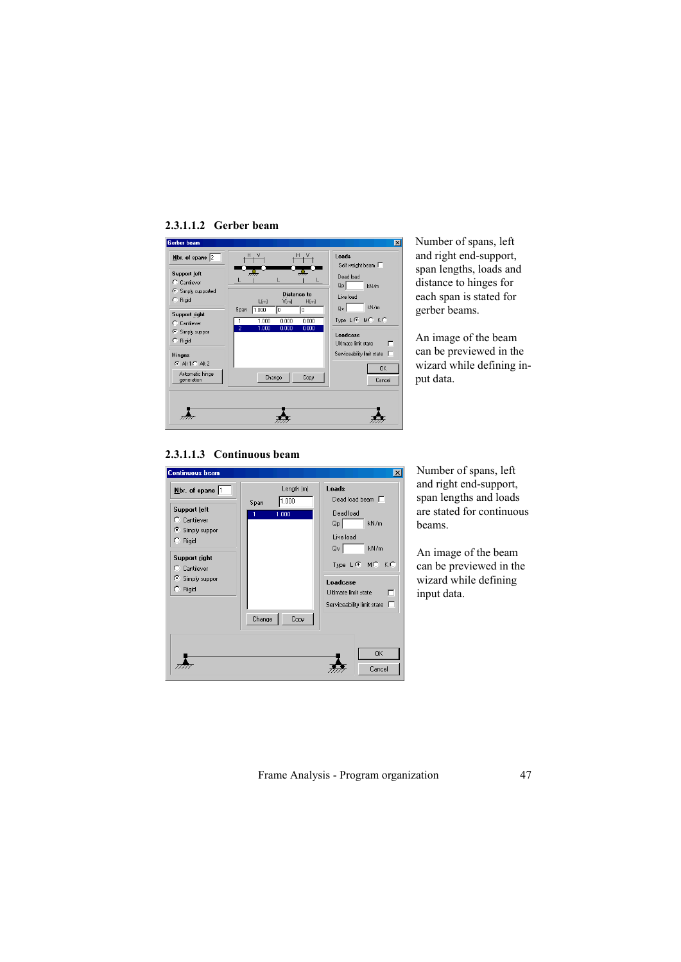## <span id="page-46-0"></span>**2.3.1.1.2 Gerber beam**

| <b>Gerber</b> beam                                                             |                                                                                                   | $\vert x \vert$                                                                                               |
|--------------------------------------------------------------------------------|---------------------------------------------------------------------------------------------------|---------------------------------------------------------------------------------------------------------------|
| $Nbr. of spans  2 $                                                            |                                                                                                   | Loads<br>Self weight beam $\Box$                                                                              |
| <b>Support left</b><br>Cantilever<br>C.<br>Simply supported<br>с<br>Rigid<br>c | ग्रोत<br>77777<br>Distance to<br>V(m)<br>H[m]<br>L(m)                                             | Dead load<br>Q <sub>p</sub><br>kN/m<br>Live load                                                              |
| <b>Support right</b><br>Cantilever<br>n.<br>Simply suppor<br>G<br>C.<br>Rigid  | Iо<br>1.000<br>lо<br>Span<br>0.000<br>0.000<br>1.000<br>$\overline{2}$<br>1.000<br>0.000<br>0.000 | kN/m<br>Qv<br>Type L.G. M.C. K.C.<br>Loadcase<br>Ultimate limit state<br>┍<br>Serviceability limit state<br>ш |
| <b>Hinges</b><br>$G$ Alt1 $C$ Alt2<br>Automatic hinge<br>generation            | Change<br>Copy                                                                                    | <b>OK</b><br>Cancel                                                                                           |
|                                                                                |                                                                                                   |                                                                                                               |

Number of spans, left and right end-support, span lengths, loads and distance to hinges for each span is stated for gerber beams.

An image of the beam can be previewed in the wizard while defining input data.

## **2.3.1.1.3 Continuous beam**

| <b>Continuous beam</b>                                                                                                                               |                                      | $\vert x \vert$                                                                                                                                                                              |
|------------------------------------------------------------------------------------------------------------------------------------------------------|--------------------------------------|----------------------------------------------------------------------------------------------------------------------------------------------------------------------------------------------|
| Nbr. of spans 1<br>Support left<br>Cantilever<br>n.<br>← Simply suppor<br>$C$ Rigid<br>Support right<br>C Cantilever<br>Simply suppor<br>G.<br>Rigid | Length (m)<br>1.000<br>Span<br>1.000 | Loads<br>$Dead$ load beam $\Box$<br>Dead load<br>kN/m<br>Qp  <br>Live load<br>kN/m<br>Qv  <br>Type L.C M.C K.C<br>Loadcase<br>Ultimate limit state<br>п<br>Serviceability limit state $\Box$ |
|                                                                                                                                                      | Change<br>Copy                       |                                                                                                                                                                                              |
|                                                                                                                                                      |                                      | OK.<br>Cancel                                                                                                                                                                                |

Number of spans, left and right end-support, span lengths and loads are stated for continuous beams.

An image of the beam can be previewed in the wizard while defining input data.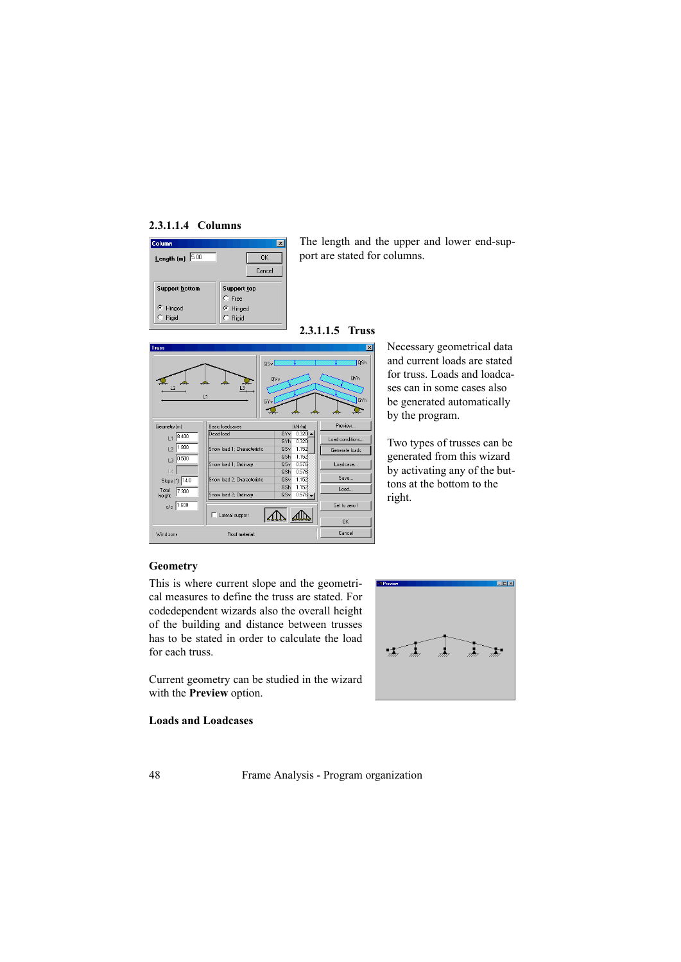## **2.3.1.1.4 Columns**



The length and the upper and lower end-support are stated for columns.

#### **2.3.1.1.5 Truss**



Necessary geometrical data and current loads are stated for truss. Loads and loadcases can in some cases also be generated automatically by the program.

Two types of trusses can be generated from this wizard by activating any of the buttons at the bottom to the right.

## **Geometry**

This is where current slope and the geometrical measures to define the truss are stated. For codedependent wizards also the overall height of the building and distance between trusses has to be stated in order to calculate the load for each truss.

Current geometry can be studied in the wizard with the **Preview** option.



### **Loads and Loadcases**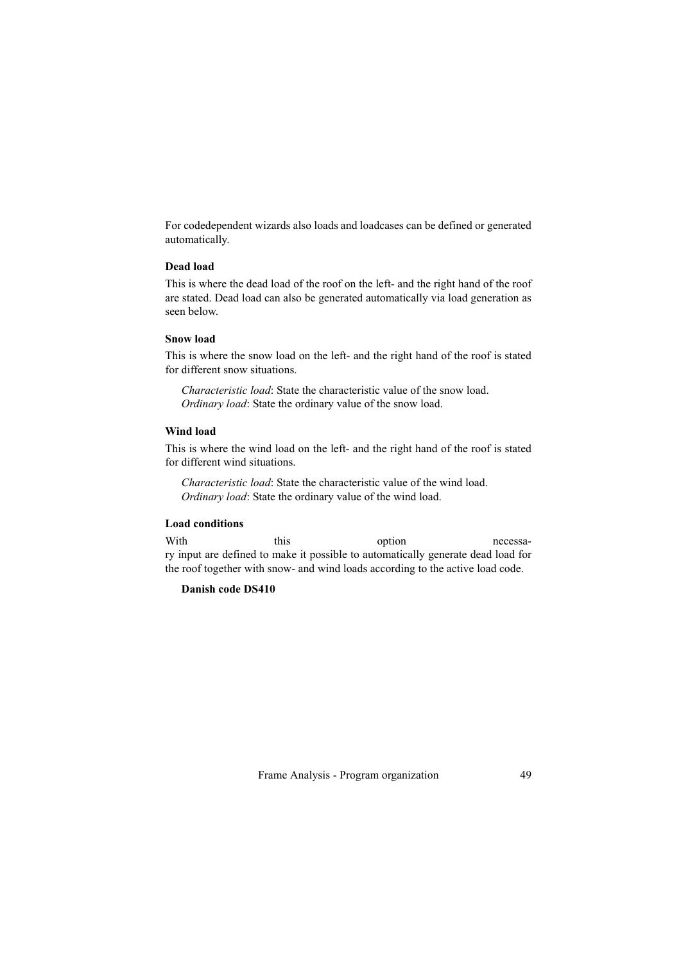For codedependent wizards also loads and loadcases can be defined or generated automatically.

## **Dead load**

This is where the dead load of the roof on the left- and the right hand of the roof are stated. Dead load can also be generated automatically via load generation as seen below.

## **Snow load**

This is where the snow load on the left- and the right hand of the roof is stated for different snow situations.

*Characteristic load*: State the characteristic value of the snow load. *Ordinary load*: State the ordinary value of the snow load.

## **Wind load**

This is where the wind load on the left- and the right hand of the roof is stated for different wind situations.

*Characteristic load*: State the characteristic value of the wind load. *Ordinary load*: State the ordinary value of the wind load.

### **Load conditions**

With this option necessary input are defined to make it possible to automatically generate dead load for the roof together with snow- and wind loads according to the active load code.

## **Danish code DS410**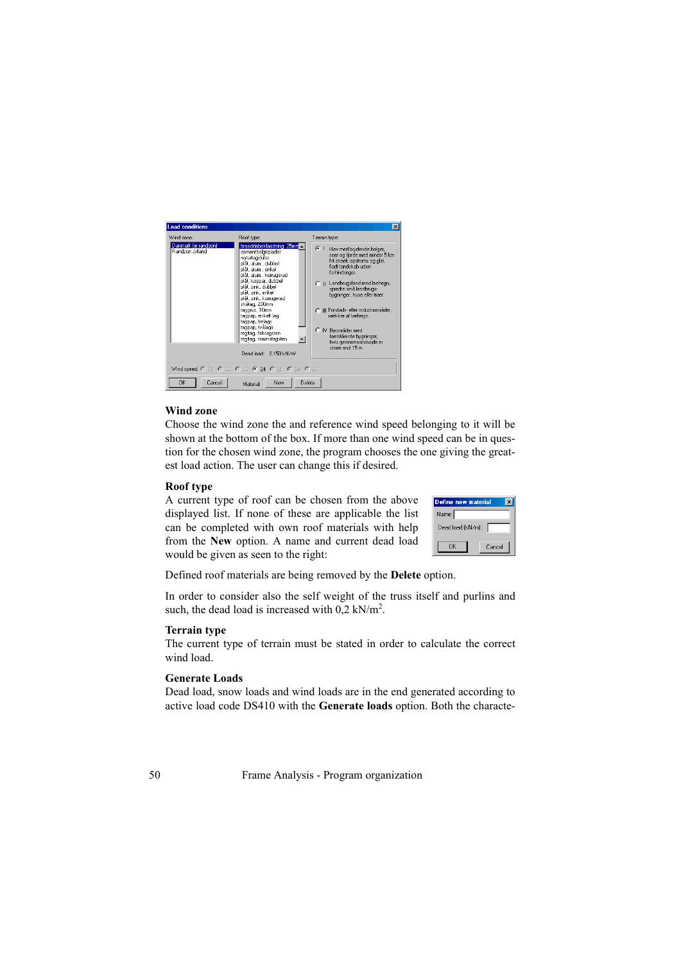| <b>Load conditions</b>                         |                                                                                                                                                                                                                                                                                                                                    | $\vert x \vert$                                                                                                                                                                                                                                                                                                                           |
|------------------------------------------------|------------------------------------------------------------------------------------------------------------------------------------------------------------------------------------------------------------------------------------------------------------------------------------------------------------------------------------|-------------------------------------------------------------------------------------------------------------------------------------------------------------------------------------------------------------------------------------------------------------------------------------------------------------------------------------------|
| Wind zone:                                     | Roof type:                                                                                                                                                                                                                                                                                                                         | Terrain type:                                                                                                                                                                                                                                                                                                                             |
| Danmark (ej randzon)<br>Randzon Jylland        | braeddebeklaedning, 25mm<br>cementbolgeplader<br>naturtagskifer<br>plåt, alum, dubbel<br>plåt, alum., enkel<br>plåt, alum., korrugerad<br>plåt, koppar, dubbel<br>plåt, zink, dubbel<br>plåt, zink, enkel<br>plåt, zink, korrugerad<br>stråtag, 200mm<br>taggrus, 10mm<br>tagpap, enkelt lag<br>tagpap, trelags<br>tagpap, tvålags | $\sigma$  <br>Hav med brydende bolger,<br>soer og fjorde med mindst 5 km<br>frit straek opstroms og glat.<br>fladt landskab uden.<br>forhindringer.<br>C. II Landbrugsland med laehegn,<br>spredte små landbrugs-<br>bygninger, huse eller traer.<br>C. III Forstads- eller industriområder,<br>raekker af laehegn.<br>C IV Byområder med |
|                                                | tegltag, falstagsten<br>tegltag, romerstagsten                                                                                                                                                                                                                                                                                     | taetstående bygninger,<br>hvis gennemsnitshojde er                                                                                                                                                                                                                                                                                        |
|                                                | Dead load: 0.150 kN/m <sup>2</sup>                                                                                                                                                                                                                                                                                                 | storre end 15 m                                                                                                                                                                                                                                                                                                                           |
| Wind speed: 0 21 0 22 0 23 0 24 0 25 0 26 0 27 |                                                                                                                                                                                                                                                                                                                                    |                                                                                                                                                                                                                                                                                                                                           |
| OK.<br>Cancel                                  | Delete<br><b>New</b><br><b>Material:</b>                                                                                                                                                                                                                                                                                           |                                                                                                                                                                                                                                                                                                                                           |

### **Wind zone**

Choose the wind zone the and reference wind speed belonging to it will be shown at the bottom of the box. If more than one wind speed can be in question for the chosen wind zone, the program chooses the one giving the greatest load action. The user can change this if desired.

#### **Roof type**

A current type of roof can be chosen from the above displayed list. If none of these are applicable the list can be completed with own roof materials with help from the **New** option. A name and current dead load would be given as seen to the right:

| Define new material |        |
|---------------------|--------|
| Name:               |        |
| Dead load (kN/m) :  |        |
| пĸ                  | Cancel |

Defined roof materials are being removed by the **Delete** option.

In order to consider also the self weight of the truss itself and purlins and such, the dead load is increased with  $0.2$  kN/m<sup>2</sup>.

#### **Terrain type**

The current type of terrain must be stated in order to calculate the correct wind load.

#### **Generate Loads**

Dead load, snow loads and wind loads are in the end generated according to active load code DS410 with the **Generate loads** option. Both the characte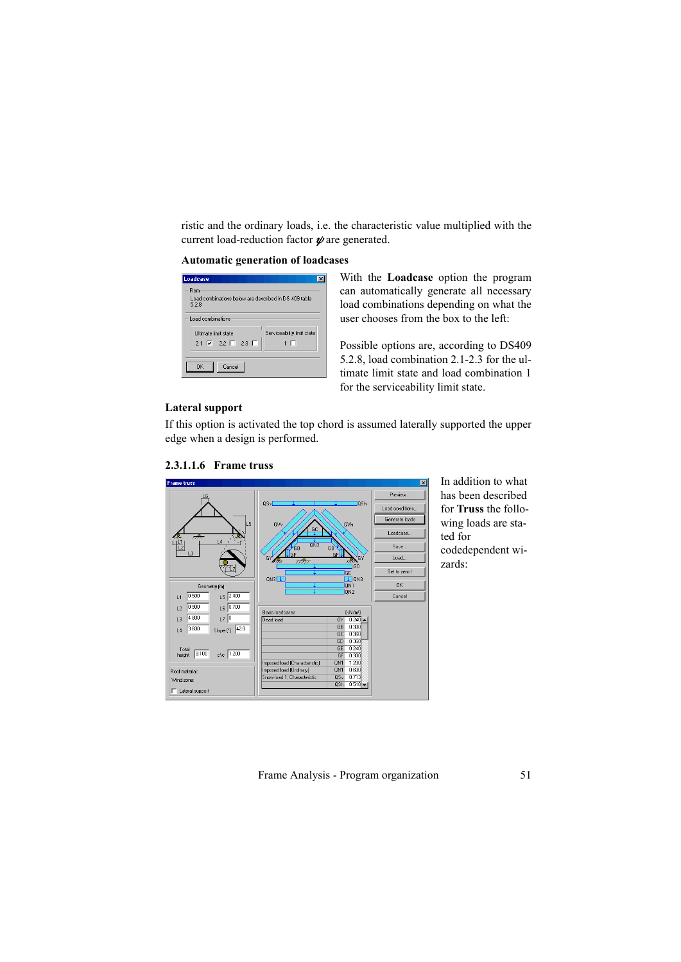ristic and the ordinary loads, i.e. the characteristic value multiplied with the current load-reduction factor  $\psi$  are generated.

#### Loadcase  $|\overline{x}|$ D<sub>am</sub> nem<br>Load combinations below are described in DS 409 table<br>528 Load combinations Ultimate limit state Serviceability limit state 21  $\nabla$  22  $\nabla$  23  $\nabla$  $1\Gamma$  $\overline{\alpha}$ Cancel

**Automatic generation of loadcases**

With the **Loadcase** option the program can automatically generate all necessary load combinations depending on what the user chooses from the box to the left:

Possible options are, according to DS409 5.2.8, load combination 2.1-2.3 for the ultimate limit state and load combination 1 for the serviceability limit state.

## **Lateral support**

If this option is activated the top chord is assumed laterally supported the upper edge when a design is performed.



## **2.3.1.1.6 Frame truss**

In addition to what has been described for **Truss** the following loads are stated for codedependent wizards: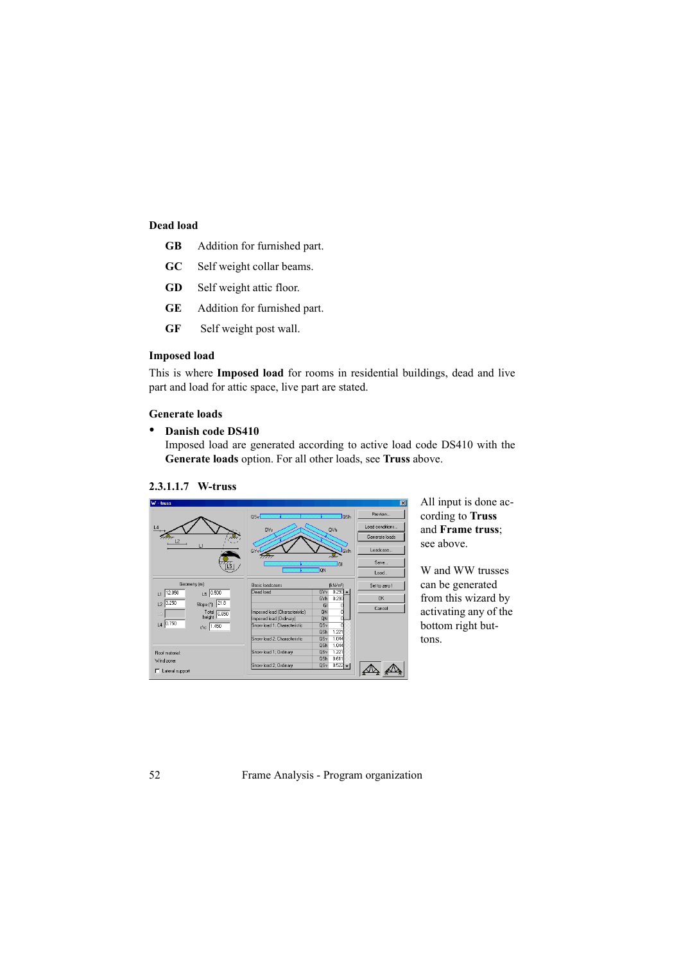#### **Dead load**

- **GB** Addition for furnished part.
- **GC** Self weight collar beams.
- **GD** Self weight attic floor.
- **GE** Addition for furnished part.
- **GF** Self weight post wall.

### **Imposed load**

This is where **Imposed load** for rooms in residential buildings, dead and live part and load for attic space, live part are stated.

### **Generate loads**

### • **Danish code DS410**

Imposed load are generated according to active load code DS410 with the **Generate loads** option. For all other loads, see **Truss** above.



All input is done according to **Truss** and **Frame truss**; see above.

W and WW trusses can be generated from this wizard by activating any of the bottom right buttons.

# **2.3.1.1.7 W-truss**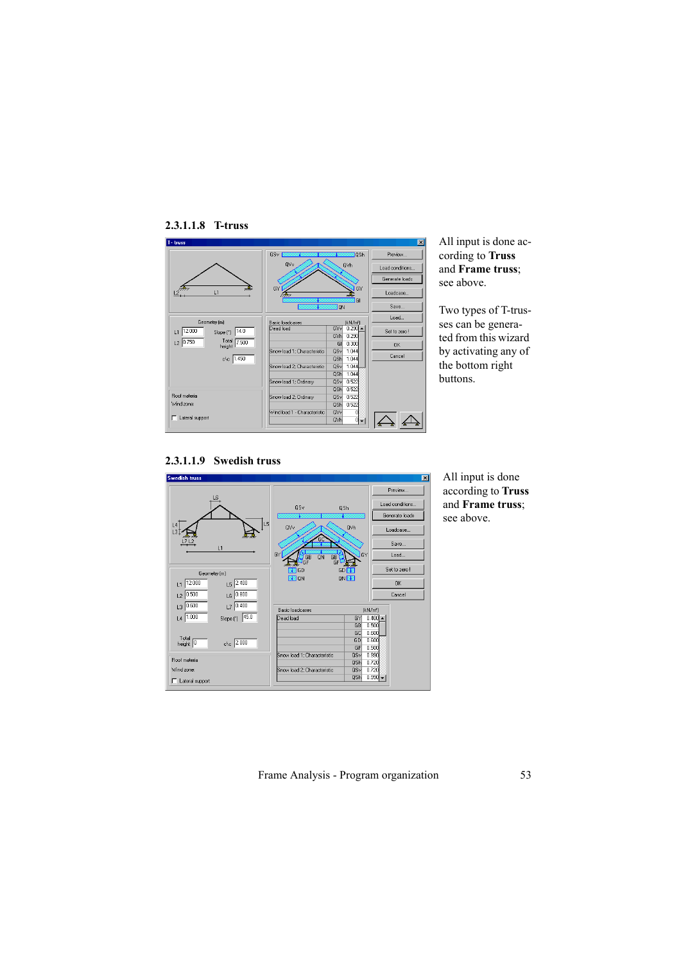#### **2.3.1.1.8 T-truss**



All input is done according to **Truss** and **Frame truss**; see above.

Two types of T-trusses can be generated from this wizard by activating any of the bottom right buttons.

## **2.3.1.1.9 Swedish truss**



All input is done according to **Truss** and **Frame truss**; see above.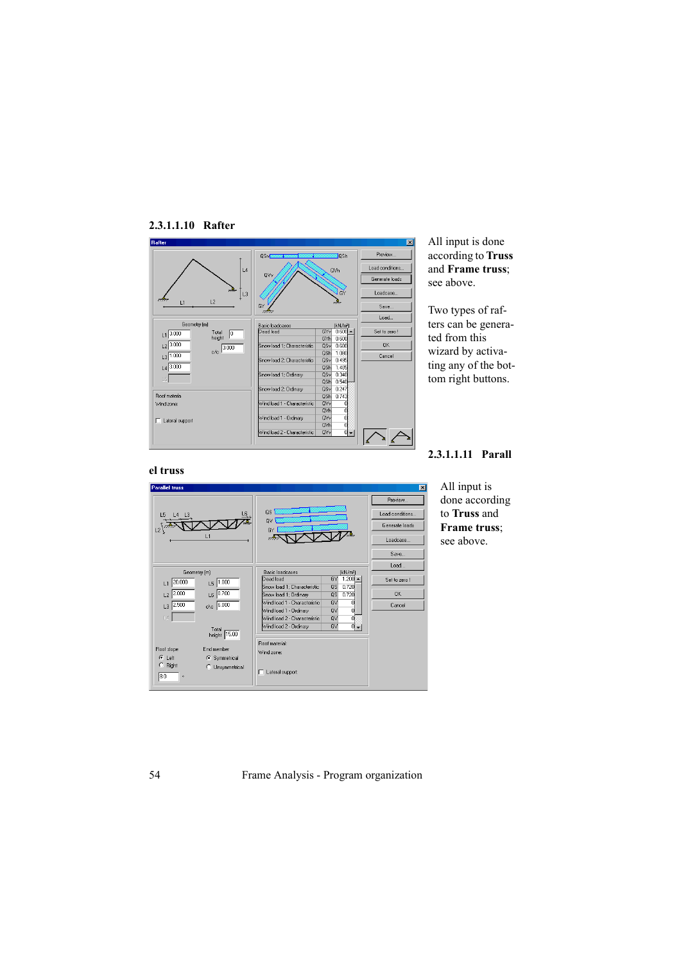#### **2.3.1.1.10 Rafter**



All input is done according to **Truss** and **Frame truss**; see above.

Two types of rafters can be generated from this wizard by activating any of the bottom right buttons.

## **2.3.1.1.11 Parall**

#### **el truss**



All input is done according to **Truss** and **Frame truss**; see above.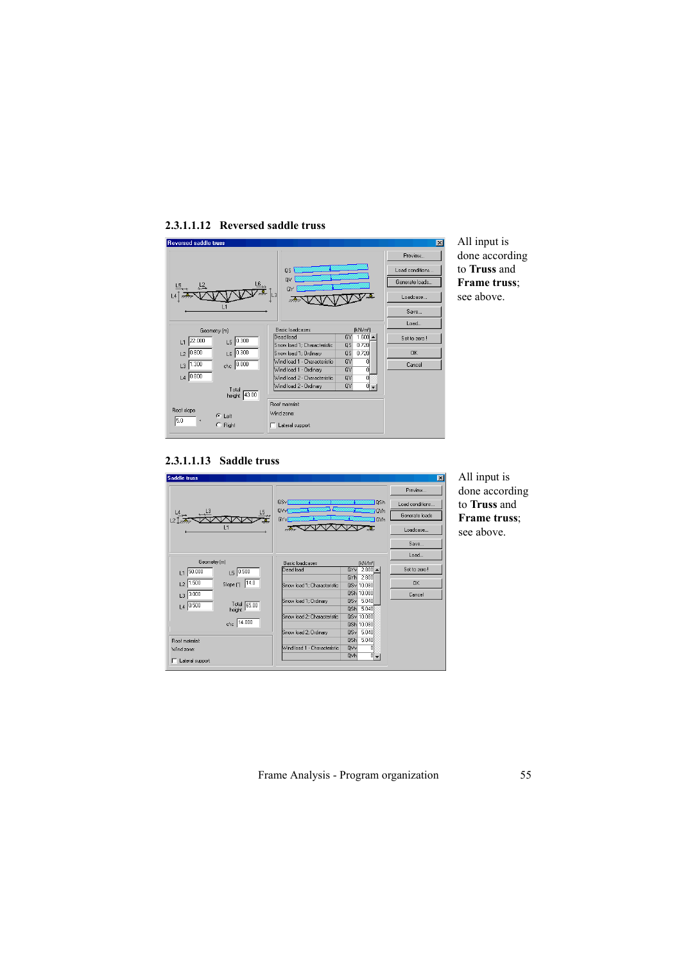

#### **2.3.1.1.12 Reversed saddle truss**



## **2.3.1.1.13 Saddle truss**



All input is done according to **Truss** and **Frame truss**; see above.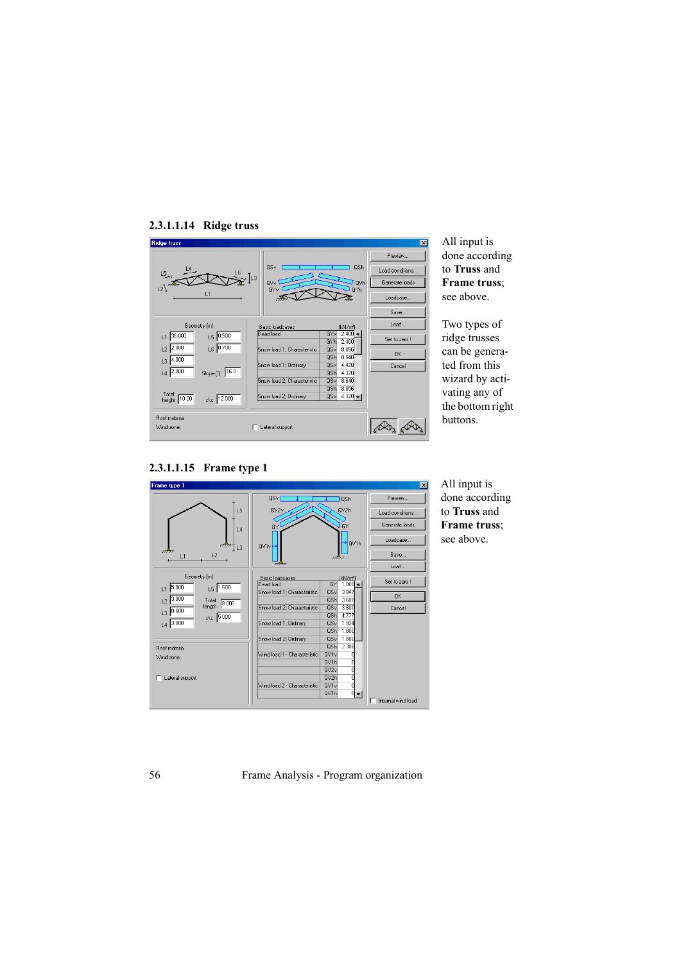



All input is done according to **Truss** and **Frame truss**; see above.

Two types of ridge trusses can be generated from this wizard by activating any of the bottom right buttons.

## **2.3.1.1.15 Frame type 1**



All input is done according to **Truss** and **Frame truss**; see above.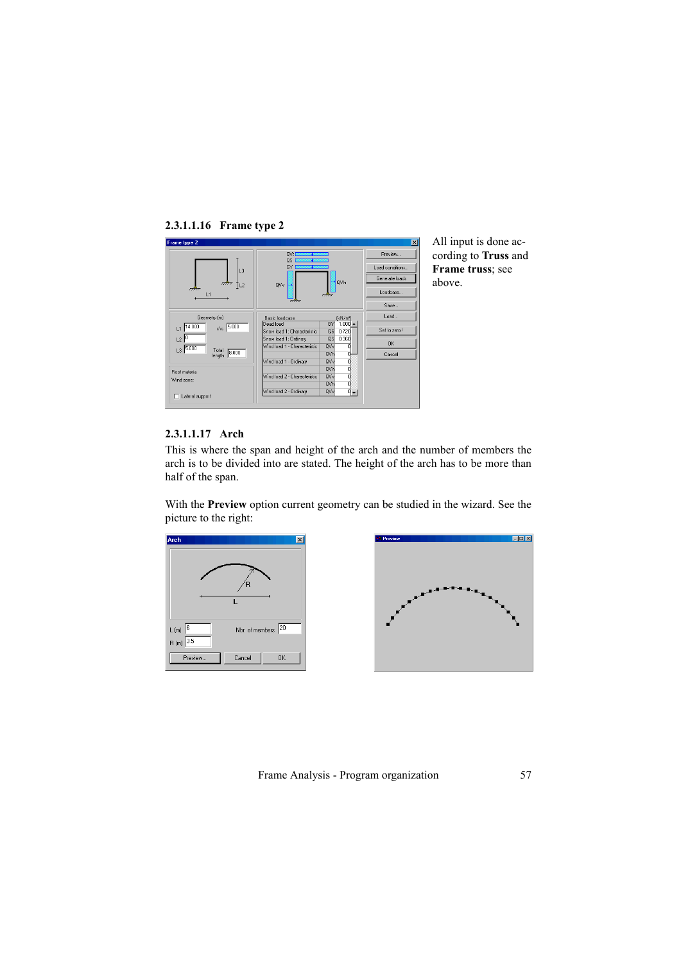**2.3.1.1.16 Frame type 2**



All input is done according to **Truss** and **Frame truss**; see above.

## **2.3.1.1.17 Arch**

This is where the span and height of the arch and the number of members the arch is to be divided into are stated. The height of the arch has to be more than half of the span.

With the **Preview** option current geometry can be studied in the wizard. See the picture to the right:



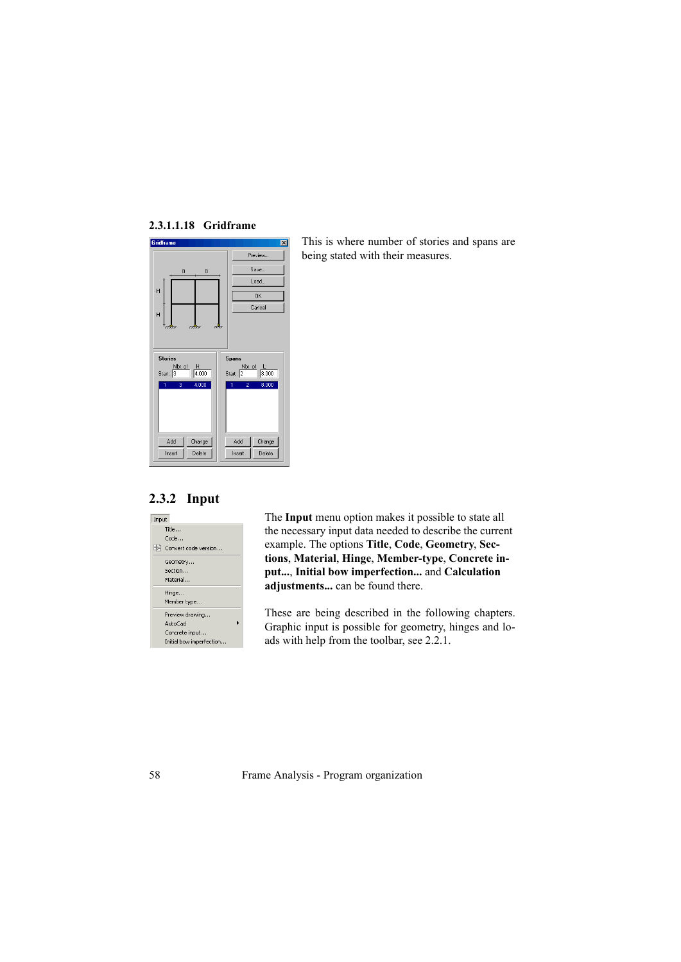

| <b>Gridframe</b>             | $\vert x \vert$              |
|------------------------------|------------------------------|
|                              | Preview                      |
| B<br>B                       | Save                         |
|                              | Load                         |
| $\overline{H}$               | 0K                           |
| $\overline{H}$               | Cancel                       |
|                              |                              |
|                              |                              |
|                              |                              |
| <b>Stories</b><br>Nbr. of H: | <b>Spans</b><br>Nbr. of L:   |
| 4.000<br>Start: 3            | 8.000<br>Start: 2            |
| 4.000<br>3<br>1              | 8.000<br>$\overline{2}$<br>1 |
| Add<br>Change                | Add<br>Change                |
| Delete<br>Insert             | Delete<br>Insert             |

This is where number of stories and spans are being stated with their measures.

# **2.3.2 Input**



The **Input** menu option makes it possible to state all the necessary input data needed to describe the current example. The options **Title**, **Code**, **Geometry**, **Sections**, **Material**, **Hinge**, **Member-type**, **Concrete input...**, **Initial bow imperfection...** and **Calculation adjustments...** can be found there.

These are being described in the following chapters. Graphic input is possible for geometry, hinges and loads with help from the toolbar, see [2.2.1](#page-31-0).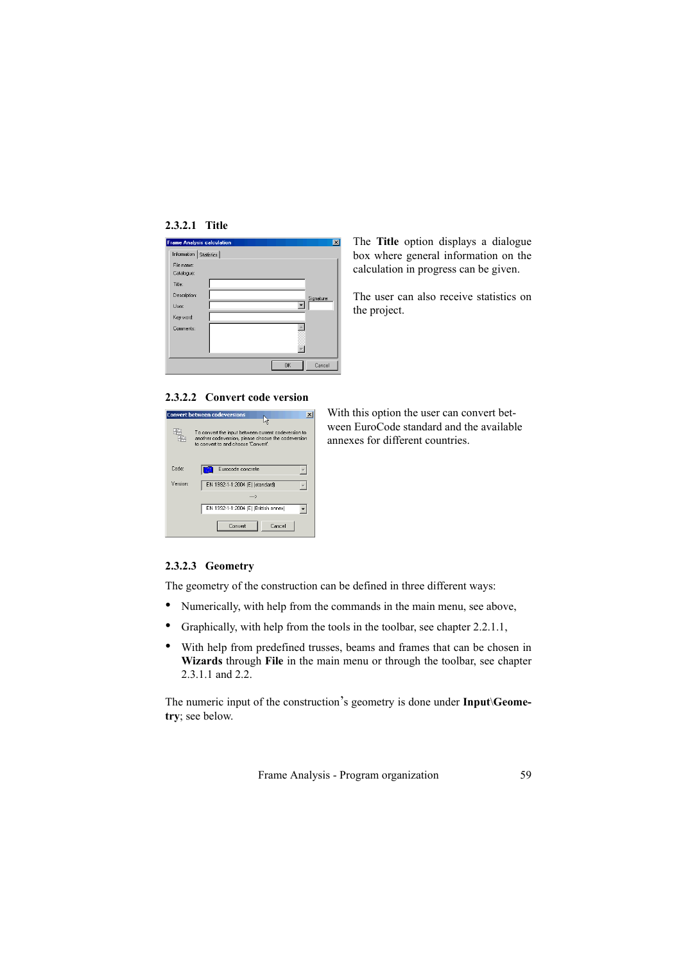## <span id="page-58-0"></span>**2.3.2.1 Title**



The **Title** option displays a dialogue box where general information on the calculation in progress can be given.

The user can also receive statistics on the project.

### **2.3.2.2 Convert code version**

|          | <b>Convert between codeversions</b>                                                                                                              |
|----------|--------------------------------------------------------------------------------------------------------------------------------------------------|
|          | To convert the input between current codeversion to<br>another codeversion, please choose the codeversion<br>to convert to and choose 'Convert'. |
| Code:    | Eurocode concrete                                                                                                                                |
| Version: | EN 1992-1-1:2004 (E) [standard]                                                                                                                  |
|          | ;                                                                                                                                                |
|          | EN 1992-1-1:2004 (E) (Brittish annex)                                                                                                            |
|          | Cancel<br>Convert                                                                                                                                |

With this option the user can convert between EuroCode standard and the available annexes for different countries.

## **2.3.2.3 Geometry**

The geometry of the construction can be defined in three different ways:

- Numerically, with help from the commands in the main menu, see above,
- Graphically, with help from the tools in the toolbar, see chapter [2.2.1.1](#page-33-0),
- With help from predefined trusses, beams and frames that can be chosen in **Wizards** through **File** in the main menu or through the toolbar, see chapter [2.3.1.1](#page-45-0) and [2.2](#page-29-0).

The numeric input of the construction's geometry is done under **Input**\**Geometry**; see below.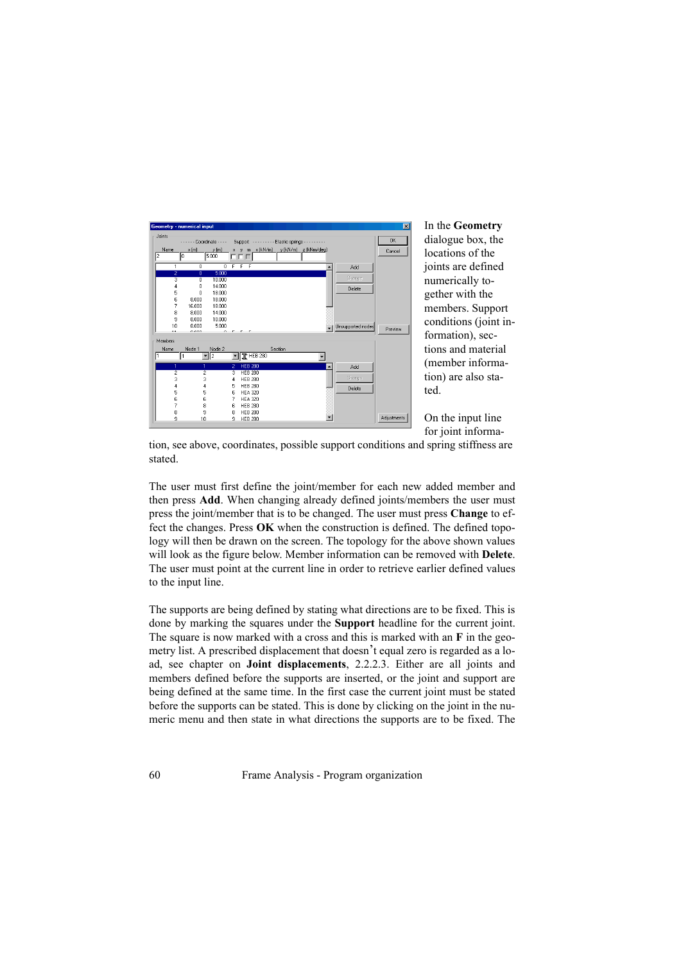|    |                | <b>Geometry - numerical input</b> |          |                |                                                                                           |                                     |  |                   | $ \mathbf{x} $ |
|----|----------------|-----------------------------------|----------|----------------|-------------------------------------------------------------------------------------------|-------------------------------------|--|-------------------|----------------|
|    | Joints-        |                                   |          |                |                                                                                           |                                     |  |                   |                |
|    |                | . Coordinate                      |          |                |                                                                                           | Support -------- Elastic springs -  |  |                   | <b>OK</b>      |
|    | Name           | x(m)                              | y (m)    |                |                                                                                           | x y m x (kN/m) y (kN/m) z (kNm/deg) |  |                   | Cancel         |
| ╔  |                | Iо                                | 5.000    |                | $\Gamma$ $\Gamma$ $\Gamma$                                                                |                                     |  |                   |                |
|    | Ŧ              | $\mathbf{0}$                      | $\Omega$ |                | $F-F$                                                                                     |                                     |  | Add               |                |
|    | $\overline{2}$ | ō                                 | 5.000    |                |                                                                                           |                                     |  |                   |                |
|    | 3              | 0                                 | 10.000   |                |                                                                                           |                                     |  | Change            |                |
|    | 4              | 0                                 | 14.000   |                |                                                                                           |                                     |  | Delete            |                |
|    | 5              | 0                                 | 18.000   |                |                                                                                           |                                     |  |                   |                |
|    | 6              | 8.000                             | 18.000   |                |                                                                                           |                                     |  |                   |                |
|    | 7              | 16,000                            | 18.000   |                |                                                                                           |                                     |  |                   |                |
|    | 8              | 8.000                             | 14.000   |                |                                                                                           |                                     |  |                   |                |
|    | $\overline{a}$ | 8.000                             | 10.000   |                |                                                                                           |                                     |  |                   |                |
|    | 10             | 8.000                             | 5.000    |                |                                                                                           |                                     |  | Unsupported nodes | Preview        |
|    | 44.            | 0.000                             |          |                | $\begin{array}{cccccccccccccc} \circ & \circ & \circ & \circ & \circ & \circ \end{array}$ |                                     |  |                   |                |
|    | Members:       |                                   |          |                |                                                                                           |                                     |  |                   |                |
|    | Name           | Node 1                            | Node 2   |                |                                                                                           | Section                             |  |                   |                |
| I1 |                | I1                                | 2        |                | $\mathbb{R}$ HEB 280                                                                      |                                     |  |                   |                |
|    | 1              | 1                                 |          | $\overline{2}$ | <b>HEB 280</b>                                                                            |                                     |  | Add               |                |
|    | $\overline{2}$ | $\overline{2}$                    |          | 3              | <b>HEB 280</b>                                                                            |                                     |  |                   |                |
|    | 3              | 3                                 |          | 4              | <b>HEB 280</b>                                                                            |                                     |  | Change            |                |
|    | 4              | 4                                 |          | 5              | <b>HEB 280</b>                                                                            |                                     |  | Delete            |                |
|    | 5              | 5                                 |          | ĥ              | <b>HEA 320</b>                                                                            |                                     |  |                   |                |
|    | 6              | 6                                 |          | 7              | <b>HEA 320</b>                                                                            |                                     |  |                   |                |
|    | 7              | 8                                 |          | 6              | <b>HEB 280</b>                                                                            |                                     |  |                   |                |
|    | 8              | 9                                 |          | 8              | <b>HEB 280</b>                                                                            |                                     |  |                   |                |
|    | $\overline{9}$ | 10                                |          | 9              | <b>HEB 280</b>                                                                            |                                     |  |                   | Adjustments    |
|    |                |                                   |          |                |                                                                                           |                                     |  |                   |                |

In the **Geometry** dialogue box, the locations of the joints are defined numerically together with the members. Support conditions (joint information), sections and material (member information) are also stated.

On the input line for joint informa-

tion, see above, coordinates, possible support conditions and spring stiffness are stated.

The user must first define the joint/member for each new added member and then press **Add**. When changing already defined joints/members the user must press the joint/member that is to be changed. The user must press **Change** to effect the changes. Press **OK** when the construction is defined. The defined topology will then be drawn on the screen. The topology for the above shown values will look as the figure below. Member information can be removed with **Delete**. The user must point at the current line in order to retrieve earlier defined values to the input line.

The supports are being defined by stating what directions are to be fixed. This is done by marking the squares under the **Support** headline for the current joint. The square is now marked with a cross and this is marked with an **F** in the geometry list. A prescribed displacement that doesn't equal zero is regarded as a load, see chapter on **Joint displacements**, [2.2.2.3](#page-42-0). Either are all joints and members defined before the supports are inserted, or the joint and support are being defined at the same time. In the first case the current joint must be stated before the supports can be stated. This is done by clicking on the joint in the numeric menu and then state in what directions the supports are to be fixed. The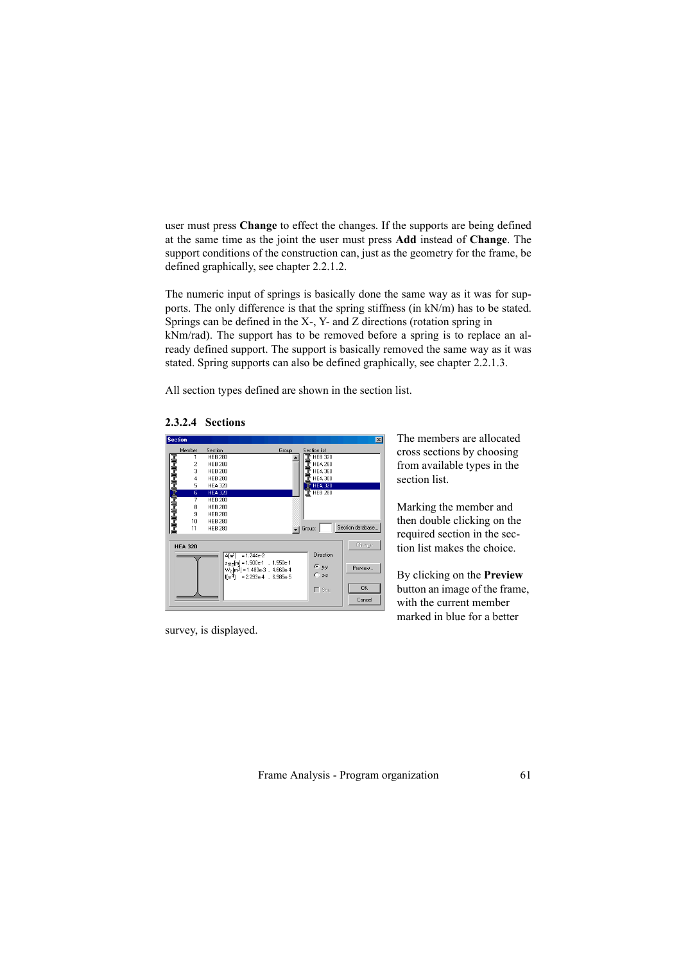user must press **Change** to effect the changes. If the supports are being defined at the same time as the joint the user must press **Add** instead of **Change**. The support conditions of the construction can, just as the geometry for the frame, be defined graphically, see chapter [2.2.1.2.](#page-34-0)

The numeric input of springs is basically done the same way as it was for supports. The only difference is that the spring stiffness (in kN/m) has to be stated. Springs can be defined in the X-, Y- and Z directions (rotation spring in kNm/rad). The support has to be removed before a spring is to replace an already defined support. The support is basically removed the same way as it was stated. Spring supports can also be defined graphically, see chapter [2.2.1.3](#page-35-0).

All section types defined are shown in the section list.





survey, is displayed.

The members are allocated cross sections by choosing from available types in the section list.

Marking the member and then double clicking on the required section in the section list makes the choice.

By clicking on the **Preview** button an image of the frame, with the current member marked in blue for a better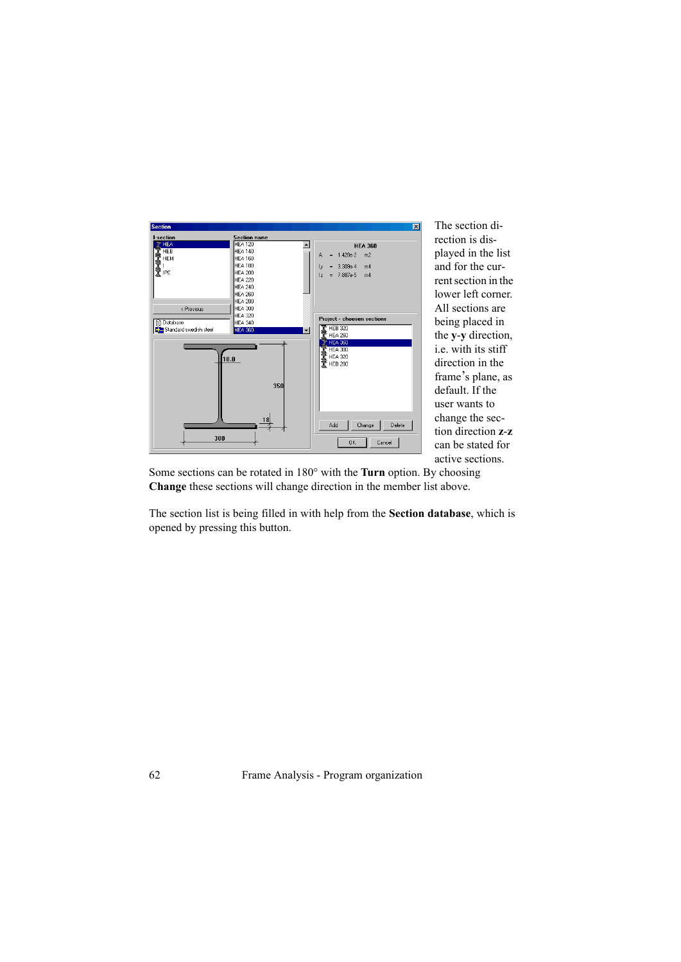

The section direction is displayed in the list and for the current section in the lower left corner. All sections are being placed in the **y**-**y** direction, i.e. with its stiff direction in the frame's plane, as default. If the user wants to change the section direction **z**-**z** can be stated for active sections.

Some sections can be rotated in 180° with the **Turn** option. By choosing **Change** these sections will change direction in the member list above.

The section list is being filled in with help from the **Section database**, which is opened by pressing this button.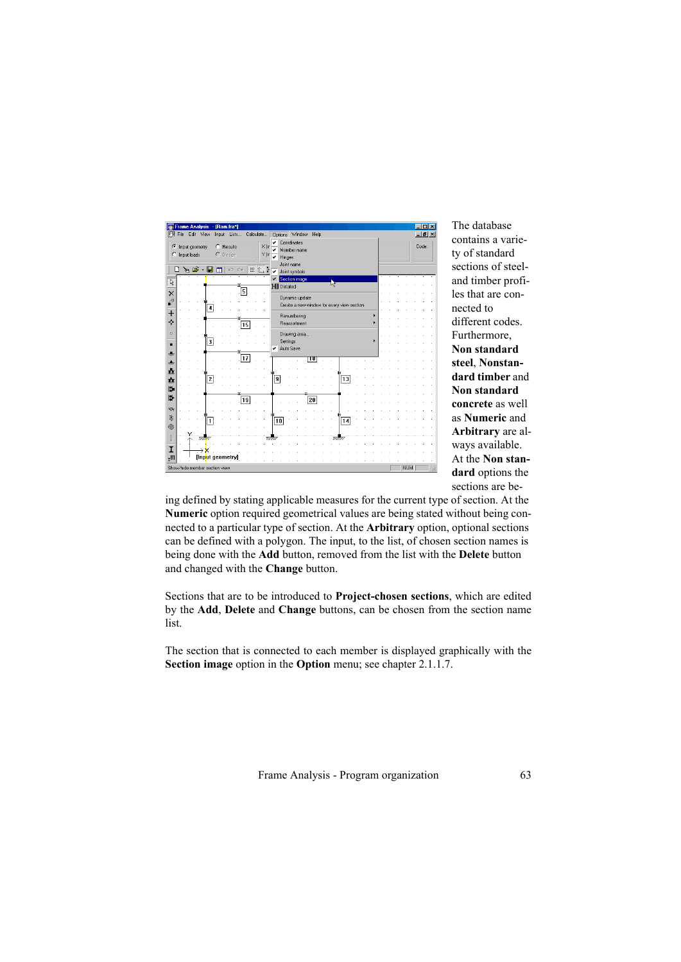| Frame Analysis - [Ram.fra*]                                                                                  | $\Box$ D $\Box$ |
|--------------------------------------------------------------------------------------------------------------|-----------------|
| File Edit View<br>Input Lists<br>Options Window<br>Calculate<br>Help                                         | $-10 \times$    |
| Coordinates<br>٠<br>$\times$ (m<br>C Input geometry<br>C Results<br>Member name<br>v                         | Code:           |
| C Input loads<br>$O$ Design<br>$Y$ [m<br>v<br>Hinges                                                         |                 |
| Joint name                                                                                                   |                 |
| $\mathcal{P} \cong \mathcal{P}$<br>η<br>$\mathbb{H}   \mathbb{L}$<br>m<br><b>KG</b> CH<br>Joint symbols<br>v |                 |
| Section image<br>v<br>r,<br>k                                                                                |                 |
| I-III Detailed<br>5                                                                                          |                 |
| $\times$<br>Dynamic update                                                                                   |                 |
| æ<br>Create a new window for every view section                                                              |                 |
| $\vert$<br>$^{+}$<br>Renumbering                                                                             |                 |
| ÷<br>Reassortment                                                                                            |                 |
| 15                                                                                                           |                 |
| $\ddot{\circ}$<br>Drawing area                                                                               |                 |
| Settings<br>$\vert$<br>п                                                                                     |                 |
| Auto Save<br>v<br>$\frac{1}{2}$                                                                              |                 |
| 17<br>ाह<br>办                                                                                                |                 |
| 森                                                                                                            |                 |
| $\overline{\mathbf{c}}$<br>9<br>13                                                                           |                 |
| r.                                                                                                           |                 |
| 劃                                                                                                            |                 |
| 勤<br>19<br>20                                                                                                |                 |
| 啉                                                                                                            |                 |
| 耄                                                                                                            |                 |
| 10<br>1<br>14<br>◉                                                                                           |                 |
|                                                                                                              |                 |
| Þ<br>$\overline{77772}$<br>7777<br>mm                                                                        |                 |
| I                                                                                                            |                 |
| r <sup>田</sup><br>[Input geometry]                                                                           |                 |
| <b>NUM</b><br>Show/hide member section view                                                                  |                 |
|                                                                                                              |                 |

The database contains a variety of standard sections of steeland timber profiles that are connected to different codes. Furthermore, **Non standard steel**, **Nonstandard timber** and **Non standard concrete** as well as **Numeric** and **Arbitrary** are always available. At the **Non standard** options the sections are be-

ing defined by stating applicable measures for the current type of section. At the **Numeric** option required geometrical values are being stated without being connected to a particular type of section. At the **Arbitrary** option, optional sections can be defined with a polygon. The input, to the list, of chosen section names is being done with the **Add** button, removed from the list with the **Delete** button and changed with the **Change** button.

Sections that are to be introduced to **Project-chosen sections**, which are edited by the **Add**, **Delete** and **Change** buttons, can be chosen from the section name list.

The section that is connected to each member is displayed graphically with the **Section image** option in the **Option** menu; see chapter [2.1.1.7](#page-17-0).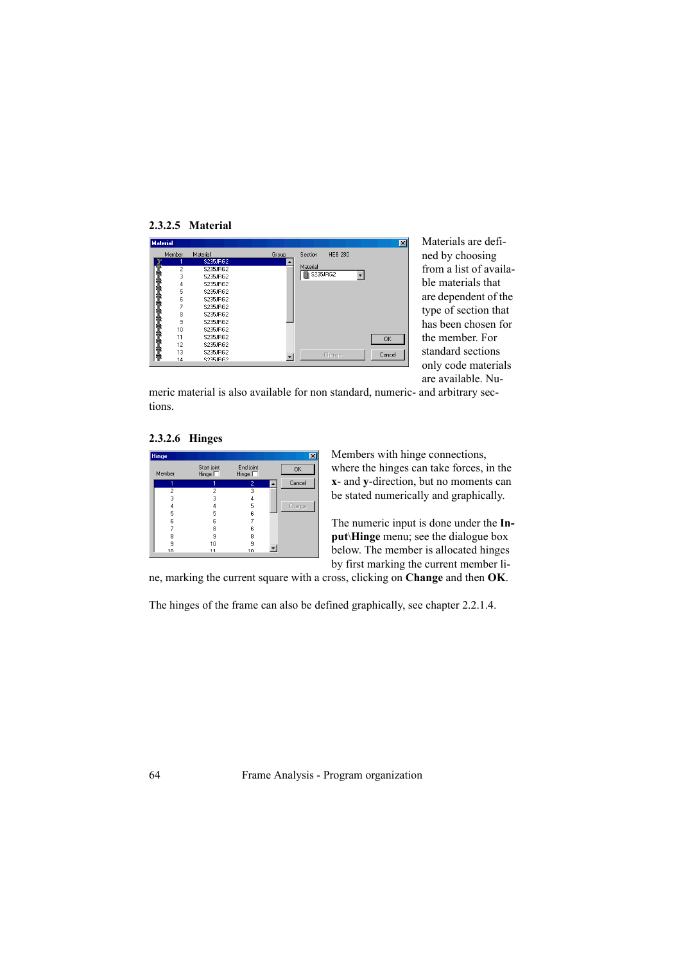## **2.3.2.5 Material**

| <b>Material</b> |                |          |        |          |                | $\vert x \vert$ |
|-----------------|----------------|----------|--------|----------|----------------|-----------------|
|                 | Member         | Material | Group  | Section  | <b>HEB 280</b> |                 |
|                 |                | S235JRG2 |        |          |                |                 |
|                 | $\overline{2}$ | S235JRG2 |        | Material |                |                 |
|                 | 3              | S235JRG2 |        | S235JRG2 |                |                 |
|                 | 4              | S235JRG2 |        |          |                |                 |
|                 | 5              | S235JRG2 |        |          |                |                 |
|                 | 6              | S235JRG2 |        |          |                |                 |
|                 | 7              | S235JRG2 |        |          |                |                 |
|                 | 8              | S235JBG2 |        |          |                |                 |
|                 | 9              | S235JRG2 |        |          |                |                 |
|                 | 10             | S235JRG2 |        |          |                |                 |
|                 | 11             | S235JRG2 | ×<br>× |          |                | <b>OK</b>       |
|                 | 12             | S235JRG2 | ×      |          |                |                 |
| きてきてきてき         | 13             | S235JRG2 |        |          | Change         | Cancel          |
|                 | 14             | S235JRG2 |        |          |                |                 |
|                 |                |          |        |          |                |                 |

Materials are defined by choosing from a list of available materials that are dependent of the type of section that has been chosen for the member. For standard sections only code materials are available. Nu-

meric material is also available for non standard, numeric- and arbitrary sections.

#### **2.3.2.6 Hinges**



Members with hinge connections, where the hinges can take forces, in the **x**- and **y**-direction, but no moments can be stated numerically and graphically.

The numeric input is done under the **Input**\**Hinge** menu; see the dialogue box below. The member is allocated hinges by first marking the current member li-

ne, marking the current square with a cross, clicking on **Change** and then **OK**.

The hinges of the frame can also be defined graphically, see chapter [2.2.1.4](#page-35-0).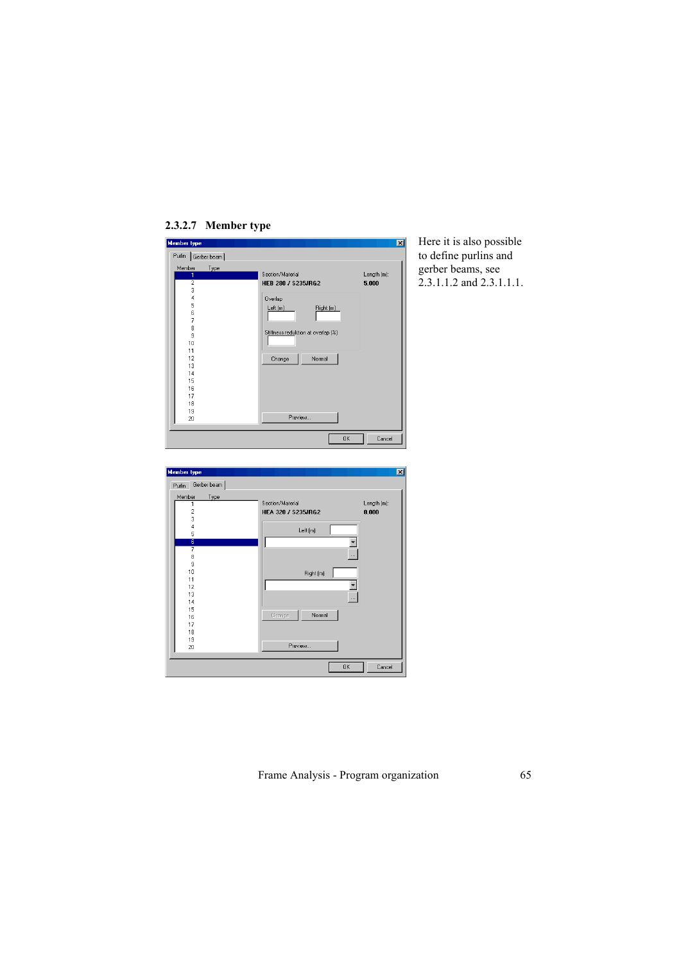## **2.3.2.7 Member type**

| <b>Member type</b>       |                                    | $\overline{\mathbf{x}}$ |
|--------------------------|------------------------------------|-------------------------|
| Purlin   Gerber beam     |                                    |                         |
| Type<br>Member           |                                    |                         |
| 1                        | Section/Material                   | Length (m):             |
| $\overline{2}$           | HEB 280 / S235JRG2                 | 5.000                   |
| 3                        |                                    |                         |
| 4                        | Overlap                            |                         |
| 5                        | Left (m)<br>Right (m)              |                         |
| 6                        |                                    |                         |
| $\overline{\phantom{a}}$ |                                    |                         |
| 8                        | Stiffness reduktion at overlap [%] |                         |
| 9                        |                                    |                         |
| 10                       |                                    |                         |
| 11                       |                                    |                         |
| 12                       | Change<br>Normal                   |                         |
| 13                       |                                    |                         |
| 14                       |                                    |                         |
| 15                       |                                    |                         |
| 16                       |                                    |                         |
| 17                       |                                    |                         |
| 18                       |                                    |                         |
| 19                       |                                    |                         |
| 20                       | Preview                            |                         |
|                          |                                    |                         |
|                          | 0K                                 | Cancel                  |
|                          |                                    |                         |

Here it is also possible to define purlins and gerber beams, see [2.3.1.1.2](#page-46-0) and [2.3.1.1.1](#page-45-0).

| <b>Member type</b>    |                    | $\vert x \vert$ |
|-----------------------|--------------------|-----------------|
| Gerber beam<br>Purlin |                    |                 |
| Member<br>Type        |                    |                 |
|                       | Section/Material   | Length (m):     |
| $\overline{c}$        | HEA 320 / S235JRG2 | 8.000           |
| 3                     |                    |                 |
| 4                     | Left [m]           |                 |
| 5                     |                    |                 |
| 6                     |                    |                 |
| 7                     | $\ldots$           |                 |
| 8                     |                    |                 |
| 9                     |                    |                 |
| 10<br>11              | Right (m)          |                 |
| 12                    |                    |                 |
| 13                    |                    |                 |
| 14                    | $\cdots$           |                 |
| 15                    |                    |                 |
| 16                    | Normal<br>Change   |                 |
| 17                    |                    |                 |
| 18                    |                    |                 |
| 19                    |                    |                 |
| 20                    | Preview            |                 |
|                       |                    |                 |
|                       | 0K                 | Cancel          |
|                       |                    |                 |
|                       |                    |                 |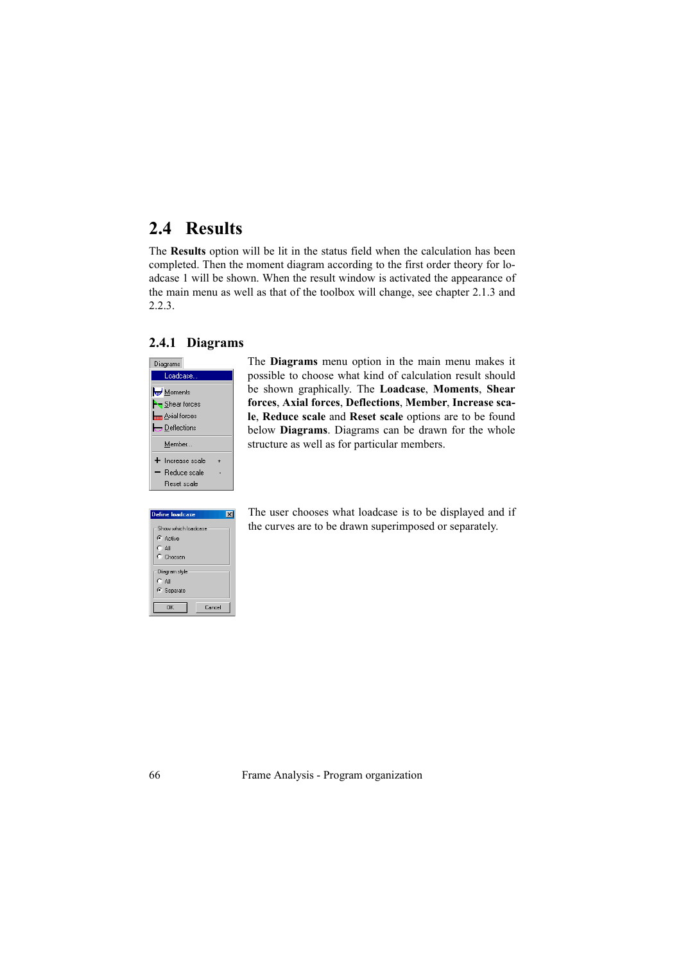# **2.4 Results**

The **Results** option will be lit in the status field when the calculation has been completed. Then the moment diagram according to the first order theory for loadcase 1 will be shown. When the result window is activated the appearance of the main menu as well as that of the toolbox will change, see chapter [2.1.3](#page-25-0) and [2.2.3](#page-43-0).

## **2.4.1 Diagrams**



The **Diagrams** menu option in the main menu makes it possible to choose what kind of calculation result should be shown graphically. The **Loadcase**, **Moments**, **Shear forces**, **Axial forces**, **Deflections**, **Member**, **Increase scale**, **Reduce scale** and **Reset scale** options are to be found below **Diagrams**. Diagrams can be drawn for the whole structure as well as for particular members.

| <b>Define loadcase</b> |  |
|------------------------|--|
| Show which loadcase    |  |
| G Active               |  |
| C All                  |  |
| $C$ Choosen            |  |
| Diagram style          |  |
| $C$ All                |  |
| G Separate             |  |
| ПK<br>Cancel           |  |

The user chooses what loadcase is to be displayed and if the curves are to be drawn superimposed or separately.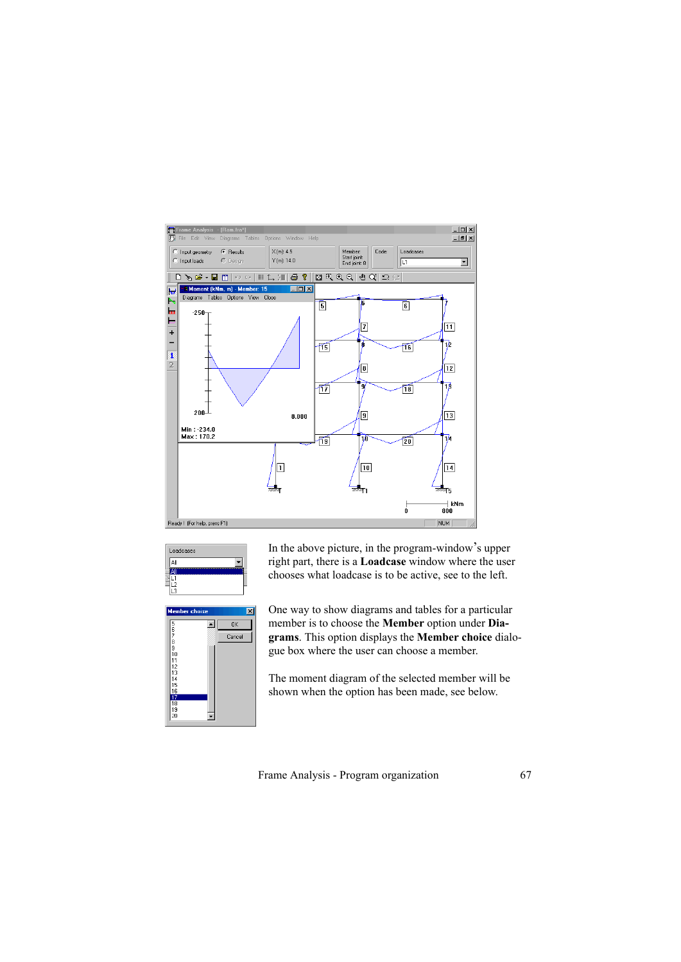



In the above picture, in the program-window's upper right part, there is a **Loadcase** window where the user chooses what loadcase is to be active, see to the left.



One way to show diagrams and tables for a particular member is to choose the **Member** option under **Diagrams**. This option displays the **Member choice** dialogue box where the user can choose a member.

The moment diagram of the selected member will be shown when the option has been made, see below.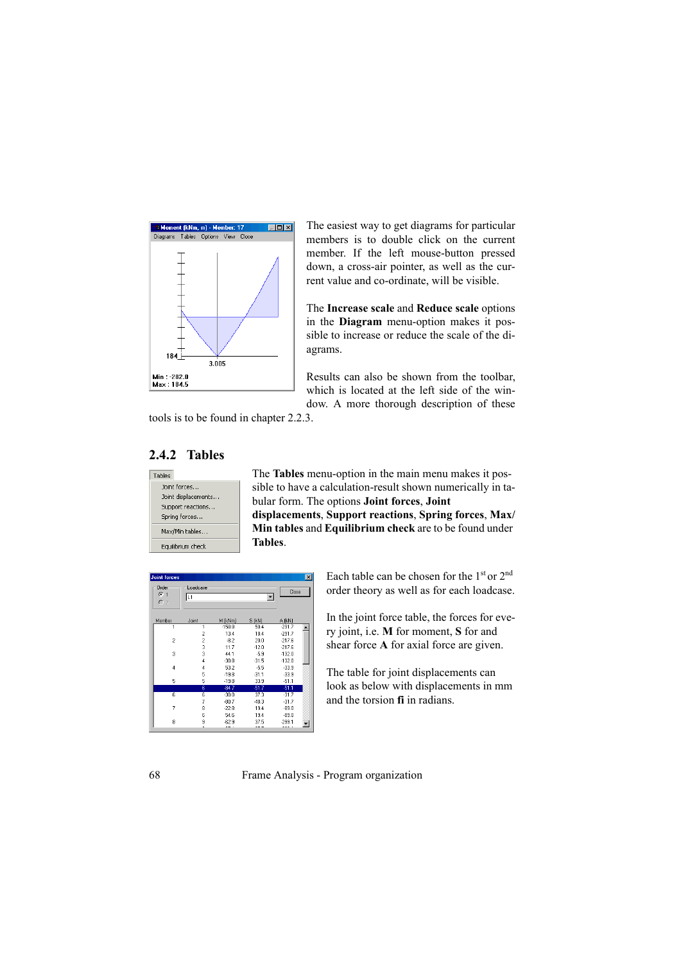

The easiest way to get diagrams for particular members is to double click on the current member. If the left mouse-button pressed down, a cross-air pointer, as well as the current value and co-ordinate, will be visible.

The **Increase scale** and **Reduce scale** options in the **Diagram** menu-option makes it possible to increase or reduce the scale of the diagrams.

Results can also be shown from the toolbar, which is located at the left side of the window. A more thorough description of these

tools is to be found in chapter [2.2.3](#page-43-0).

## **2.4.2 Tables**



The **Tables** menu-option in the main menu makes it possible to have a calculation-result shown numerically in tabular form. The options **Joint forces**, **Joint displacements**, **Support reactions**, **Spring forces**, **Max/ Min tables** and **Equilibrium check** are to be found under **Tables**.

| <b>Joint forces</b>                       |                         |          |         |          | $\vert \mathbf{x} \vert$ |
|-------------------------------------------|-------------------------|----------|---------|----------|--------------------------|
| Order<br>G <sub>1</sub><br>C <sub>2</sub> | Loadcase<br>L1          |          |         | Close    |                          |
| Member                                    | Joint                   | M (kNm)  | S (kN)  | A (kN)   |                          |
|                                           | 1                       | $-158.8$ | 50.4    | $-291.7$ |                          |
|                                           | $\overline{c}$          | 13.4     | 18.4    | $-291.7$ |                          |
| 2                                         | $\overline{c}$          | $-8.2$   | 20.0    | $-217.6$ |                          |
|                                           | 3                       | 11.7     | $-12.0$ | $-217.6$ |                          |
| 3                                         | 3                       | 44.1     | $-5.9$  | $-132.0$ |                          |
|                                           | 4                       | $-30.8$  | $-31.5$ | $-132.0$ |                          |
| 4                                         | 4                       | 53.2     | $-5.5$  | $-33.9$  |                          |
|                                           | 5                       | $-19.8$  | $-31.1$ | $-33.9$  |                          |
| 5                                         | 5                       | $-19.8$  | 33.9    | $-51.1$  |                          |
|                                           | $\overline{\mathbf{6}}$ | $-84.7$  | $-51.7$ | $-51.1$  |                          |
| $\overline{6}$                            | $\overline{6}$          | $-30.0$  | 37.3    | $-31.7$  |                          |
|                                           | 7                       | $-80.7$  | $-48.3$ | $-31.7$  |                          |
| 7                                         | 8                       | $-22.8$  | 19.4    | $-89.0$  |                          |
|                                           | 6                       | 54.6     | 19.4    | $-89.0$  |                          |
| 8                                         | 9                       | $-62.9$  | 37.5    | $-299.1$ |                          |

Each table can be chosen for the  $1<sup>st</sup>$  or  $2<sup>nd</sup>$ order theory as well as for each loadcase.

In the joint force table, the forces for every joint, i.e. **M** for moment, **S** for and shear force **A** for axial force are given.

The table for joint displacements can look as below with displacements in mm and the torsion **fi** in radians.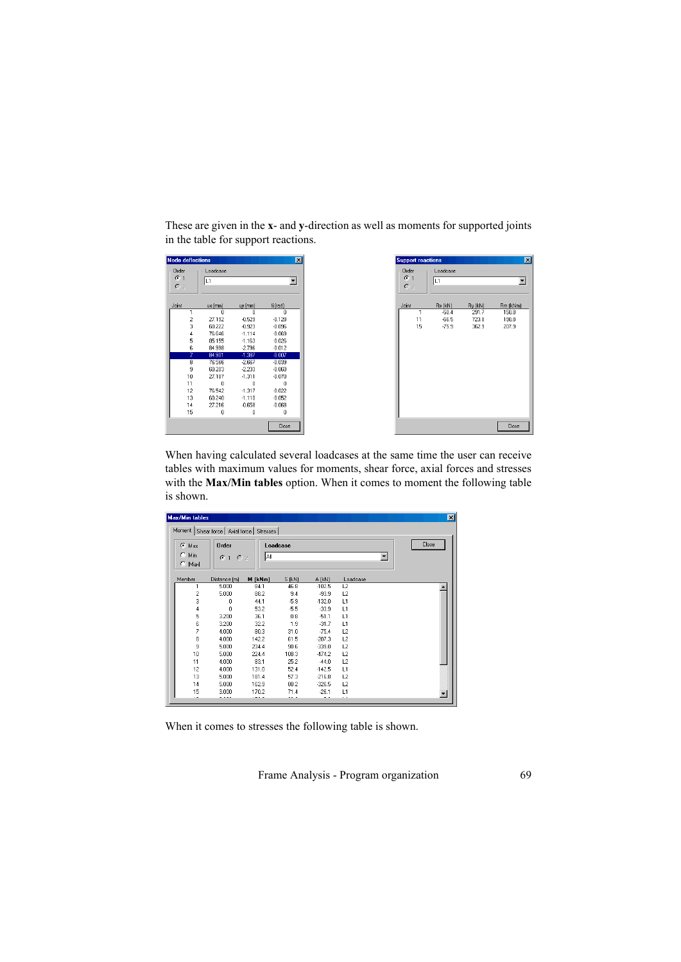These are given in the **x**- and **y**-direction as well as moments for supported joints in the table for support reactions.

|                         | $\overline{\mathbf{x}}$<br><b>Node deflections</b> |          |          |  |  |  |  |  |  |
|-------------------------|----------------------------------------------------|----------|----------|--|--|--|--|--|--|
| Order<br>$G$ 1          | Loadcase                                           |          |          |  |  |  |  |  |  |
| 0.2                     | lL1                                                |          |          |  |  |  |  |  |  |
| Joint                   | ux (mm)                                            | uy [mm]  | fi (rad) |  |  |  |  |  |  |
| 1                       | n                                                  | n        | n        |  |  |  |  |  |  |
| $\overline{\mathbf{c}}$ | 27.192                                             | $-0.529$ | $-0.128$ |  |  |  |  |  |  |
| 3                       | 60.222                                             | $-0.923$ | $-0.096$ |  |  |  |  |  |  |
| $\overline{4}$          | 76.646                                             | $-1.114$ | $-0.069$ |  |  |  |  |  |  |
| 5                       | 85.155                                             | $-1.163$ | $-0.026$ |  |  |  |  |  |  |
| 6                       | 84.998                                             | $-2.796$ | $-0.012$ |  |  |  |  |  |  |
| 7                       | 84.901                                             | $-1.387$ | $-0.007$ |  |  |  |  |  |  |
| $\overline{8}$          | 76.566                                             | $-2.667$ | $-0.039$ |  |  |  |  |  |  |
| 9                       | 60.203                                             | $-2233$  | $-0.060$ |  |  |  |  |  |  |
| 10                      | 27.187                                             | $-1.311$ | $-0.070$ |  |  |  |  |  |  |
| 11                      | n                                                  | n        | n        |  |  |  |  |  |  |
| 12                      | 76.542                                             | $-1.317$ | $-0.022$ |  |  |  |  |  |  |
| 13                      | 60.240                                             | $-1.110$ | $-0.052$ |  |  |  |  |  |  |
| 14                      | 27.216                                             | $-0.658$ | $-0.068$ |  |  |  |  |  |  |
| 15                      | n                                                  | n        | n        |  |  |  |  |  |  |
|                         |                                                    |          | Close    |  |  |  |  |  |  |

| <b>Support reactions</b>                  |               |         | $\overline{\mathbf{x}}$ |
|-------------------------------------------|---------------|---------|-------------------------|
| Order<br>G <sub>1</sub><br>C <sub>2</sub> | Loadcase<br>Π |         |                         |
| Joint                                     | Rx (kN)       | Ry (kN) | Rm (kNm)                |
| 1                                         | $-50.4$       | 291.7   | 158.8                   |
| 11                                        | $-66.5$       | 723.8   | 198.8                   |
| 15                                        | $-75.9$       | 362.9   | 207.9                   |
|                                           |               |         | Close                   |

When having calculated several loadcases at the same time the user can receive tables with maximum values for moments, shear force, axial forces and stresses with the **Max/Min tables** option. When it comes to moment the following table is shown.

|                                           | Moment Shear force   Axial force   Stresses |         |          |          |                |                      |       |
|-------------------------------------------|---------------------------------------------|---------|----------|----------|----------------|----------------------|-------|
| G<br>Max<br>Min<br>O<br>$\subseteq$ [Max] | <b>Order</b><br>6102                        | A⊪      | Loadcase |          |                | $\blacktriangledown$ | Close |
| Member                                    | Distance [m]                                | M (kNm) | S(kN)    | A(kN)    | Loadcase       |                      |       |
|                                           | 5.000                                       | 84.1    | 46.8     | $-102.5$ | L2             |                      |       |
| 2                                         | 5.000                                       | 88.2    | 9.4      | $-93.9$  | L2             |                      |       |
| 3                                         | 0                                           | 44.1    | $-5.9$   | $-132.0$ | L1             |                      |       |
| 4                                         | 0                                           | 53.2    | $-5.5$   | $-33.9$  | L1             |                      |       |
| 5                                         | 3.200                                       | 36.1    | 0.8      | $-51.1$  | L1             |                      |       |
| 6                                         | 3.200                                       | 32.2    | 1.9      | $-31.7$  | L1             |                      |       |
| 7                                         | 4.000                                       | 80.3    | 31.0     | $-75.4$  | L2             |                      |       |
| 8                                         | 4.000                                       | 142.2   | 61.5     | $-207.3$ | L <sub>2</sub> |                      |       |
| 9                                         | 5,000                                       | 234.4   | 90.6     | $-339.0$ | L2             |                      |       |
| 10                                        | 5.000                                       | 224.4   | 108.3    | $-474.2$ | L2             |                      |       |
| 11                                        | 4.000                                       | 83.1    | 25.2     | $-44.0$  | L2             |                      |       |
| 12                                        | 4.000                                       | 131.0   | 52.4     | $-142.5$ | L1             |                      |       |
| 13                                        | 5.000                                       | 181.4   | 57.3     | $-216.8$ | L <sub>2</sub> |                      |       |
| 14                                        | 5.000                                       | 162.9   | 80.2     | $-326.5$ | L2             |                      |       |
| 15                                        | 3.000                                       | 170.2   | 71.4     | $-26.1$  | L1             |                      |       |

When it comes to stresses the following table is shown.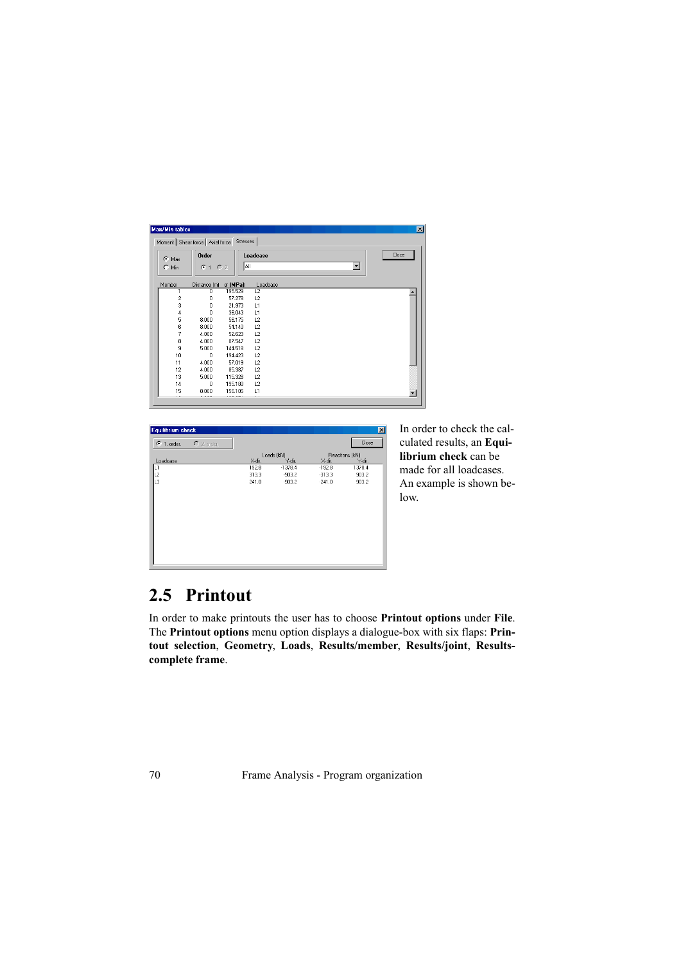| <b>Max/Min tables</b>       |                                    |                |                |  |       |
|-----------------------------|------------------------------------|----------------|----------------|--|-------|
|                             | Moment   Shear force   Axial force | Stresses       |                |  |       |
| $\sigma$<br>Max<br>C<br>Min | <b>Order</b><br>$C_1$ $C_2$        | All            | Loadcase       |  | Close |
| Member                      | Distance [m]                       | $\sigma$ (MPa) | Loadcase       |  |       |
|                             | 0                                  | 195.529        | L2             |  |       |
| $\frac{2}{3}$               | 0                                  | 57.278         | L2             |  |       |
|                             | ٥                                  | 21.973         | L1             |  |       |
| 4                           | 0                                  | 36.043         | L1             |  |       |
| 5                           | 8.000                              | 56.175         | L2             |  |       |
| 6                           | 8.000                              | 54.140         | L2             |  |       |
| 7                           | 4.000                              | 52.623         | L2             |  |       |
| 8                           | 4.000                              | 87.547         | L2             |  |       |
| 9                           | 5.000                              | 144.518        | L2             |  |       |
| 10                          | 0                                  | 194.423        | L2             |  |       |
| 11                          | 4.000                              | 57.019         | L2             |  |       |
| 12                          | 4.000                              | 85.387         | L <sub>2</sub> |  |       |
| 13                          | 5.000                              | 115.328        | L2             |  |       |
| 14                          | $\theta$                           | 195.180        | L2             |  |       |
| 15                          | 8.000                              | 156.105        | L1             |  |       |

| Equilibrium check              |        |            |          | $\vert x \vert$ |
|--------------------------------|--------|------------|----------|-----------------|
| $C$ 2, order.<br>$6$ 1. order. |        |            |          | Close           |
|                                |        | Loads (kN) |          | Reactions (kN)  |
| Loadcase                       | X-dir. | Y-dir.     | X-dir.   | Y-dir.          |
|                                | 192.8  | $-1378.4$  | $-192.8$ | 1378.4          |
| 2                              | 313.3  | $-903.2$   | $-313.3$ | 903.2           |
| L3                             | 241.0  | $-903.2$   | $-241.0$ | 903.2           |
|                                |        |            |          |                 |
|                                |        |            |          |                 |
|                                |        |            |          |                 |
|                                |        |            |          |                 |
|                                |        |            |          |                 |
|                                |        |            |          |                 |
|                                |        |            |          |                 |
|                                |        |            |          |                 |
|                                |        |            |          |                 |
|                                |        |            |          |                 |
|                                |        |            |          |                 |
|                                |        |            |          |                 |

In order to check the calculated results, an **Equilibrium check** can be made for all loadcases. An example is shown below.

# **2.5 Printout**

In order to make printouts the user has to choose **Printout options** under **File**. The **Printout options** menu option displays a dialogue-box with six flaps: **Printout selection**, **Geometry**, **Loads**, **Results/member**, **Results/joint**, **Resultscomplete frame**.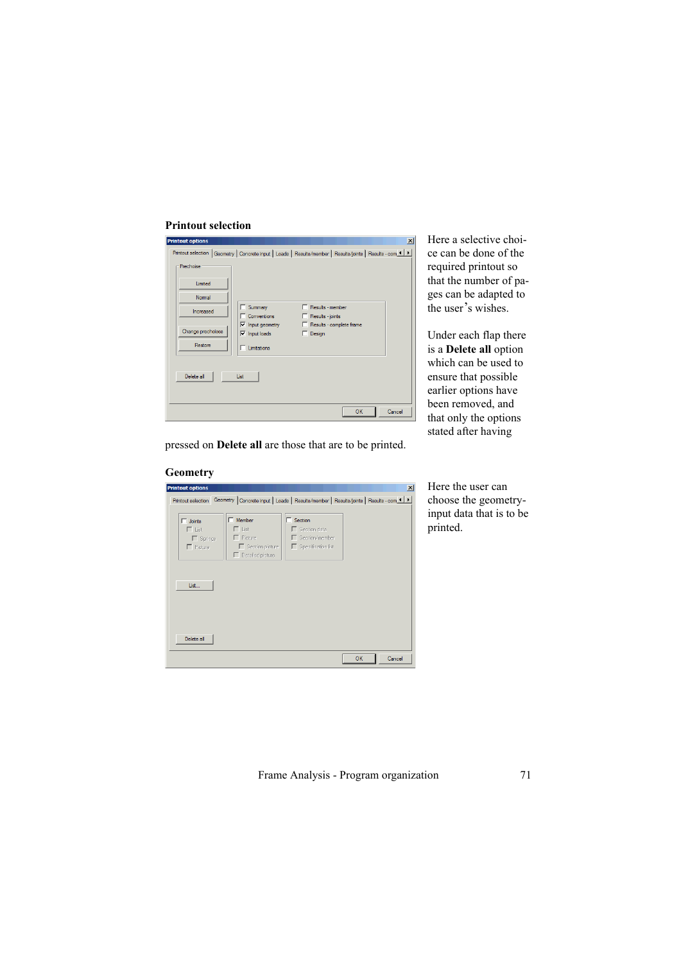## **Printout selection**

| <b>Printout options</b>                                                      |                                                                                                        |                                                                                                          | $\vert x \vert$ |
|------------------------------------------------------------------------------|--------------------------------------------------------------------------------------------------------|----------------------------------------------------------------------------------------------------------|-----------------|
|                                                                              |                                                                                                        | Printout selection Geometry   Concrete input   Loads   Results/member   Results/joints   Results - com 1 |                 |
| Prechoise:<br>Limited<br>Normal<br>Increased<br>Change prechoises<br>Restore | $\Box$ Summary<br>Conventions<br>$\nabla$ Input geometry<br>$\nabla$ Input loads<br>$\Box$ Limitations | Results - member<br>Results - joints<br>Results - complete frame<br>$\Box$ Design                        |                 |
| Delete all                                                                   | List                                                                                                   | OK                                                                                                       | Cancel          |

Here a selective choice can be done of the required printout so that the number of pages can be adapted to the user's wishes.

Under each flap there is a **Delete all** option which can be used to ensure that possible earlier options have been removed, and that only the options stated after having

pressed on **Delete all** are those that are to be printed.

## **Geometry**



Here the user can choose the geometryinput data that is to be printed.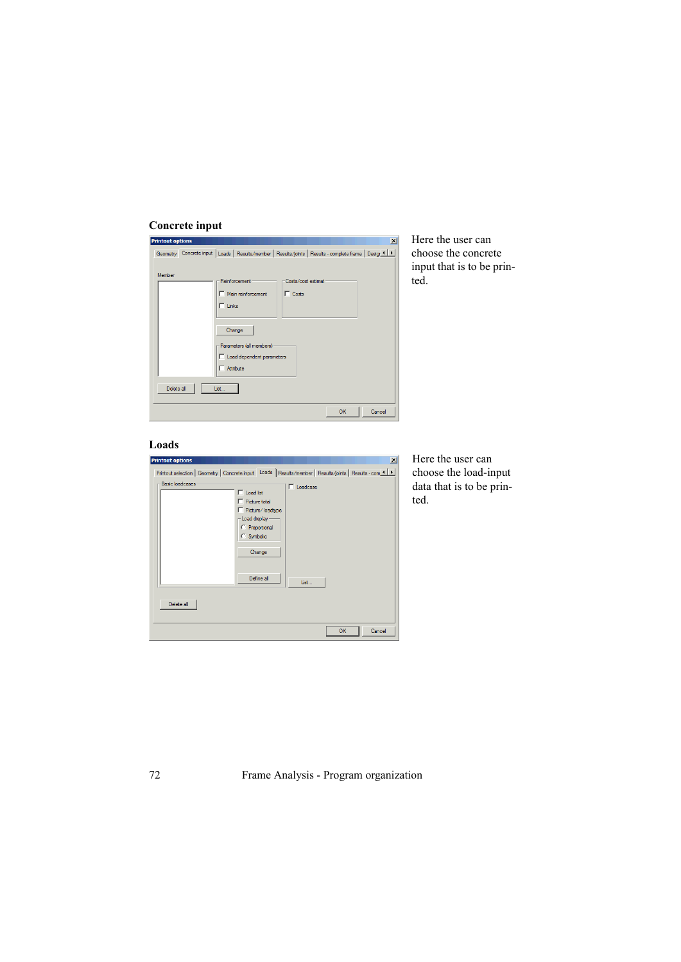## **Concrete input**



Here the user can choose the concrete input that is to be printed.

## **Loads**

| <b>Printout options</b>                                                                                                                                         | $\vert x \vert$ |
|-----------------------------------------------------------------------------------------------------------------------------------------------------------------|-----------------|
| Printout selection Geometry   Concrete input Loads   Results/member   Results/joints   Results - com <   >                                                      |                 |
| <b>Basic loadcases</b><br>Loadcase<br>$\Box$ Load list<br>$\Box$ Picture total<br>Picture/loadtype<br>- Load display-<br>C Proportional<br>C Symbolic<br>Change |                 |
| Define all<br>List<br>Delete all                                                                                                                                |                 |
| OK<br>Cancel                                                                                                                                                    |                 |

Here the user can choose the load-input data that is to be printed.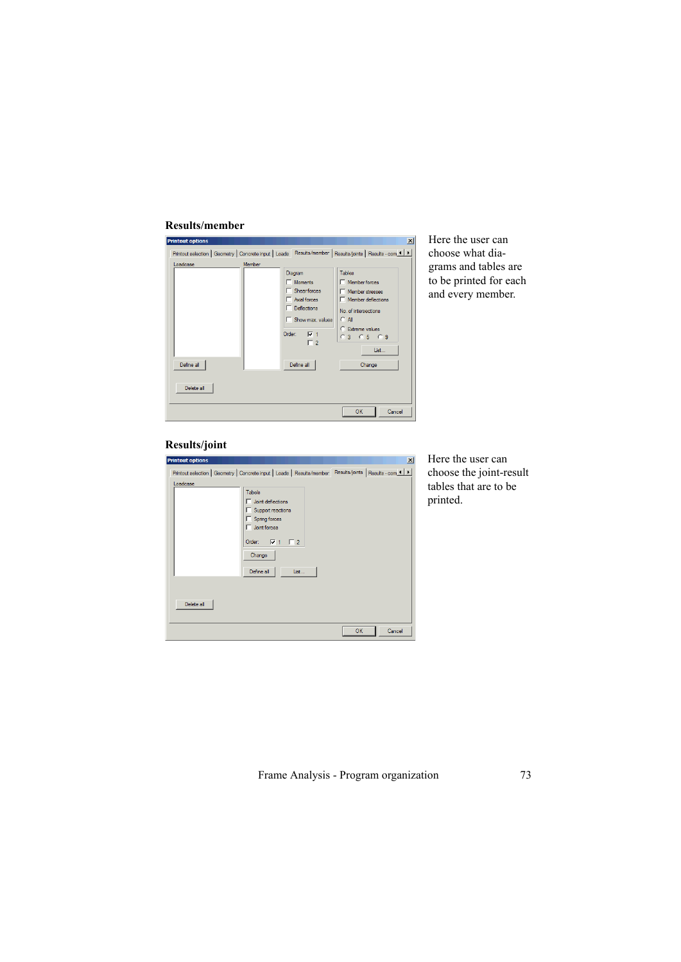#### **Results/member**

| <b>Printout options</b>  |        |                                                                                                                                                         | $\vert x \vert$                                                                                                                                             |
|--------------------------|--------|---------------------------------------------------------------------------------------------------------------------------------------------------------|-------------------------------------------------------------------------------------------------------------------------------------------------------------|
| Loadcase                 | Member | <b>Diagram</b>                                                                                                                                          | Printout selection   Geometry   Concrete input   Loads   Results/member   Results/joints   Results - com 1   1<br><b>Tables</b>                             |
|                          |        | $\Box$ Moments<br>$\Box$ Shear forces<br>$\Box$ Axial forces<br>$\Box$ Deflections<br>Show max, values<br>Order:<br>$\nabla$ 1<br>$\overline{\square}2$ | $\Box$ Member forces<br>$\Box$ Member stresses<br>$\Box$ Member deflections<br>No of intersections<br>$C$ All<br>C Extreme values<br>$03$ $05$ $09$<br>List |
| Define all<br>Delete all |        | Define all                                                                                                                                              | Change                                                                                                                                                      |
|                          |        |                                                                                                                                                         | OK<br>Cancel                                                                                                                                                |

Here the user can choose what diagrams and tables are to be printed for each and every member.

### **Results/joint**

| <b>Printout options</b>                                                                                                                           | $\vert x \vert$                                                                                                |
|---------------------------------------------------------------------------------------------------------------------------------------------------|----------------------------------------------------------------------------------------------------------------|
|                                                                                                                                                   | Printout selection   Geometry   Concrete input   Loads   Results/member   Results/joints   Results - com <   ▶ |
| Loadcase<br><b>Tabels</b><br>$\Box$ Joint deflections<br>Support reactions<br>$\Box$ Spring forces<br>$\Box$ Joint forces<br>Change<br>Define all | Order: $\overline{M}$ 1 $\overline{M}$ 2<br>List                                                               |
| Delete all                                                                                                                                        | OK<br>Cancel                                                                                                   |

Here the user can choose the joint-result tables that are to be printed.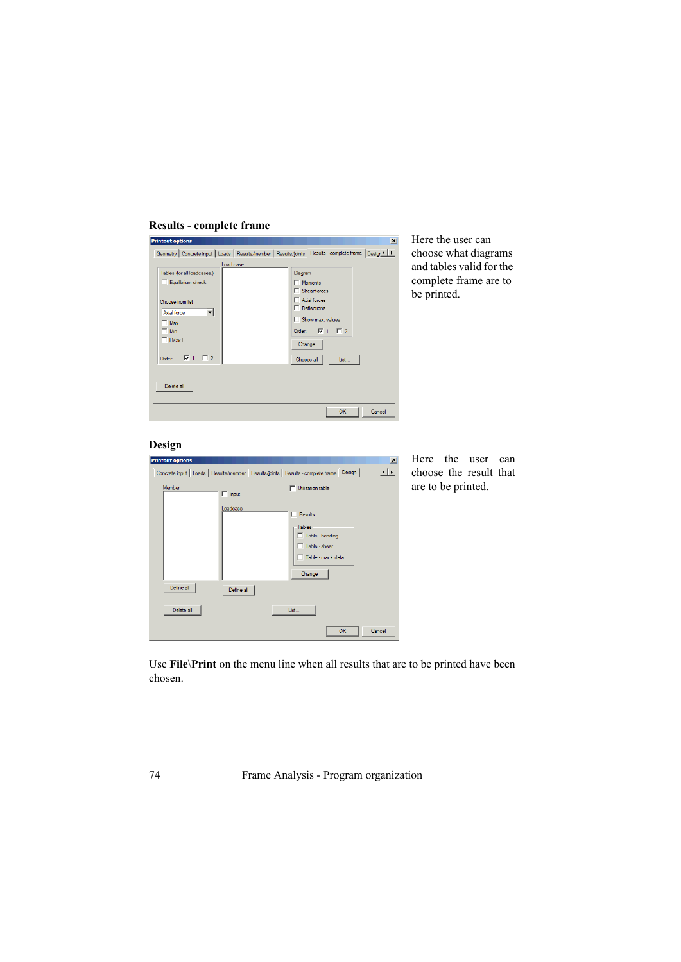#### **Results - complete frame**

| <b>Printout options</b>                                                                                                                                                                                                           | $\mathbf{x}$                                                                                                                                                                     |
|-----------------------------------------------------------------------------------------------------------------------------------------------------------------------------------------------------------------------------------|----------------------------------------------------------------------------------------------------------------------------------------------------------------------------------|
|                                                                                                                                                                                                                                   | Geometry   Concrete input   Loads   Results/member   Results/joints   Results - complete frame   Desigr 1   1                                                                    |
| Load case<br>Tables (for all loadcases.)<br>Equilibrium check<br>Choose from list<br>$\blacktriangledown$<br>Axial force<br>$\Box$ Max<br>$\Box$ Min.<br>$\Box$   Max  <br>Order: $\overline{M}$ 1 $\overline{M}$ 2<br>Delete all | Diagram<br>$\Box$ Moments<br>$\Box$ Shearforces<br>$\Box$ Axial forces<br>$\Box$ Deflections<br>Show max, values<br>Order: $\nabla 1$ $\nabla 2$<br>Change<br>Choose all<br>List |
|                                                                                                                                                                                                                                   | <b>OK</b><br>Cancel                                                                                                                                                              |

Here the user can choose what diagrams and tables valid for the complete frame are to be printed.

# **Design**



Here the user can choose the result that are to be printed.

Use **File**\**Print** on the menu line when all results that are to be printed have been chosen.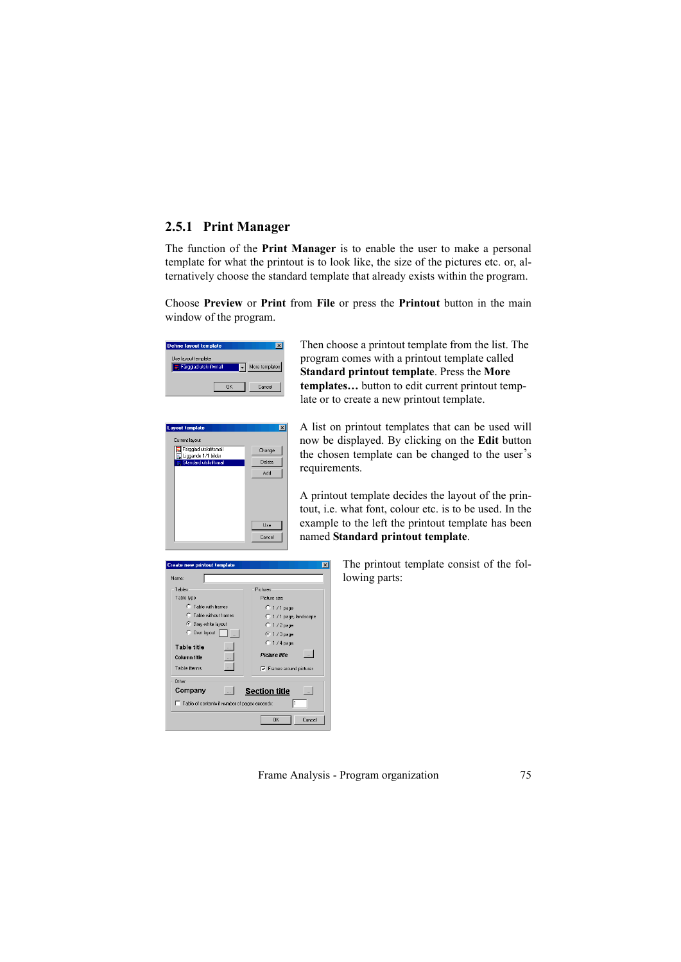# **2.5.1 Print Manager**

The function of the **Print Manager** is to enable the user to make a personal template for what the printout is to look like, the size of the pictures etc. or, alternatively choose the standard template that already exists within the program.

Choose **Preview** or **Print** from **File** or press the **Printout** button in the main window of the program.

| Define layout template                   |  |
|------------------------------------------|--|
| Use lavout template                      |  |
| More templates<br>Färgglad utskriftsmall |  |
|                                          |  |
| Cancel<br>ΠK                             |  |
|                                          |  |

| <b>Layout template</b>                        |              |
|-----------------------------------------------|--------------|
| Current layout                                |              |
| Färgglad utskriftsmall                        | Change       |
| Liggande 1/1 bilder<br>Standard utskriftsmall | Delete       |
|                                               | Add          |
|                                               |              |
|                                               |              |
|                                               |              |
|                                               |              |
|                                               | <b>I</b> Ise |
|                                               | Cancel       |
|                                               |              |

Then choose a printout template from the list. The program comes with a printout template called **Standard printout template**. Press the **More templates…** button to edit current printout template or to create a new printout template.

A list on printout templates that can be used will now be displayed. By clicking on the **Edit** button the chosen template can be changed to the user's requirements.

A printout template decides the layout of the printout, i.e. what font, colour etc. is to be used. In the example to the left the printout template has been named **Standard printout template**.

| <b>Create new printout template</b>             | $\boldsymbol{\times}$           |  |
|-------------------------------------------------|---------------------------------|--|
| Name:                                           |                                 |  |
| Tables                                          | Pictures                        |  |
| Table type                                      | Picture size                    |  |
| C Table with frames                             | $C$ 1/1 page                    |  |
| C Table without frames                          | C 1 / 1 page, landscape         |  |
| G Grey-white layout                             | $C$ 1/2 page                    |  |
| C Own layout                                    | $61/3$ page                     |  |
| Table title<br>                                 | $C$ 1/4 page                    |  |
| <b>Column title</b><br>m.                       | Picture title                   |  |
| Table items                                     | $\nabla$ Frames around pictures |  |
| Other                                           |                                 |  |
| Company<br><b>Section title</b><br>$\sim$       |                                 |  |
| T Table of contents if number of pages exceeds: |                                 |  |
|                                                 | <b>OK</b><br>Cancel             |  |

The printout template consist of the following parts: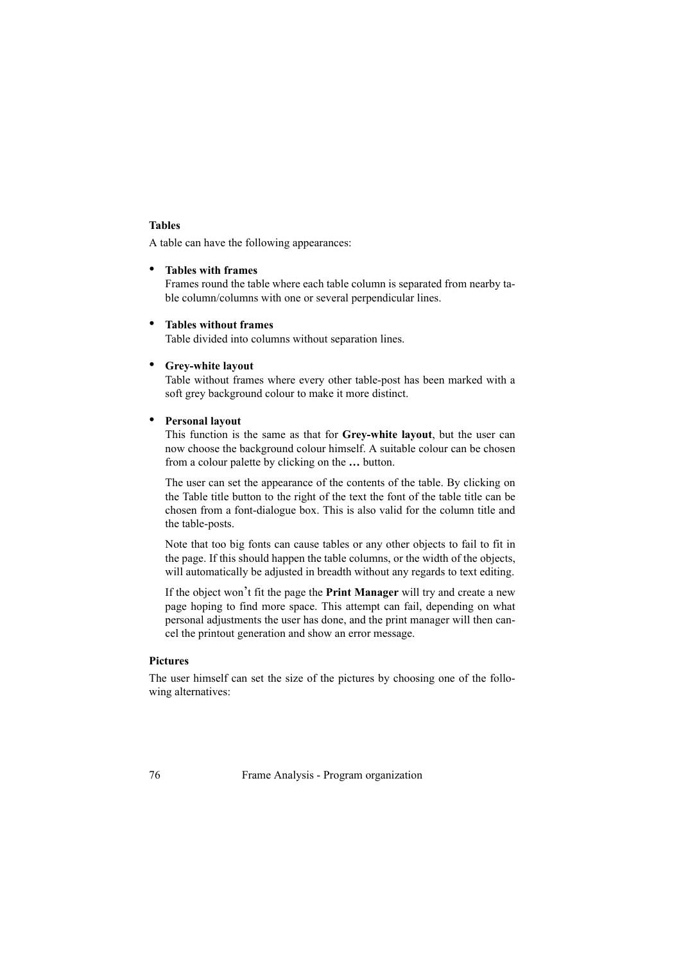#### **Tables**

A table can have the following appearances:

#### • **Tables with frames**

Frames round the table where each table column is separated from nearby table column/columns with one or several perpendicular lines.

#### • **Tables without frames**

Table divided into columns without separation lines.

#### • **Grey-white layout**

Table without frames where every other table-post has been marked with a soft grey background colour to make it more distinct.

#### • **Personal layout**

This function is the same as that for **Grey-white layout**, but the user can now choose the background colour himself. A suitable colour can be chosen from a colour palette by clicking on the **…** button.

The user can set the appearance of the contents of the table. By clicking on the Table title button to the right of the text the font of the table title can be chosen from a font-dialogue box. This is also valid for the column title and the table-posts.

Note that too big fonts can cause tables or any other objects to fail to fit in the page. If this should happen the table columns, or the width of the objects, will automatically be adjusted in breadth without any regards to text editing.

If the object won't fit the page the **Print Manager** will try and create a new page hoping to find more space. This attempt can fail, depending on what personal adjustments the user has done, and the print manager will then cancel the printout generation and show an error message.

### **Pictures**

The user himself can set the size of the pictures by choosing one of the following alternatives: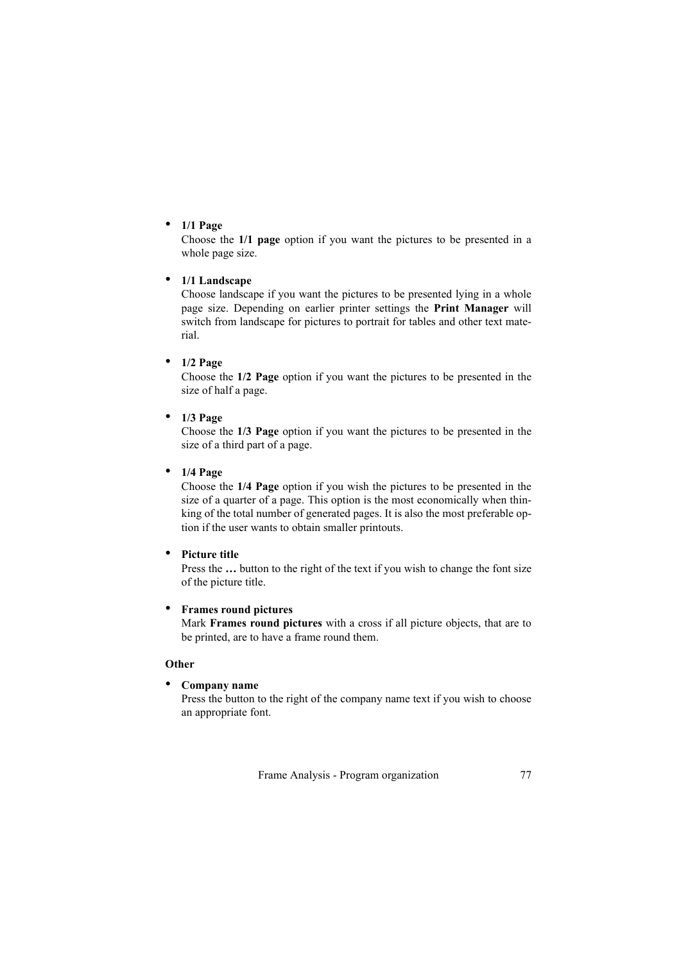#### • **1/1 Page**

Choose the **1/1 page** option if you want the pictures to be presented in a whole page size.

#### • **1/1 Landscape**

Choose landscape if you want the pictures to be presented lying in a whole page size. Depending on earlier printer settings the **Print Manager** will switch from landscape for pictures to portrait for tables and other text material.

#### • **1/2 Page**

Choose the **1/2 Page** option if you want the pictures to be presented in the size of half a page.

#### • **1/3 Page**

Choose the **1/3 Page** option if you want the pictures to be presented in the size of a third part of a page.

#### • **1/4 Page**

Choose the **1/4 Page** option if you wish the pictures to be presented in the size of a quarter of a page. This option is the most economically when thinking of the total number of generated pages. It is also the most preferable option if the user wants to obtain smaller printouts.

#### • **Picture title**

Press the ... button to the right of the text if you wish to change the font size of the picture title.

#### • **Frames round pictures**

Mark **Frames round pictures** with a cross if all picture objects, that are to be printed, are to have a frame round them.

#### **Other**

#### • **Company name**

Press the button to the right of the company name text if you wish to choose an appropriate font.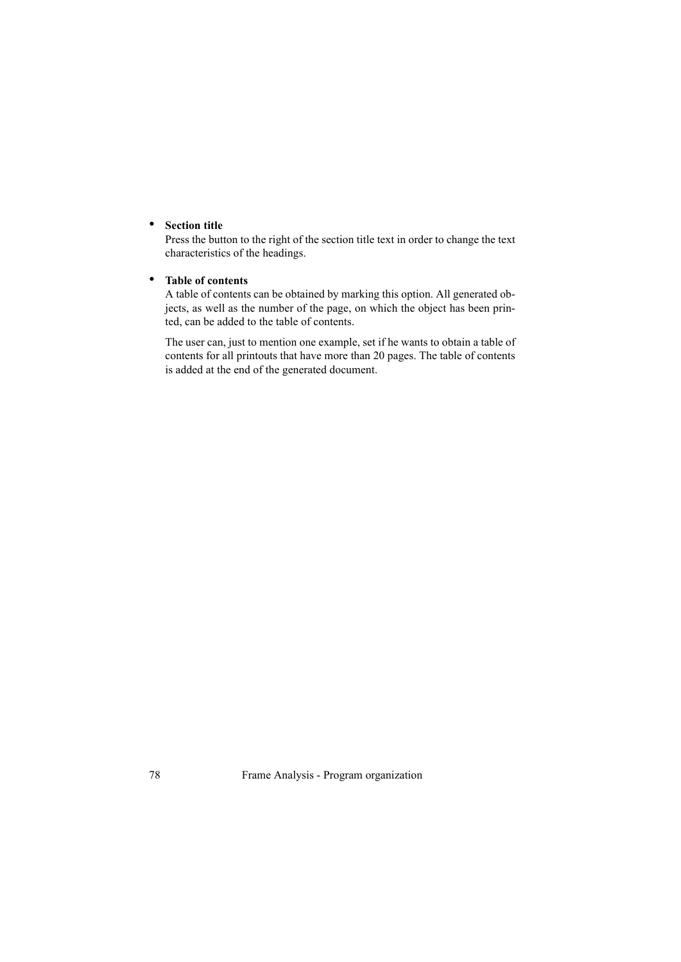#### • **Section title**

Press the button to the right of the section title text in order to change the text characteristics of the headings.

# • **Table of contents**

A table of contents can be obtained by marking this option. All generated objects, as well as the number of the page, on which the object has been printed, can be added to the table of contents.

The user can, just to mention one example, set if he wants to obtain a table of contents for all printouts that have more than 20 pages. The table of contents is added at the end of the generated document.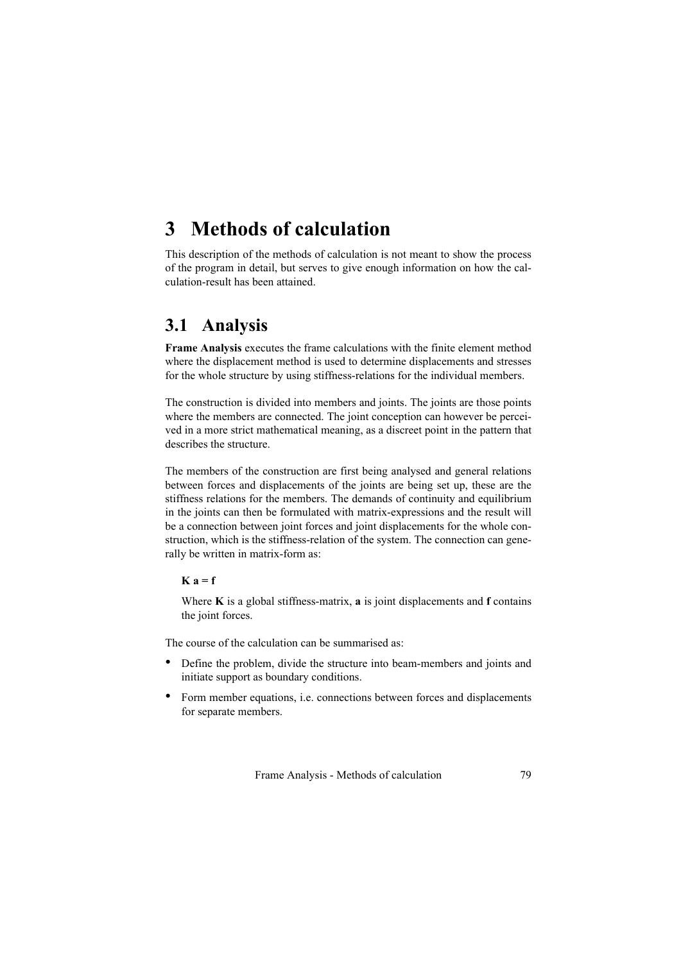# **3 Methods of calculation**

This description of the methods of calculation is not meant to show the process of the program in detail, but serves to give enough information on how the calculation-result has been attained.

# **3.1 Analysis**

**Frame Analysis** executes the frame calculations with the finite element method where the displacement method is used to determine displacements and stresses for the whole structure by using stiffness-relations for the individual members.

The construction is divided into members and joints. The joints are those points where the members are connected. The joint conception can however be perceived in a more strict mathematical meaning, as a discreet point in the pattern that describes the structure.

The members of the construction are first being analysed and general relations between forces and displacements of the joints are being set up, these are the stiffness relations for the members. The demands of continuity and equilibrium in the joints can then be formulated with matrix-expressions and the result will be a connection between joint forces and joint displacements for the whole construction, which is the stiffness-relation of the system. The connection can generally be written in matrix-form as:

# $K$   $a = f$

Where **K** is a global stiffness-matrix, **a** is joint displacements and **f** contains the joint forces.

The course of the calculation can be summarised as:

- Define the problem, divide the structure into beam-members and joints and initiate support as boundary conditions.
- Form member equations, i.e. connections between forces and displacements for separate members.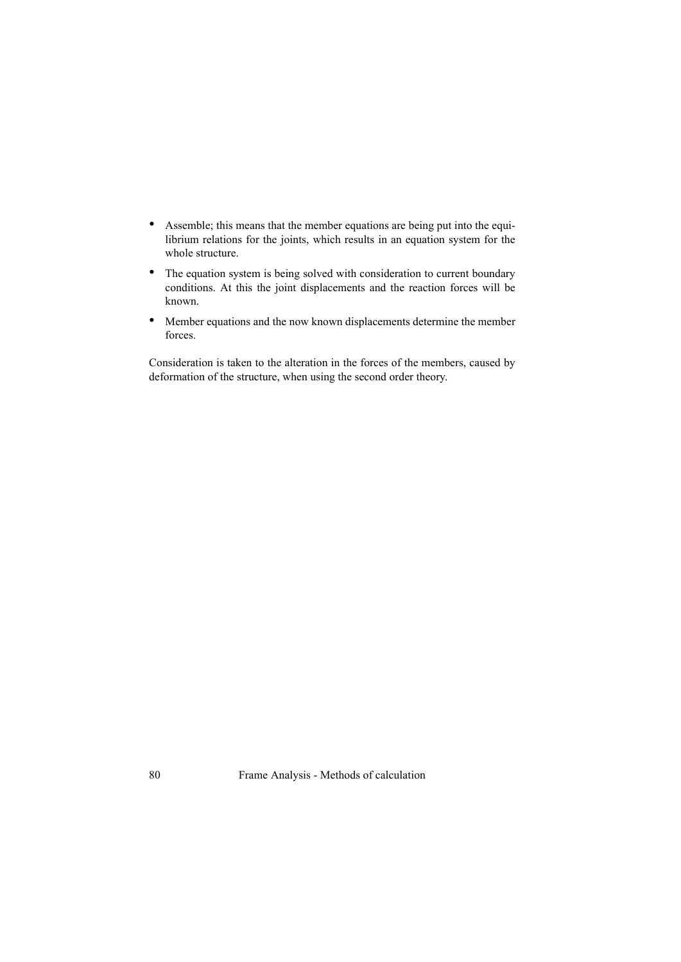- Assemble; this means that the member equations are being put into the equilibrium relations for the joints, which results in an equation system for the whole structure.
- The equation system is being solved with consideration to current boundary conditions. At this the joint displacements and the reaction forces will be known.
- Member equations and the now known displacements determine the member forces.

Consideration is taken to the alteration in the forces of the members, caused by deformation of the structure, when using the second order theory.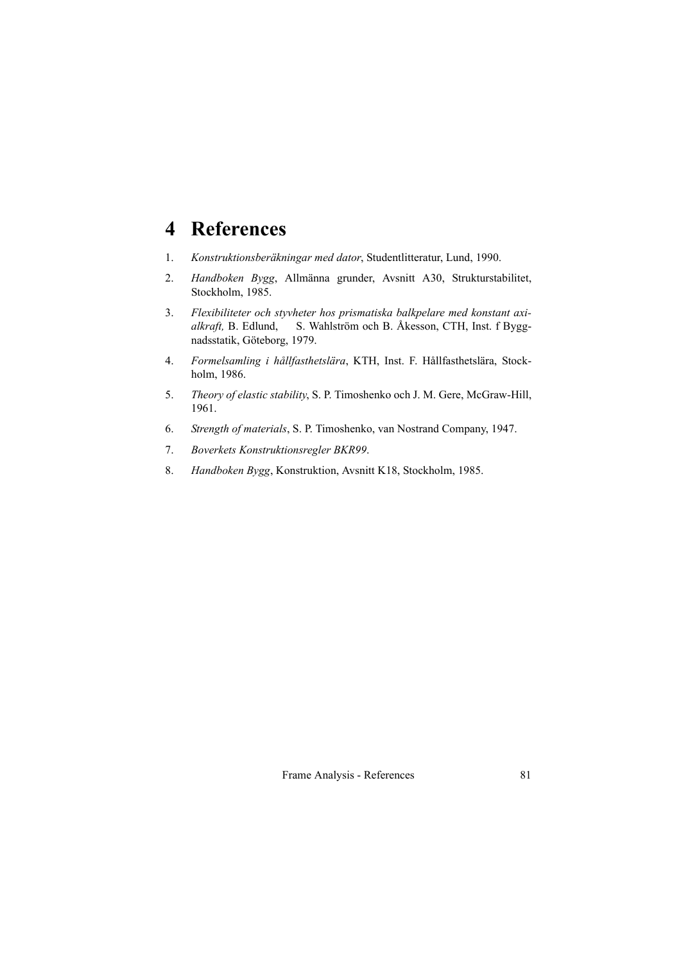# **4 References**

- 1. *Konstruktionsberäkningar med dator*, Studentlitteratur, Lund, 1990.
- 2. *Handboken Bygg*, Allmänna grunder, Avsnitt A30, Strukturstabilitet, Stockholm, 1985.
- 3. *Flexibiliteter och styvheter hos prismatiska balkpelare med konstant axialkraft,* B. Edlund, S. Wahlström och B. Åkesson, CTH, Inst. f Byggnadsstatik, Göteborg, 1979.
- 4. *Formelsamling i hållfasthetslära*, KTH, Inst. F. Hållfasthetslära, Stockholm, 1986.
- 5. *Theory of elastic stability*, S. P. Timoshenko och J. M. Gere, McGraw-Hill, 1961.
- 6. *Strength of materials*, S. P. Timoshenko, van Nostrand Company, 1947.
- 7. *Boverkets Konstruktionsregler BKR99*.
- 8. *Handboken Bygg*, Konstruktion, Avsnitt K18, Stockholm, 1985.